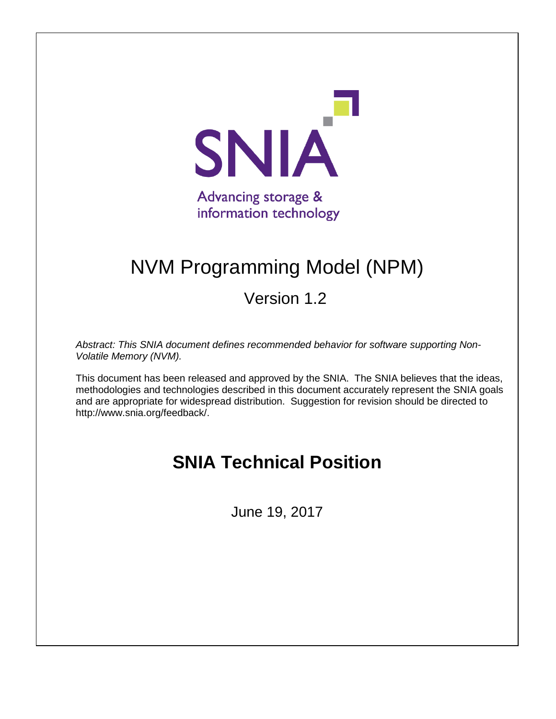

# NVM Programming Model (NPM)

Version 1.2

*Abstract: This SNIA document defines recommended behavior for software supporting Non-Volatile Memory (NVM).*

This document has been released and approved by the SNIA. The SNIA believes that the ideas, methodologies and technologies described in this document accurately represent the SNIA goals and are appropriate for widespread distribution. Suggestion for revision should be directed to http://www.snia.org/feedback/.

# **SNIA Technical Position**

June 19, 2017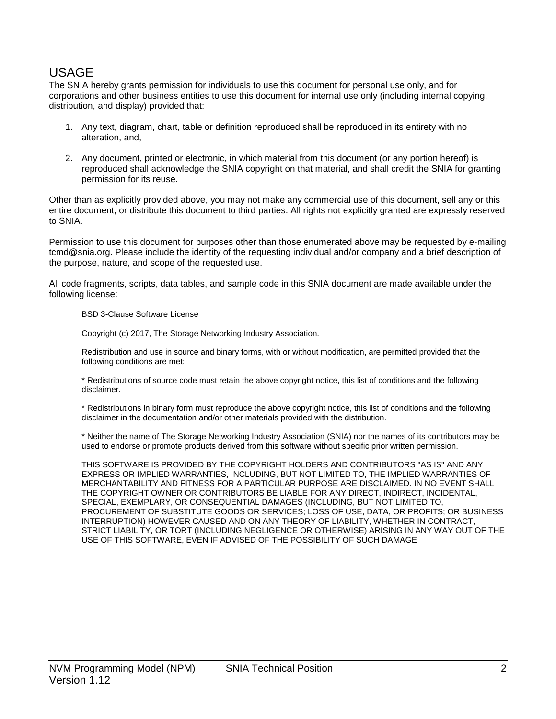## **USAGE**

The SNIA hereby grants permission for individuals to use this document for personal use only, and for corporations and other business entities to use this document for internal use only (including internal copying, distribution, and display) provided that:

- 1. Any text, diagram, chart, table or definition reproduced shall be reproduced in its entirety with no alteration, and,
- 2. Any document, printed or electronic, in which material from this document (or any portion hereof) is reproduced shall acknowledge the SNIA copyright on that material, and shall credit the SNIA for granting permission for its reuse.

Other than as explicitly provided above, you may not make any commercial use of this document, sell any or this entire document, or distribute this document to third parties. All rights not explicitly granted are expressly reserved to SNIA.

Permission to use this document for purposes other than those enumerated above may be requested by e-mailing tcmd@snia.org. Please include the identity of the requesting individual and/or company and a brief description of the purpose, nature, and scope of the requested use.

All code fragments, scripts, data tables, and sample code in this SNIA document are made available under the following license:

BSD 3-Clause Software License

Copyright (c) 2017, The Storage Networking Industry Association.

Redistribution and use in source and binary forms, with or without modification, are permitted provided that the following conditions are met:

\* Redistributions of source code must retain the above copyright notice, this list of conditions and the following disclaimer.

\* Redistributions in binary form must reproduce the above copyright notice, this list of conditions and the following disclaimer in the documentation and/or other materials provided with the distribution.

\* Neither the name of The Storage Networking Industry Association (SNIA) nor the names of its contributors may be used to endorse or promote products derived from this software without specific prior written permission.

THIS SOFTWARE IS PROVIDED BY THE COPYRIGHT HOLDERS AND CONTRIBUTORS "AS IS" AND ANY EXPRESS OR IMPLIED WARRANTIES, INCLUDING, BUT NOT LIMITED TO, THE IMPLIED WARRANTIES OF MERCHANTABILITY AND FITNESS FOR A PARTICULAR PURPOSE ARE DISCLAIMED. IN NO EVENT SHALL THE COPYRIGHT OWNER OR CONTRIBUTORS BE LIABLE FOR ANY DIRECT, INDIRECT, INCIDENTAL, SPECIAL, EXEMPLARY, OR CONSEQUENTIAL DAMAGES (INCLUDING, BUT NOT LIMITED TO, PROCUREMENT OF SUBSTITUTE GOODS OR SERVICES; LOSS OF USE, DATA, OR PROFITS; OR BUSINESS INTERRUPTION) HOWEVER CAUSED AND ON ANY THEORY OF LIABILITY, WHETHER IN CONTRACT, STRICT LIABILITY, OR TORT (INCLUDING NEGLIGENCE OR OTHERWISE) ARISING IN ANY WAY OUT OF THE USE OF THIS SOFTWARE, EVEN IF ADVISED OF THE POSSIBILITY OF SUCH DAMAGE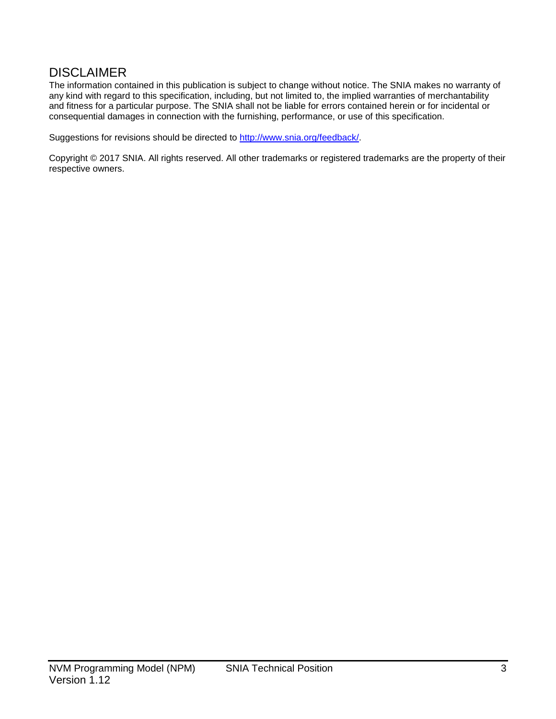## **DISCLAIMER**

The information contained in this publication is subject to change without notice. The SNIA makes no warranty of any kind with regard to this specification, including, but not limited to, the implied warranties of merchantability and fitness for a particular purpose. The SNIA shall not be liable for errors contained herein or for incidental or consequential damages in connection with the furnishing, performance, or use of this specification.

Suggestions for revisions should be directed to [http://www.snia.org/feedback/.](http://www.snia.org/feedback/)

Copyright © 2017 SNIA. All rights reserved. All other trademarks or registered trademarks are the property of their respective owners.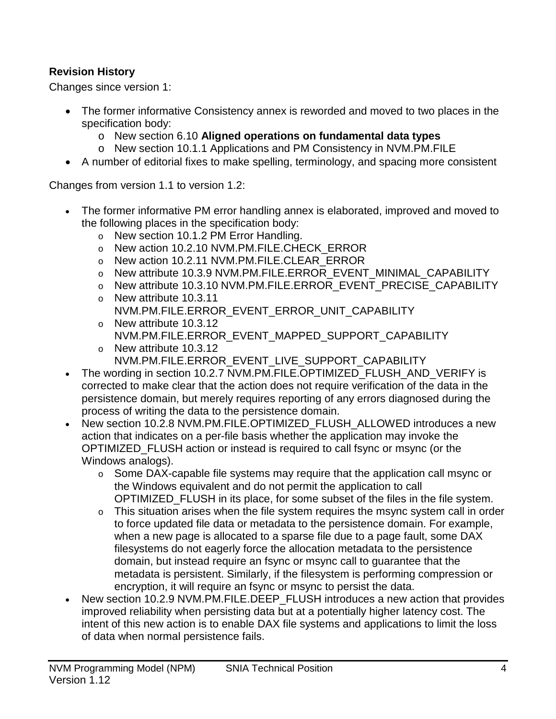## **Revision History**

Changes since version 1:

- The former informative Consistency annex is reworded and moved to two places in the specification body:
	- o New section [6.10](#page-23-0) **[Aligned operations on fundamental data types](#page-23-0)**
	- o New section [10.1.1](#page-59-0) [Applications and PM Consistency](#page-59-0) in NVM.PM.FILE
- A number of editorial fixes to make spelling, terminology, and spacing more consistent

Changes from version 1.1 to version 1.2:

- The former informative PM error handling annex is elaborated, improved and moved to the following places in the specification body:
	- o New section 10.1.2 PM Error Handling.
	- o New action 10.2.10 NVM.PM.FILE.CHECK\_ERROR
	- o New action 10.2.11 NVM.PM.FILE.CLEAR\_ERROR
	- o New attribute 10.3.9 NVM.PM.FILE.ERROR\_EVENT\_MINIMAL\_CAPABILITY
	- o New attribute 10.3.10 NVM.PM.FILE.ERROR\_EVENT\_PRECISE\_CAPABILITY
	- o New attribute 10.3.11 NVM.PM.FILE.ERROR\_EVENT\_ERROR\_UNIT\_CAPABILITY
	- o New attribute 10.3.12 NVM.PM.FILE.ERROR\_EVENT\_MAPPED\_SUPPORT\_CAPABILITY
	- o New attribute 10.3.12 NVM.PM.FILE.ERROR\_EVENT\_LIVE\_SUPPORT\_CAPABILITY
- The wording in section 10.2.7 NVM.PM.FILE.OPTIMIZED\_FLUSH\_AND\_VERIFY is corrected to make clear that the action does not require verification of the data in the persistence domain, but merely requires reporting of any errors diagnosed during the process of writing the data to the persistence domain.
- New section 10.2.8 NVM.PM.FILE.OPTIMIZED\_FLUSH\_ALLOWED introduces a new action that indicates on a per-file basis whether the application may invoke the OPTIMIZED\_FLUSH action or instead is required to call fsync or msync (or the Windows analogs).
	- o Some DAX-capable file systems may require that the application call msync or the Windows equivalent and do not permit the application to call OPTIMIZED\_FLUSH in its place, for some subset of the files in the file system.
	- $\circ$  This situation arises when the file system requires the msync system call in order to force updated file data or metadata to the persistence domain. For example, when a new page is allocated to a sparse file due to a page fault, some DAX filesystems do not eagerly force the allocation metadata to the persistence domain, but instead require an fsync or msync call to guarantee that the metadata is persistent. Similarly, if the filesystem is performing compression or encryption, it will require an fsync or msync to persist the data.
- New section 10.2.9 NVM.PM.FILE.DEEP\_FLUSH introduces a new action that provides improved reliability when persisting data but at a potentially higher latency cost. The intent of this new action is to enable DAX file systems and applications to limit the loss of data when normal persistence fails.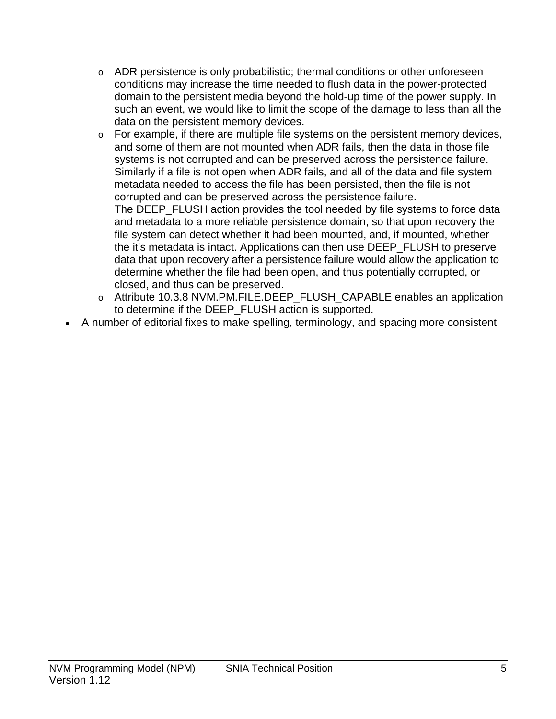- $\circ$  ADR persistence is only probabilistic; thermal conditions or other unforeseen conditions may increase the time needed to flush data in the power-protected domain to the persistent media beyond the hold-up time of the power supply. In such an event, we would like to limit the scope of the damage to less than all the data on the persistent memory devices.
- $\circ$  For example, if there are multiple file systems on the persistent memory devices, and some of them are not mounted when ADR fails, then the data in those file systems is not corrupted and can be preserved across the persistence failure. Similarly if a file is not open when ADR fails, and all of the data and file system metadata needed to access the file has been persisted, then the file is not corrupted and can be preserved across the persistence failure.

The DEEP\_FLUSH action provides the tool needed by file systems to force data and metadata to a more reliable persistence domain, so that upon recovery the file system can detect whether it had been mounted, and, if mounted, whether the it's metadata is intact. Applications can then use DEEP\_FLUSH to preserve data that upon recovery after a persistence failure would allow the application to determine whether the file had been open, and thus potentially corrupted, or closed, and thus can be preserved.

- o Attribute 10.3.8 NVM.PM.FILE.DEEP\_FLUSH\_CAPABLE enables an application to determine if the DEEP\_FLUSH action is supported.
- A number of editorial fixes to make spelling, terminology, and spacing more consistent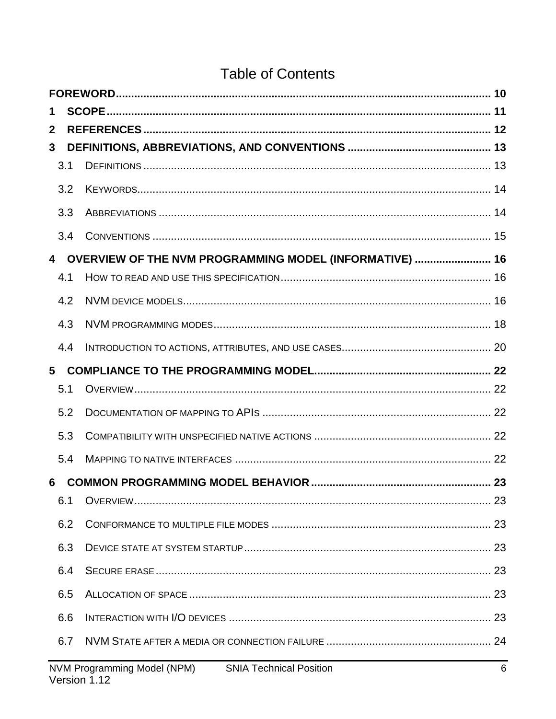## **Table of Contents**

| 1                       |  |                                                                               |    |  |
|-------------------------|--|-------------------------------------------------------------------------------|----|--|
| $\mathbf{2}$            |  |                                                                               |    |  |
| $\mathbf{3}$            |  |                                                                               |    |  |
| 3.1                     |  |                                                                               |    |  |
| 3.2                     |  |                                                                               |    |  |
| 3.3                     |  |                                                                               |    |  |
| 3.4                     |  |                                                                               |    |  |
| $\overline{\mathbf{4}}$ |  | OVERVIEW OF THE NVM PROGRAMMING MODEL (INFORMATIVE)  16                       |    |  |
| 4.1                     |  |                                                                               |    |  |
| 4.2                     |  |                                                                               |    |  |
| 4.3                     |  |                                                                               |    |  |
| 4.4                     |  |                                                                               |    |  |
| 5                       |  |                                                                               |    |  |
| 5.1                     |  |                                                                               |    |  |
| 5.2                     |  |                                                                               |    |  |
| 5.3                     |  |                                                                               |    |  |
| 5.4                     |  |                                                                               |    |  |
| 6                       |  |                                                                               |    |  |
| 6.1                     |  |                                                                               |    |  |
| 6.2                     |  |                                                                               |    |  |
| 6.3                     |  |                                                                               |    |  |
| 6.4                     |  |                                                                               |    |  |
| 6.5                     |  |                                                                               | 23 |  |
| 6.6                     |  |                                                                               |    |  |
| 6.7                     |  |                                                                               |    |  |
|                         |  | NVM Programming Model (NPM)<br><b>SNIA Technical Position</b><br>Version 1.12 | 6  |  |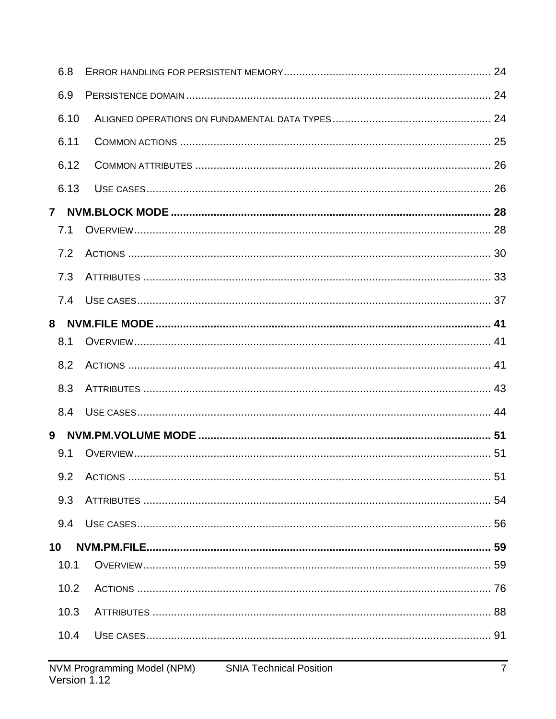| 6.8          |  |
|--------------|--|
| 6.9          |  |
| 6.10         |  |
| 6.11         |  |
| 6.12         |  |
| 6.13         |  |
| $\mathbf{7}$ |  |
| 7.1          |  |
| 7.2          |  |
| 7.3          |  |
| 7.4          |  |
|              |  |
| 8.1          |  |
|              |  |
| 8.2          |  |
| 8.3          |  |
| 8.4          |  |
| 9            |  |
| 9.1          |  |
| 9.2          |  |
| 9.3          |  |
| 9.4          |  |
| 10           |  |
| 10.1         |  |
| 10.2         |  |
| 10.3         |  |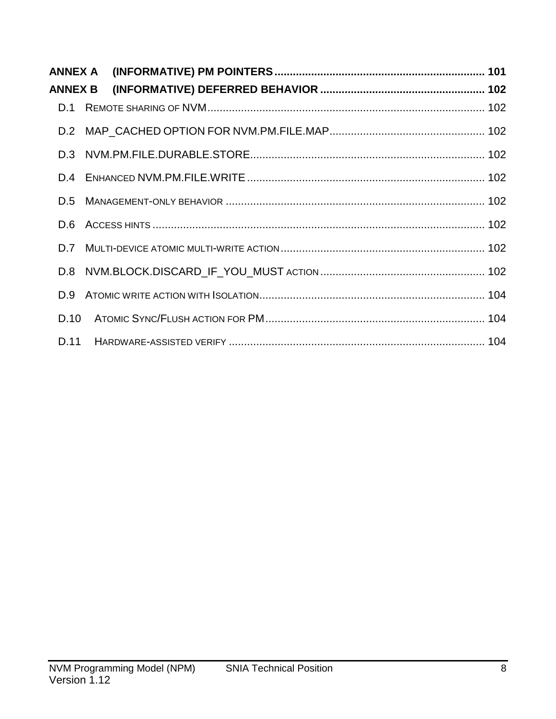| ANNEX A        |  |  |
|----------------|--|--|
| <b>ANNEX B</b> |  |  |
| D.1            |  |  |
|                |  |  |
|                |  |  |
|                |  |  |
| D.5            |  |  |
| D.6            |  |  |
| D.7            |  |  |
| D.8            |  |  |
| D.9            |  |  |
| D.10           |  |  |
| D.11           |  |  |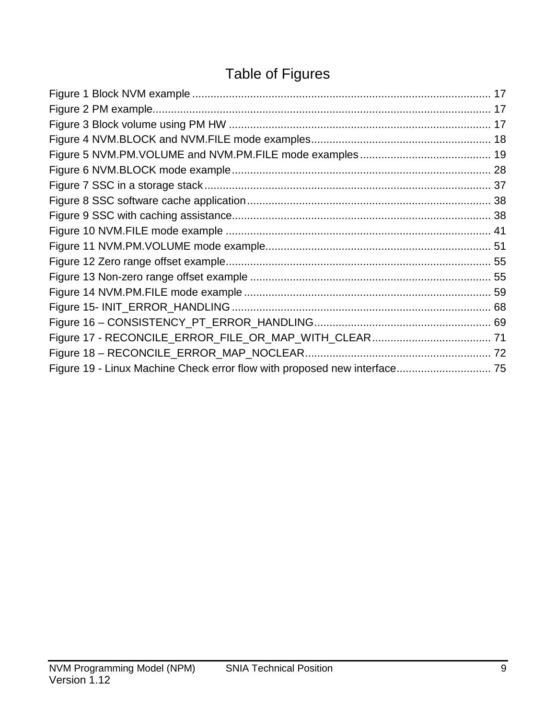# Table of Figures

| Figure 19 - Linux Machine Check error flow with proposed new interface 75 |  |
|---------------------------------------------------------------------------|--|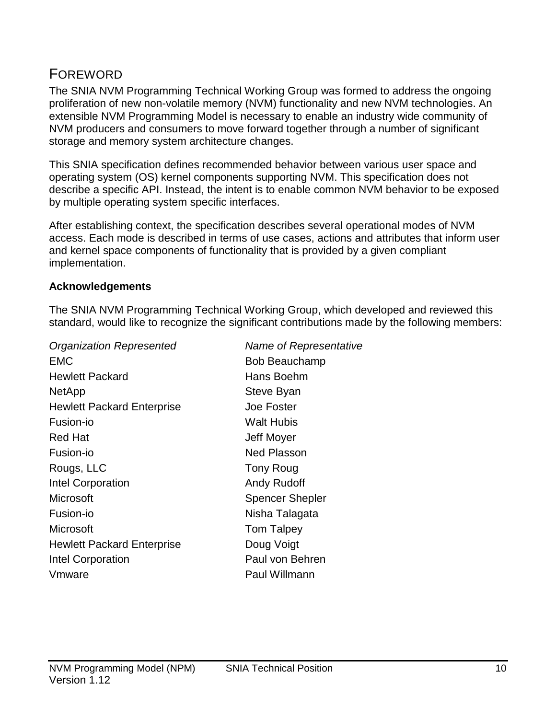## <span id="page-9-0"></span>FOREWORD

The SNIA NVM Programming Technical Working Group was formed to address the ongoing proliferation of new non-volatile memory (NVM) functionality and new NVM technologies. An extensible NVM Programming Model is necessary to enable an industry wide community of NVM producers and consumers to move forward together through a number of significant storage and memory system architecture changes.

This SNIA specification defines recommended behavior between various user space and operating system (OS) kernel components supporting NVM. This specification does not describe a specific API. Instead, the intent is to enable common NVM behavior to be exposed by multiple operating system specific interfaces.

After establishing context, the specification describes several operational modes of NVM access. Each mode is described in terms of use cases, actions and attributes that inform user and kernel space components of functionality that is provided by a given compliant implementation.

#### **Acknowledgements**

The SNIA NVM Programming Technical Working Group, which developed and reviewed this standard, would like to recognize the significant contributions made by the following members:

*Organization Represented Name of Representative* EMC Bob Beauchamp Hewlett Packard **Hans Boehm** NetApp Steve Byan Hewlett Packard Enterprise **Joe Foster** Fusion-io Walt Hubis Red Hat **Network** Contract Contract Contract Contract Contract Contract Contract Contract Contract Contract Contract Contract Contract Contract Contract Contract Contract Contract Contract Contract Contract Contract Contra Fusion-io **Ned Plasson** Rougs, LLC Tony Roug Intel Corporation **Andy Rudoff** Microsoft Spencer Shepler Fusion-io **Nisha Talagata** Microsoft **Tom Talpey** Hewlett Packard Enterprise **Doug Voigt** Intel Corporation **Paul von Behren** Vmware **Paul Willmann**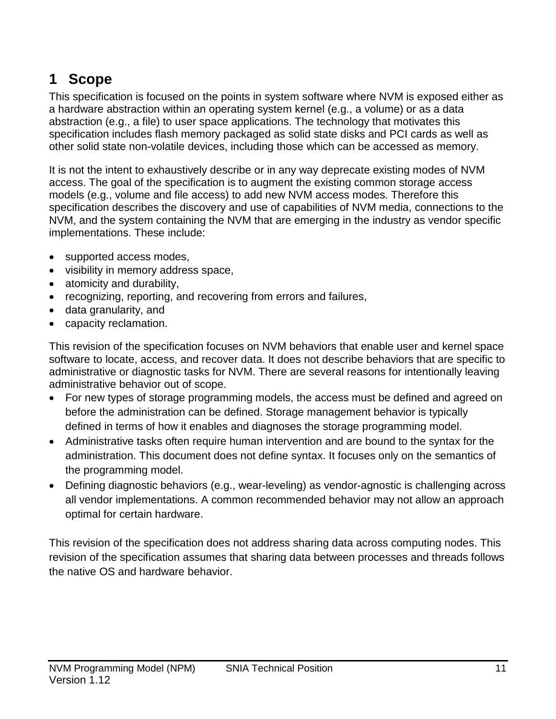# <span id="page-10-0"></span>**1 Scope**

This specification is focused on the points in system software where NVM is exposed either as a hardware abstraction within an operating system kernel (e.g., a volume) or as a data abstraction (e.g., a file) to user space applications. The technology that motivates this specification includes flash memory packaged as solid state disks and PCI cards as well as other solid state non-volatile devices, including those which can be accessed as memory.

It is not the intent to exhaustively describe or in any way deprecate existing modes of NVM access. The goal of the specification is to augment the existing common storage access models (e.g., volume and file access) to add new NVM access modes. Therefore this specification describes the discovery and use of capabilities of NVM media, connections to the NVM, and the system containing the NVM that are emerging in the industry as vendor specific implementations. These include:

- supported access modes,
- visibility in memory address space,
- atomicity and durability,
- recognizing, reporting, and recovering from errors and failures,
- data granularity, and
- capacity reclamation.

This revision of the specification focuses on NVM behaviors that enable user and kernel space software to locate, access, and recover data. It does not describe behaviors that are specific to administrative or diagnostic tasks for NVM. There are several reasons for intentionally leaving administrative behavior out of scope.

- For new types of storage programming models, the access must be defined and agreed on before the administration can be defined. Storage management behavior is typically defined in terms of how it enables and diagnoses the storage programming model.
- Administrative tasks often require human intervention and are bound to the syntax for the administration. This document does not define syntax. It focuses only on the semantics of the programming model.
- Defining diagnostic behaviors (e.g., wear-leveling) as vendor-agnostic is challenging across all vendor implementations. A common recommended behavior may not allow an approach optimal for certain hardware.

This revision of the specification does not address sharing data across computing nodes. This revision of the specification assumes that sharing data between processes and threads follows the native OS and hardware behavior.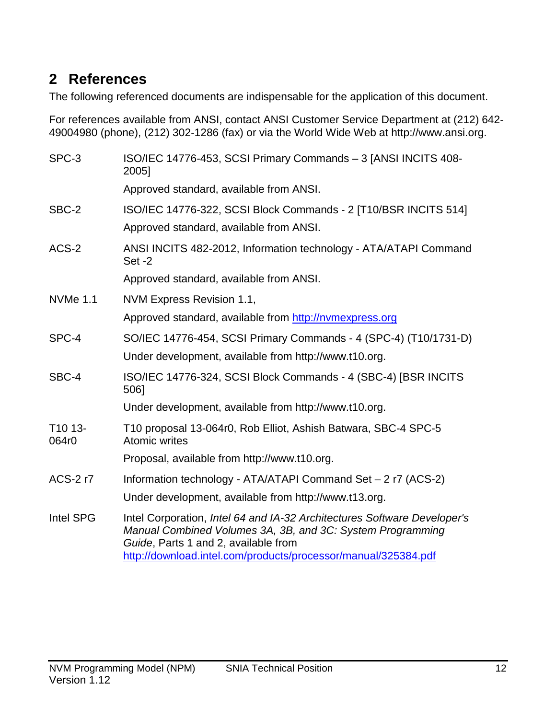## <span id="page-11-0"></span>**2 References**

The following referenced documents are indispensable for the application of this document.

For references available from ANSI, contact ANSI Customer Service Department at (212) 642- 49004980 (phone), (212) 302-1286 (fax) or via the World Wide Web at http://www.ansi.org.

| SPC-3            | ISO/IEC 14776-453, SCSI Primary Commands - 3 [ANSI INCITS 408-<br>2005]                                                                                                                                                                          |
|------------------|--------------------------------------------------------------------------------------------------------------------------------------------------------------------------------------------------------------------------------------------------|
|                  | Approved standard, available from ANSI.                                                                                                                                                                                                          |
| SBC-2            | ISO/IEC 14776-322, SCSI Block Commands - 2 [T10/BSR INCITS 514]                                                                                                                                                                                  |
|                  | Approved standard, available from ANSI.                                                                                                                                                                                                          |
| ACS-2            | ANSI INCITS 482-2012, Information technology - ATA/ATAPI Command<br>Set-2                                                                                                                                                                        |
|                  | Approved standard, available from ANSI.                                                                                                                                                                                                          |
| <b>NVMe 1.1</b>  | NVM Express Revision 1.1,                                                                                                                                                                                                                        |
|                  | Approved standard, available from http://nvmexpress.org                                                                                                                                                                                          |
| SPC-4            | SO/IEC 14776-454, SCSI Primary Commands - 4 (SPC-4) (T10/1731-D)                                                                                                                                                                                 |
|                  | Under development, available from http://www.t10.org.                                                                                                                                                                                            |
| SBC-4            | ISO/IEC 14776-324, SCSI Block Commands - 4 (SBC-4) [BSR INCITS<br>506]                                                                                                                                                                           |
|                  | Under development, available from http://www.t10.org.                                                                                                                                                                                            |
| T10 13-<br>064r0 | T10 proposal 13-064r0, Rob Elliot, Ashish Batwara, SBC-4 SPC-5<br><b>Atomic writes</b>                                                                                                                                                           |
|                  | Proposal, available from http://www.t10.org.                                                                                                                                                                                                     |
| <b>ACS-2r7</b>   | Information technology - ATA/ATAPI Command Set - 2 r7 (ACS-2)                                                                                                                                                                                    |
|                  | Under development, available from http://www.t13.org.                                                                                                                                                                                            |
| Intel SPG        | Intel Corporation, Intel 64 and IA-32 Architectures Software Developer's<br>Manual Combined Volumes 3A, 3B, and 3C: System Programming<br>Guide, Parts 1 and 2, available from<br>http://download.intel.com/products/processor/manual/325384.pdf |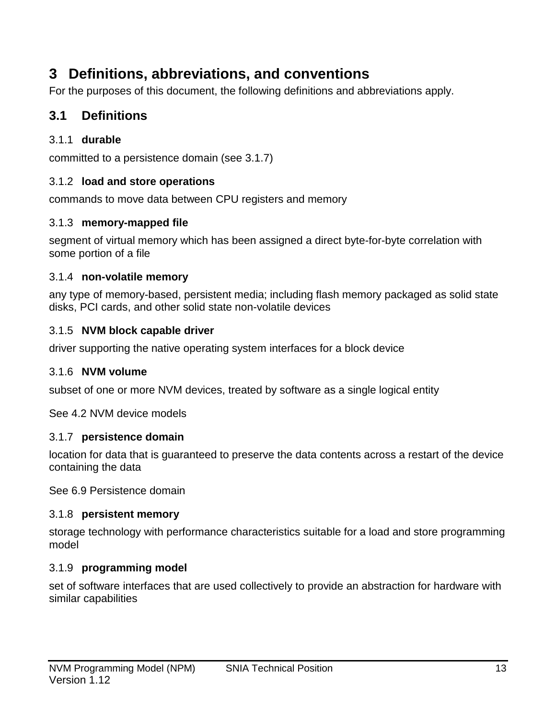## <span id="page-12-0"></span>**3 Definitions, abbreviations, and conventions**

For the purposes of this document, the following definitions and abbreviations apply.

## <span id="page-12-1"></span>**3.1 Definitions**

## 3.1.1 **durable**

committed to a persistence domain (see [3.1.7\)](#page-12-2)

### 3.1.2 **load and store operations**

commands to move data between CPU registers and memory

### 3.1.3 **memory-mapped file**

segment of virtual memory which has been assigned a direct byte-for-byte correlation with some portion of a file

#### 3.1.4 **non-volatile memory**

any type of memory-based, persistent media; including flash memory packaged as solid state disks, PCI cards, and other solid state non-volatile devices

#### 3.1.5 **NVM block capable driver**

driver supporting the native operating system interfaces for a block device

#### 3.1.6 **NVM volume**

subset of one or more NVM devices, treated by software as a single logical entity

See [4.2](#page-15-2) [NVM device models](#page-15-2)

#### <span id="page-12-2"></span>3.1.7 **persistence domain**

location for data that is guaranteed to preserve the data contents across a restart of the device containing the data

See [6.9](#page-23-3) [Persistence domain](#page-23-3)

#### 3.1.8 **persistent memory**

storage technology with performance characteristics suitable for a load and store programming model

#### 3.1.9 **programming model**

set of software interfaces that are used collectively to provide an abstraction for hardware with similar capabilities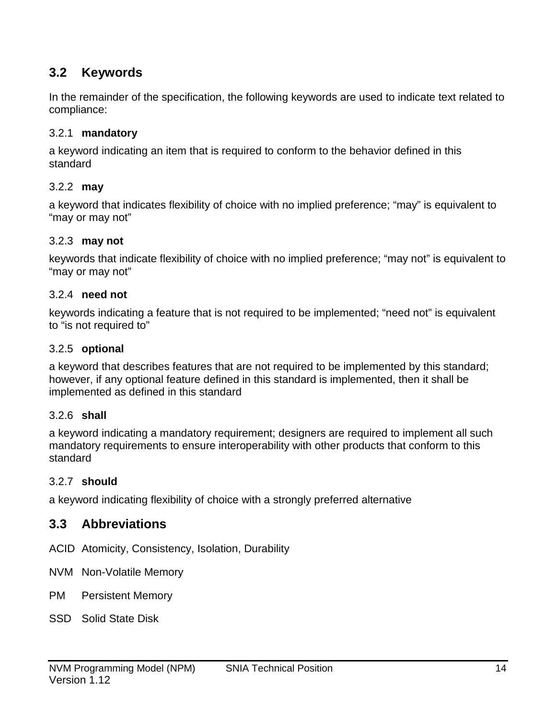## <span id="page-13-0"></span>**3.2 Keywords**

In the remainder of the specification, the following keywords are used to indicate text related to compliance:

#### 3.2.1 **mandatory**

a keyword indicating an item that is required to conform to the behavior defined in this standard

### 3.2.2 **may**

a keyword that indicates flexibility of choice with no implied preference; "may" is equivalent to "may or may not"

#### 3.2.3 **may not**

keywords that indicate flexibility of choice with no implied preference; "may not" is equivalent to "may or may not"

#### 3.2.4 **need not**

keywords indicating a feature that is not required to be implemented; "need not" is equivalent to "is not required to"

#### 3.2.5 **optional**

a keyword that describes features that are not required to be implemented by this standard; however, if any optional feature defined in this standard is implemented, then it shall be implemented as defined in this standard

#### 3.2.6 **shall**

a keyword indicating a mandatory requirement; designers are required to implement all such mandatory requirements to ensure interoperability with other products that conform to this standard

#### 3.2.7 **should**

a keyword indicating flexibility of choice with a strongly preferred alternative

## <span id="page-13-1"></span>**3.3 Abbreviations**

ACID Atomicity, Consistency, Isolation, Durability

- NVM Non-Volatile Memory
- PM Persistent Memory
- SSD Solid State Disk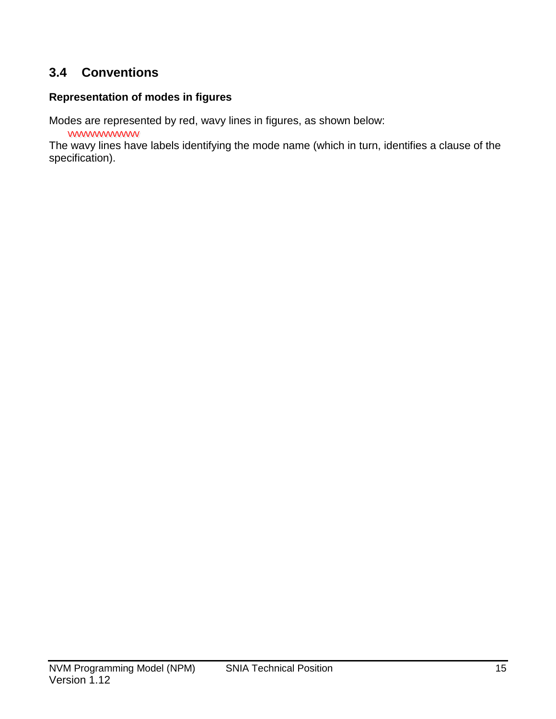## <span id="page-14-0"></span>**3.4 Conventions**

#### **Representation of modes in figures**

Modes are represented by red, wavy lines in figures, as shown below:

wwwwwww

 The wavy lines have labels identifying the mode name (which in turn, identifies a clause of the specification).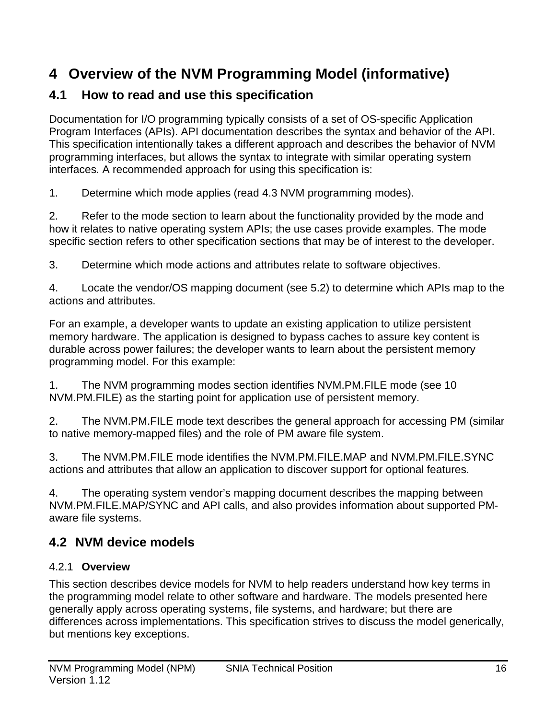## <span id="page-15-0"></span>**4 Overview of the NVM Programming Model (informative)**

## <span id="page-15-1"></span>**4.1 How to read and use this specification**

Documentation for I/O programming typically consists of a set of OS-specific Application Program Interfaces (APIs). API documentation describes the syntax and behavior of the API. This specification intentionally takes a different approach and describes the behavior of NVM programming interfaces, but allows the syntax to integrate with similar operating system interfaces. A recommended approach for using this specification is:

1. Determine which mode applies (read [4.3](#page-17-0) [NVM programming modes\)](#page-17-0).

2. Refer to the mode section to learn about the functionality provided by the mode and how it relates to native operating system APIs; the use cases provide examples. The mode specific section refers to other specification sections that may be of interest to the developer.

3. Determine which mode actions and attributes relate to software objectives.

4. Locate the vendor/OS mapping document (see [5.2\)](#page-21-2) to determine which APIs map to the actions and attributes.

For an example, a developer wants to update an existing application to utilize persistent memory hardware. The application is designed to bypass caches to assure key content is durable across power failures; the developer wants to learn about the persistent memory programming model. For this example:

1. The NVM programming modes section identifies NVM.PM.FILE mode (see [10](#page-58-0) [NVM.PM.FILE\)](#page-58-0) as the starting point for application use of persistent memory.

2. The NVM.PM.FILE mode text describes the general approach for accessing PM (similar to native memory-mapped files) and the role of PM aware file system.

3. The NVM.PM.FILE mode identifies the NVM.PM.FILE.MAP and NVM.PM.FILE.SYNC actions and attributes that allow an application to discover support for optional features.

4. The operating system vendor's mapping document describes the mapping between NVM.PM.FILE.MAP/SYNC and API calls, and also provides information about supported PMaware file systems.

## <span id="page-15-2"></span>**4.2 NVM device models**

## 4.2.1 **Overview**

This section describes device models for NVM to help readers understand how key terms in the programming model relate to other software and hardware. The models presented here generally apply across operating systems, file systems, and hardware; but there are differences across implementations. This specification strives to discuss the model generically, but mentions key exceptions.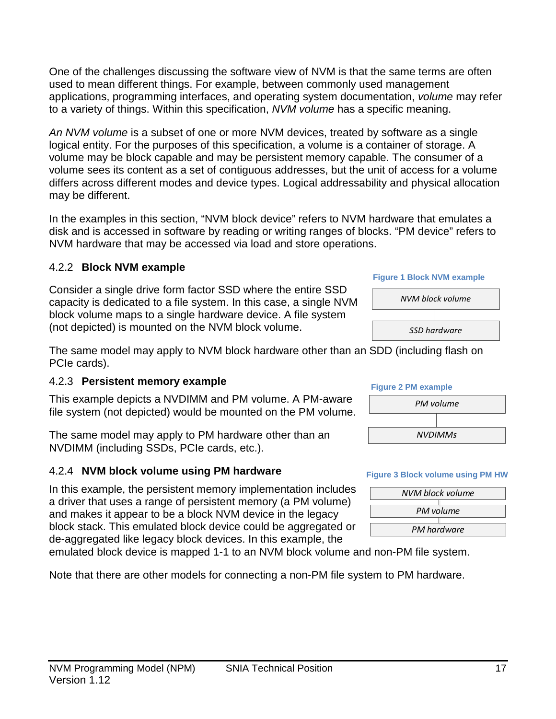One of the challenges discussing the software view of NVM is that the same terms are often used to mean different things. For example, between commonly used management applications, programming interfaces, and operating system documentation, *volume* may refer to a variety of things. Within this specification, *NVM volume* has a specific meaning.

An NVM volume is a subset of one or more NVM devices, treated by software as a single logical entity. For the purposes of this specification, a volume is a container of storage. A volume may be block capable and may be persistent memory capable. The consumer of a volume sees its content as a set of contiguous addresses, but the unit of access for a volume differs across different modes and device types. Logical addressability and physical allocation may be different.

In the examples in this section, "NVM block device" refers to NVM hardware that emulates a disk and is accessed in software by reading or writing ranges of blocks. "PM device" refers to NVM hardware that may be accessed via load and store operations.

### 4.2.2 **Block NVM example**

Consider a single drive form factor SSD where the entire SSD capacity is dedicated to a file system. In this case, a single NVM block volume maps to a single hardware device. A file system (not depicted) is mounted on the NVM block volume.

The same model may apply to NVM block hardware other than an SDD (including flash on PCIe cards).

## 4.2.3 **Persistent memory example**

This example depicts a NVDIMM and PM volume. A PM-aware file system (not depicted) would be mounted on the PM volume.

The same model may apply to PM hardware other than an NVDIMM (including SSDs, PCIe cards, etc.).

## 4.2.4 **NVM block volume using PM hardware**

In this example, the persistent memory implementation includes a driver that uses a range of persistent memory (a PM volume) and makes it appear to be a block NVM device in the legacy block stack. This emulated block device could be aggregated or de-aggregated like legacy block devices. In this example, the

emulated block device is mapped 1-1 to an NVM block volume and non-PM file system.

Note that there are other models for connecting a non-PM file system to PM hardware.

# **Figure 1 Block NVM example**



#### **Figure 2 PM example**



#### **Figure 3 Block volume using PM HW**

| NVM block volume |
|------------------|
|                  |
| PM volume        |
|                  |
| PM hardware      |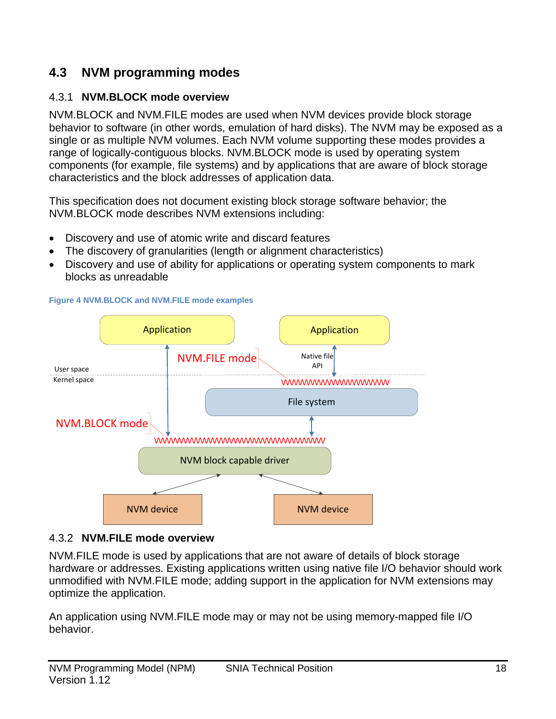## <span id="page-17-0"></span>**4.3 NVM programming modes**

## 4.3.1 **NVM.BLOCK mode overview**

NVM.BLOCK and NVM.FILE modes are used when NVM devices provide block storage behavior to software (in other words, emulation of hard disks). The NVM may be exposed as a single or as multiple NVM volumes. Each NVM volume supporting these modes provides a range of logically-contiguous blocks. NVM.BLOCK mode is used by operating system components (for example, file systems) and by applications that are aware of block storage characteristics and the block addresses of application data.

This specification does not document existing block storage software behavior; the NVM.BLOCK mode describes NVM extensions including:

- Discovery and use of atomic write and discard features
- The discovery of granularities (length or alignment characteristics)
- Discovery and use of ability for applications or operating system components to mark blocks as unreadable



<span id="page-17-1"></span>**Figure 4 NVM.BLOCK and NVM.FILE mode examples**

## 4.3.2 **NVM.FILE mode overview**

NVM.FILE mode is used by applications that are not aware of details of block storage hardware or addresses. Existing applications written using native file I/O behavior should work unmodified with NVM.FILE mode; adding support in the application for NVM extensions may optimize the application.

An application using NVM.FILE mode may or may not be using memory-mapped file I/O behavior.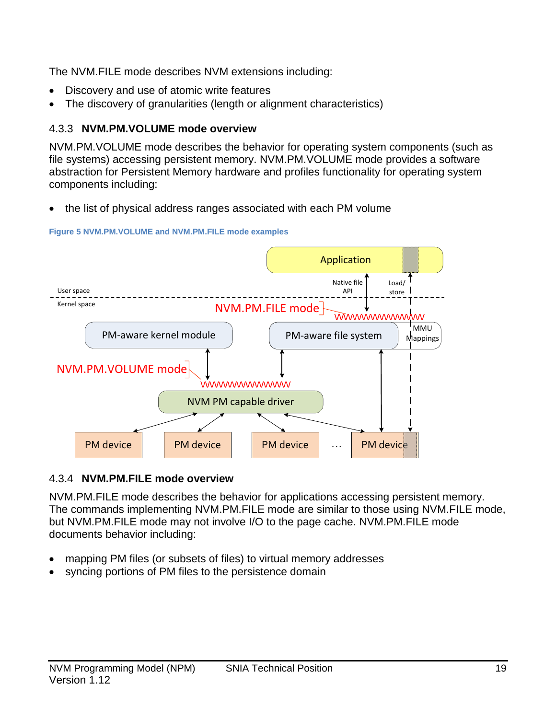The NVM.FILE mode describes NVM extensions including:

- Discovery and use of atomic write features
- The discovery of granularities (length or alignment characteristics)

## 4.3.3 **NVM.PM.VOLUME mode overview**

NVM.PM.VOLUME mode describes the behavior for operating system components (such as file systems) accessing persistent memory. NVM.PM.VOLUME mode provides a software abstraction for Persistent Memory hardware and profiles functionality for operating system components including:

• the list of physical address ranges associated with each PM volume



#### <span id="page-18-0"></span>**Figure 5 NVM.PM.VOLUME and NVM.PM.FILE mode examples**

## 4.3.4 **NVM.PM.FILE mode overview**

NVM.PM.FILE mode describes the behavior for applications accessing persistent memory. The commands implementing NVM.PM.FILE mode are similar to those using NVM.FILE mode, but NVM.PM.FILE mode may not involve I/O to the page cache. NVM.PM.FILE mode documents behavior including:

- mapping PM files (or subsets of files) to virtual memory addresses
- syncing portions of PM files to the persistence domain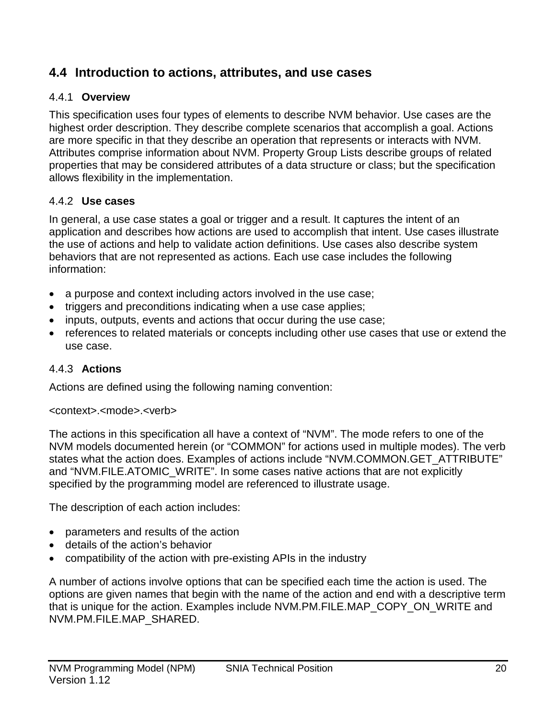## <span id="page-19-0"></span>**4.4 Introduction to actions, attributes, and use cases**

### 4.4.1 **Overview**

This specification uses four types of elements to describe NVM behavior. Use cases are the highest order description. They describe complete scenarios that accomplish a goal. Actions are more specific in that they describe an operation that represents or interacts with NVM. Attributes comprise information about NVM. Property Group Lists describe groups of related properties that may be considered attributes of a data structure or class; but the specification allows flexibility in the implementation.

### 4.4.2 **Use cases**

In general, a use case states a goal or trigger and a result. It captures the intent of an application and describes how actions are used to accomplish that intent. Use cases illustrate the use of actions and help to validate action definitions. Use cases also describe system behaviors that are not represented as actions. Each use case includes the following information:

- a purpose and context including actors involved in the use case;
- triggers and preconditions indicating when a use case applies;
- inputs, outputs, events and actions that occur during the use case;
- references to related materials or concepts including other use cases that use or extend the use case.

#### 4.4.3 **Actions**

Actions are defined using the following naming convention:

#### <context>.<mode>.<verb>

The actions in this specification all have a context of "NVM". The mode refers to one of the NVM models documented herein (or "COMMON" for actions used in multiple modes). The verb states what the action does. Examples of actions include "NVM.COMMON.GET\_ATTRIBUTE" and "NVM.FILE.ATOMIC WRITE". In some cases native actions that are not explicitly specified by the programming model are referenced to illustrate usage.

The description of each action includes:

- parameters and results of the action
- details of the action's behavior
- compatibility of the action with pre-existing APIs in the industry

A number of actions involve options that can be specified each time the action is used. The options are given names that begin with the name of the action and end with a descriptive term that is unique for the action. Examples include NVM.PM.FILE.MAP\_COPY\_ON\_WRITE and NVM.PM.FILE.MAP\_SHARED.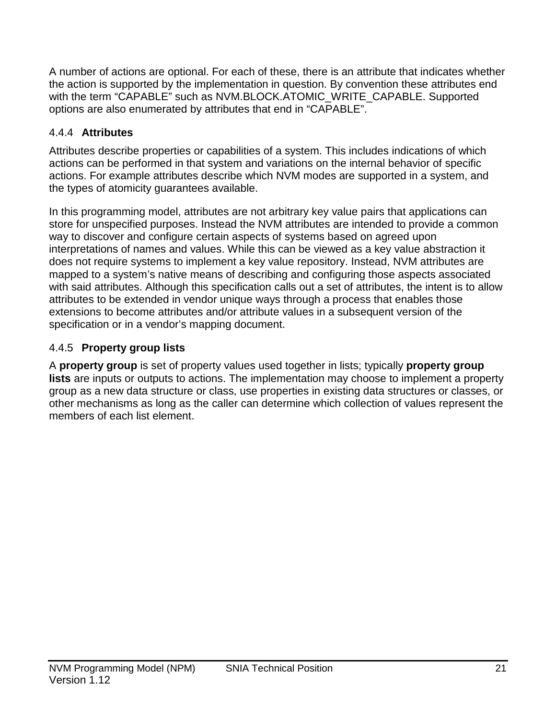A number of actions are optional. For each of these, there is an attribute that indicates whether the action is supported by the implementation in question. By convention these attributes end with the term "CAPABLE" such as NVM.BLOCK.ATOMIC\_WRITE\_CAPABLE. Supported options are also enumerated by attributes that end in "CAPABLE".

## 4.4.4 **Attributes**

Attributes describe properties or capabilities of a system. This includes indications of which actions can be performed in that system and variations on the internal behavior of specific actions. For example attributes describe which NVM modes are supported in a system, and the types of atomicity guarantees available.

In this programming model, attributes are not arbitrary key value pairs that applications can store for unspecified purposes. Instead the NVM attributes are intended to provide a common way to discover and configure certain aspects of systems based on agreed upon interpretations of names and values. While this can be viewed as a key value abstraction it does not require systems to implement a key value repository. Instead, NVM attributes are mapped to a system's native means of describing and configuring those aspects associated with said attributes. Although this specification calls out a set of attributes, the intent is to allow attributes to be extended in vendor unique ways through a process that enables those extensions to become attributes and/or attribute values in a subsequent version of the specification or in a vendor's mapping document.

## <span id="page-20-0"></span>4.4.5 **Property group lists**

A **property group** is set of property values used together in lists; typically **property group lists** are inputs or outputs to actions. The implementation may choose to implement a property group as a new data structure or class, use properties in existing data structures or classes, or other mechanisms as long as the caller can determine which collection of values represent the members of each list element.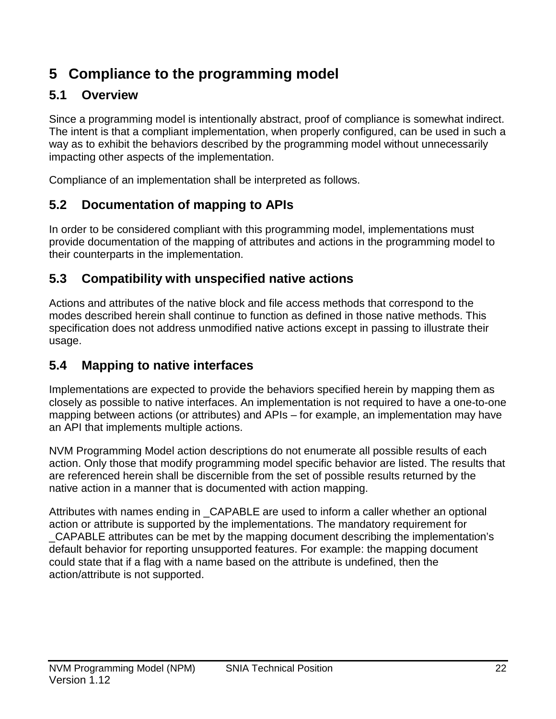# <span id="page-21-0"></span>**5 Compliance to the programming model**

## <span id="page-21-1"></span>**5.1 Overview**

Since a programming model is intentionally abstract, proof of compliance is somewhat indirect. The intent is that a compliant implementation, when properly configured, can be used in such a way as to exhibit the behaviors described by the programming model without unnecessarily impacting other aspects of the implementation.

Compliance of an implementation shall be interpreted as follows.

## <span id="page-21-2"></span>**5.2 Documentation of mapping to APIs**

In order to be considered compliant with this programming model, implementations must provide documentation of the mapping of attributes and actions in the programming model to their counterparts in the implementation.

## <span id="page-21-3"></span>**5.3 Compatibility with unspecified native actions**

Actions and attributes of the native block and file access methods that correspond to the modes described herein shall continue to function as defined in those native methods. This specification does not address unmodified native actions except in passing to illustrate their usage.

## <span id="page-21-4"></span>**5.4 Mapping to native interfaces**

Implementations are expected to provide the behaviors specified herein by mapping them as closely as possible to native interfaces. An implementation is not required to have a one-to-one mapping between actions (or attributes) and APIs – for example, an implementation may have an API that implements multiple actions.

NVM Programming Model action descriptions do not enumerate all possible results of each action. Only those that modify programming model specific behavior are listed. The results that are referenced herein shall be discernible from the set of possible results returned by the native action in a manner that is documented with action mapping.

Attributes with names ending in \_CAPABLE are used to inform a caller whether an optional action or attribute is supported by the implementations. The mandatory requirement for \_CAPABLE attributes can be met by the mapping document describing the implementation's default behavior for reporting unsupported features. For example: the mapping document could state that if a flag with a name based on the attribute is undefined, then the action/attribute is not supported.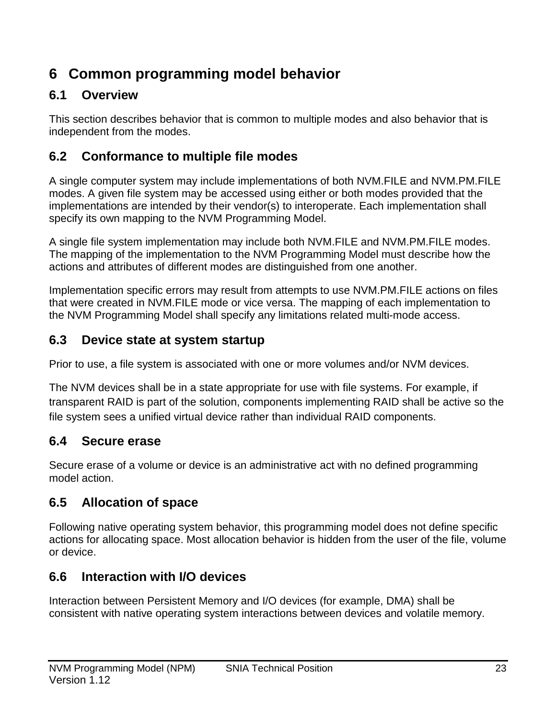## <span id="page-22-0"></span>**6 Common programming model behavior**

## <span id="page-22-1"></span>**6.1 Overview**

This section describes behavior that is common to multiple modes and also behavior that is independent from the modes.

## <span id="page-22-2"></span>**6.2 Conformance to multiple file modes**

A single computer system may include implementations of both NVM.FILE and NVM.PM.FILE modes. A given file system may be accessed using either or both modes provided that the implementations are intended by their vendor(s) to interoperate. Each implementation shall specify its own mapping to the NVM Programming Model.

A single file system implementation may include both NVM.FILE and NVM.PM.FILE modes. The mapping of the implementation to the NVM Programming Model must describe how the actions and attributes of different modes are distinguished from one another.

Implementation specific errors may result from attempts to use NVM.PM.FILE actions on files that were created in NVM.FILE mode or vice versa. The mapping of each implementation to the NVM Programming Model shall specify any limitations related multi-mode access.

## <span id="page-22-3"></span>**6.3 Device state at system startup**

Prior to use, a file system is associated with one or more volumes and/or NVM devices.

The NVM devices shall be in a state appropriate for use with file systems. For example, if transparent RAID is part of the solution, components implementing RAID shall be active so the file system sees a unified virtual device rather than individual RAID components.

## <span id="page-22-4"></span>**6.4 Secure erase**

Secure erase of a volume or device is an administrative act with no defined programming model action.

## <span id="page-22-5"></span>**6.5 Allocation of space**

Following native operating system behavior, this programming model does not define specific actions for allocating space. Most allocation behavior is hidden from the user of the file, volume or device.

## <span id="page-22-6"></span>**6.6 Interaction with I/O devices**

Interaction between Persistent Memory and I/O devices (for example, DMA) shall be consistent with native operating system interactions between devices and volatile memory.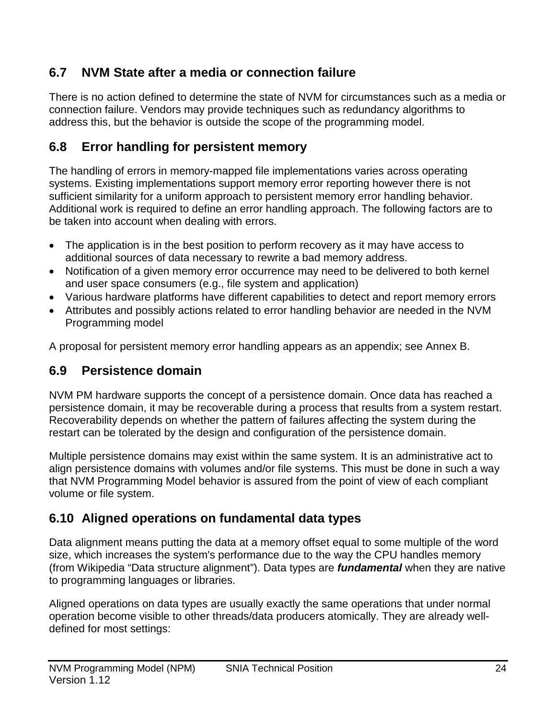## <span id="page-23-1"></span>**6.7 NVM State after a media or connection failure**

There is no action defined to determine the state of NVM for circumstances such as a media or connection failure. Vendors may provide techniques such as redundancy algorithms to address this, but the behavior is outside the scope of the programming model.

## <span id="page-23-2"></span>**6.8 Error handling for persistent memory**

The handling of errors in memory-mapped file implementations varies across operating systems. Existing implementations support memory error reporting however there is not sufficient similarity for a uniform approach to persistent memory error handling behavior. Additional work is required to define an error handling approach. The following factors are to be taken into account when dealing with errors.

- The application is in the best position to perform recovery as it may have access to additional sources of data necessary to rewrite a bad memory address.
- Notification of a given memory error occurrence may need to be delivered to both kernel and user space consumers (e.g., file system and application)
- Various hardware platforms have different capabilities to detect and report memory errors
- Attributes and possibly actions related to error handling behavior are needed in the NVM Programming model

A proposal for persistent memory error handling appears as an appendix; see Annex B.

## <span id="page-23-3"></span>**6.9 Persistence domain**

NVM PM hardware supports the concept of a persistence domain. Once data has reached a persistence domain, it may be recoverable during a process that results from a system restart. Recoverability depends on whether the pattern of failures affecting the system during the restart can be tolerated by the design and configuration of the persistence domain.

Multiple persistence domains may exist within the same system. It is an administrative act to align persistence domains with volumes and/or file systems. This must be done in such a way that NVM Programming Model behavior is assured from the point of view of each compliant volume or file system.

## <span id="page-23-0"></span>**6.10 Aligned operations on fundamental data types**

Data alignment means putting the data at a memory offset equal to some multiple of the word size, which increases the system's performance due to the way the CPU handles memory (from Wikipedia "Data structure alignment"). Data types are *fundamental* when they are native to programming languages or libraries.

Aligned operations on data types are usually exactly the same operations that under normal operation become visible to other threads/data producers atomically. They are already welldefined for most settings: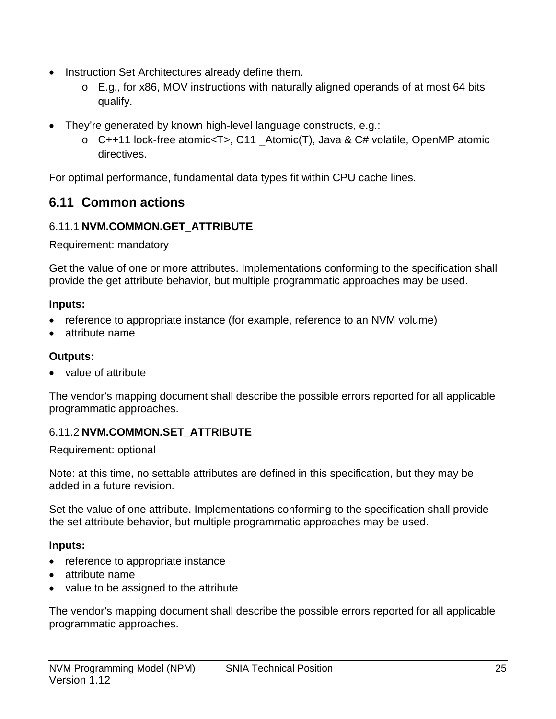- Instruction Set Architectures already define them.
	- o E.g., for x86, MOV instructions with naturally aligned operands of at most 64 bits qualify.
- They're generated by known high-level language constructs, e.g.:
	- o C++11 lock-free atomic<T>, C11 \_Atomic(T), Java & C# volatile, OpenMP atomic directives.

For optimal performance, fundamental data types fit within CPU cache lines.

## <span id="page-24-0"></span>**6.11 Common actions**

## <span id="page-24-1"></span>6.11.1 **NVM.COMMON.GET\_ATTRIBUTE**

Requirement: mandatory

Get the value of one or more attributes. Implementations conforming to the specification shall provide the get attribute behavior, but multiple programmatic approaches may be used.

### **Inputs:**

- reference to appropriate instance (for example, reference to an NVM volume)
- attribute name

## **Outputs:**

• value of attribute

The vendor's mapping document shall describe the possible errors reported for all applicable programmatic approaches.

## <span id="page-24-2"></span>6.11.2 **NVM.COMMON.SET\_ATTRIBUTE**

Requirement: optional

Note: at this time, no settable attributes are defined in this specification, but they may be added in a future revision.

Set the value of one attribute. Implementations conforming to the specification shall provide the set attribute behavior, but multiple programmatic approaches may be used.

## **Inputs:**

- reference to appropriate instance
- attribute name
- value to be assigned to the attribute

The vendor's mapping document shall describe the possible errors reported for all applicable programmatic approaches.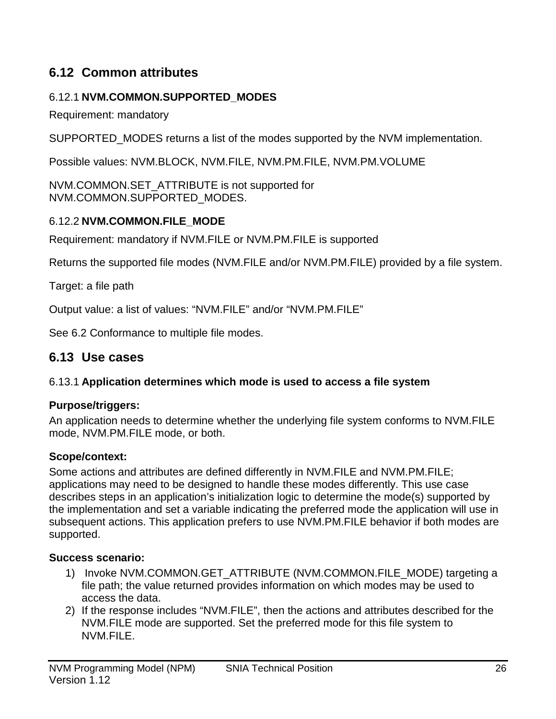## <span id="page-25-0"></span>**6.12 Common attributes**

### <span id="page-25-3"></span>6.12.1 **NVM.COMMON.SUPPORTED\_MODES**

Requirement: mandatory

SUPPORTED MODES returns a list of the modes supported by the NVM implementation.

Possible values: NVM.BLOCK, NVM.FILE, NVM.PM.FILE, NVM.PM.VOLUME

NVM.COMMON.SET\_ATTRIBUTE is not supported for NVM.COMMON.SUPPORTED\_MODES.

#### <span id="page-25-2"></span>6.12.2 **NVM.COMMON.FILE\_MODE**

Requirement: mandatory if NVM.FILE or NVM.PM.FILE is supported

Returns the supported file modes (NVM.FILE and/or NVM.PM.FILE) provided by a file system.

Target: a file path

Output value: a list of values: "NVM.FILE" and/or "NVM.PM.FILE"

See [6.2](#page-22-2) [Conformance to multiple file modes.](#page-22-2)

### <span id="page-25-1"></span>**6.13 Use cases**

#### 6.13.1 **Application determines which mode is used to access a file system**

#### **Purpose/triggers:**

An application needs to determine whether the underlying file system conforms to NVM.FILE mode, NVM.PM.FILE mode, or both.

#### **Scope/context:**

Some actions and attributes are defined differently in NVM.FILE and NVM.PM.FILE; applications may need to be designed to handle these modes differently. This use case describes steps in an application's initialization logic to determine the mode(s) supported by the implementation and set a variable indicating the preferred mode the application will use in subsequent actions. This application prefers to use NVM.PM.FILE behavior if both modes are supported.

#### **Success scenario:**

- 1) Invoke NVM.COMMON.GET\_ATTRIBUTE (NVM.COMMON.FILE\_MODE) targeting a file path; the value returned provides information on which modes may be used to access the data.
- 2) If the response includes "NVM.FILE", then the actions and attributes described for the NVM.FILE mode are supported. Set the preferred mode for this file system to NVM.FILE.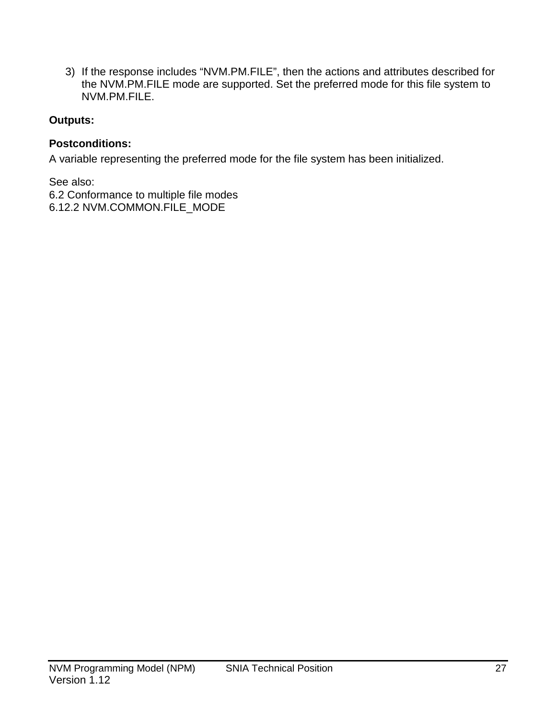3) If the response includes "NVM.PM.FILE", then the actions and attributes described for the NVM.PM.FILE mode are supported. Set the preferred mode for this file system to NVM.PM.FILE.

### **Outputs:**

#### **Postconditions:**

A variable representing the preferred mode for the file system has been initialized.

See also:

[6.2](#page-22-2) [Conformance to multiple file modes](#page-22-2) [6.12.2](#page-25-2) [NVM.COMMON.FILE\\_MODE](#page-25-2)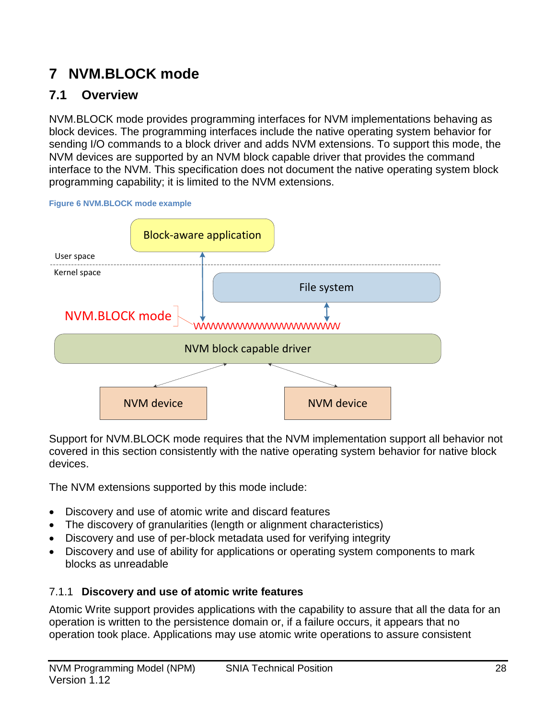# <span id="page-27-0"></span>**7 NVM.BLOCK mode**

## <span id="page-27-1"></span>**7.1 Overview**

NVM.BLOCK mode provides programming interfaces for NVM implementations behaving as block devices. The programming interfaces include the native operating system behavior for sending I/O commands to a block driver and adds NVM extensions. To support this mode, the NVM devices are supported by an NVM block capable driver that provides the command interface to the NVM. This specification does not document the native operating system block programming capability; it is limited to the NVM extensions.



<span id="page-27-2"></span>**Figure 6 NVM.BLOCK mode example**

Support for NVM.BLOCK mode requires that the NVM implementation support all behavior not covered in this section consistently with the native operating system behavior for native block devices.

The NVM extensions supported by this mode include:

- Discovery and use of atomic write and discard features
- The discovery of granularities (length or alignment characteristics)
- Discovery and use of per-block metadata used for verifying integrity
- Discovery and use of ability for applications or operating system components to mark blocks as unreadable

## 7.1.1 **Discovery and use of atomic write features**

Atomic Write support provides applications with the capability to assure that all the data for an operation is written to the persistence domain or, if a failure occurs, it appears that no operation took place. Applications may use atomic write operations to assure consistent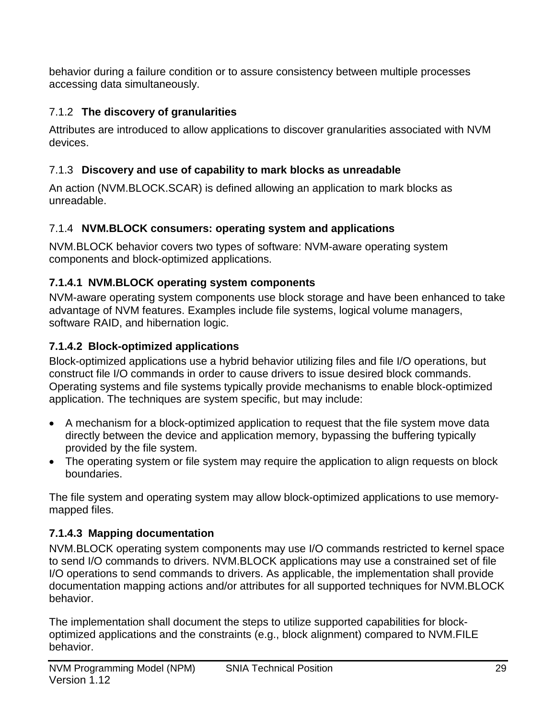behavior during a failure condition or to assure consistency between multiple processes accessing data simultaneously.

## 7.1.2 **The discovery of granularities**

Attributes are introduced to allow applications to discover granularities associated with NVM devices.

## 7.1.3 **Discovery and use of capability to mark blocks as unreadable**

An action (NVM.BLOCK.SCAR) is defined allowing an application to mark blocks as unreadable.

## 7.1.4 **NVM.BLOCK consumers: operating system and applications**

NVM.BLOCK behavior covers two types of software: NVM-aware operating system components and block-optimized applications.

### **7.1.4.1 NVM.BLOCK operating system components**

NVM-aware operating system components use block storage and have been enhanced to take advantage of NVM features. Examples include file systems, logical volume managers, software RAID, and hibernation logic.

## **7.1.4.2 Block-optimized applications**

Block-optimized applications use a hybrid behavior utilizing files and file I/O operations, but construct file I/O commands in order to cause drivers to issue desired block commands. Operating systems and file systems typically provide mechanisms to enable block-optimized application. The techniques are system specific, but may include:

- A mechanism for a block-optimized application to request that the file system move data directly between the device and application memory, bypassing the buffering typically provided by the file system.
- The operating system or file system may require the application to align requests on block boundaries.

The file system and operating system may allow block-optimized applications to use memorymapped files.

## **7.1.4.3 Mapping documentation**

NVM.BLOCK operating system components may use I/O commands restricted to kernel space to send I/O commands to drivers. NVM.BLOCK applications may use a constrained set of file I/O operations to send commands to drivers. As applicable, the implementation shall provide documentation mapping actions and/or attributes for all supported techniques for NVM.BLOCK behavior.

The implementation shall document the steps to utilize supported capabilities for blockoptimized applications and the constraints (e.g., block alignment) compared to NVM.FILE behavior.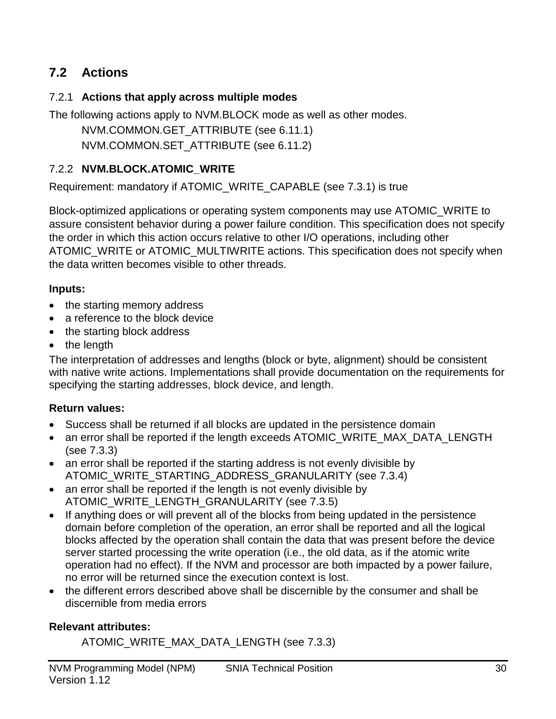## <span id="page-29-0"></span>**7.2 Actions**

#### 7.2.1 **Actions that apply across multiple modes**

The following actions apply to NVM.BLOCK mode as well as other modes. NVM.COMMON.GET\_ATTRIBUTE (see [6.11.1\)](#page-24-1) NVM.COMMON.SET\_ATTRIBUTE (see [6.11.2\)](#page-24-2)

### 7.2.2 **NVM.BLOCK.ATOMIC\_WRITE**

Requirement: mandatory if ATOMIC\_WRITE\_CAPABLE (see [7.3.1\)](#page-32-1) is true

Block-optimized applications or operating system components may use ATOMIC\_WRITE to assure consistent behavior during a power failure condition. This specification does not specify the order in which this action occurs relative to other I/O operations, including other ATOMIC WRITE or ATOMIC MULTIWRITE actions. This specification does not specify when the data written becomes visible to other threads.

#### **Inputs:**

- the starting memory address
- a reference to the block device
- the starting block address
- the length

The interpretation of addresses and lengths (block or byte, alignment) should be consistent with native write actions. Implementations shall provide documentation on the requirements for specifying the starting addresses, block device, and length.

#### **Return values:**

- Success shall be returned if all blocks are updated in the persistence domain
- an error shall be reported if the length exceeds ATOMIC\_WRITE\_MAX\_DATA\_LENGTH (see [7.3.3\)](#page-32-2)
- an error shall be reported if the starting address is not evenly divisible by ATOMIC\_WRITE\_STARTING\_ADDRESS\_GRANULARITY (see [7.3.4\)](#page-33-0)
- an error shall be reported if the length is not evenly divisible by ATOMIC\_WRITE\_LENGTH\_GRANULARITY (see [7.3.5\)](#page-33-1)
- If anything does or will prevent all of the blocks from being updated in the persistence domain before completion of the operation, an error shall be reported and all the logical blocks affected by the operation shall contain the data that was present before the device server started processing the write operation (i.e., the old data, as if the atomic write operation had no effect). If the NVM and processor are both impacted by a power failure, no error will be returned since the execution context is lost.
- the different errors described above shall be discernible by the consumer and shall be discernible from media errors

#### **Relevant attributes:**

ATOMIC\_WRITE\_MAX\_DATA\_LENGTH (see [7.3.3\)](#page-32-2)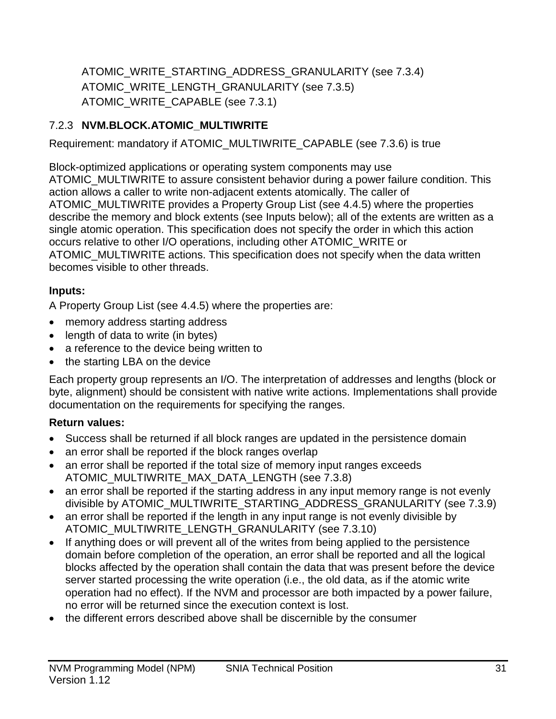ATOMIC\_WRITE\_STARTING\_ADDRESS\_GRANULARITY (see [7.3.4\)](#page-33-0) ATOMIC\_WRITE\_LENGTH\_GRANULARITY (see [7.3.5\)](#page-33-1) ATOMIC\_WRITE\_CAPABLE (see [7.3.1\)](#page-32-1)

## 7.2.3 **NVM.BLOCK.ATOMIC\_MULTIWRITE**

Requirement: mandatory if ATOMIC\_MULTIWRITE\_CAPABLE (see [7.3.6\)](#page-33-2) is true

Block-optimized applications or operating system components may use ATOMIC MULTIWRITE to assure consistent behavior during a power failure condition. This action allows a caller to write non-adjacent extents atomically. The caller of ATOMIC\_MULTIWRITE provides a Property Group List (see [4.4.5\)](#page-20-0) where the properties describe the memory and block extents (see Inputs below); all of the extents are written as a single atomic operation. This specification does not specify the order in which this action occurs relative to other I/O operations, including other ATOMIC\_WRITE or ATOMIC\_MULTIWRITE actions. This specification does not specify when the data written becomes visible to other threads.

## **Inputs:**

A Property Group List (see [4.4.5\)](#page-20-0) where the properties are:

- memory address starting address
- length of data to write (in bytes)
- a reference to the device being written to
- the starting LBA on the device

Each property group represents an I/O. The interpretation of addresses and lengths (block or byte, alignment) should be consistent with native write actions. Implementations shall provide documentation on the requirements for specifying the ranges.

## **Return values:**

- Success shall be returned if all block ranges are updated in the persistence domain
- an error shall be reported if the block ranges overlap
- an error shall be reported if the total size of memory input ranges exceeds ATOMIC\_MULTIWRITE\_MAX\_DATA\_LENGTH (see [7.3.8\)](#page-33-3)
- an error shall be reported if the starting address in any input memory range is not evenly divisible by ATOMIC\_MULTIWRITE\_STARTING\_ADDRESS\_GRANULARITY (see [7.3.9\)](#page-33-4)
- an error shall be reported if the length in any input range is not evenly divisible by ATOMIC\_MULTIWRITE\_LENGTH\_GRANULARITY (see [7.3.10\)](#page-33-5)
- If anything does or will prevent all of the writes from being applied to the persistence domain before completion of the operation, an error shall be reported and all the logical blocks affected by the operation shall contain the data that was present before the device server started processing the write operation (i.e., the old data, as if the atomic write operation had no effect). If the NVM and processor are both impacted by a power failure, no error will be returned since the execution context is lost.
- the different errors described above shall be discernible by the consumer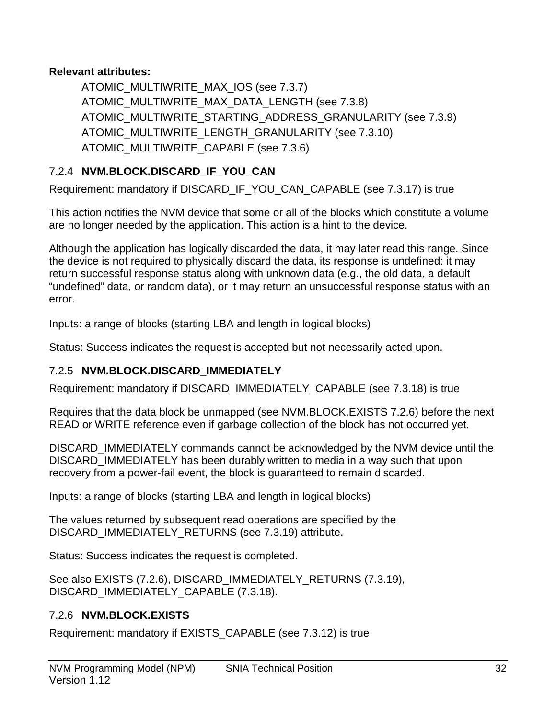### **Relevant attributes:**

ATOMIC\_MULTIWRITE\_MAX\_IOS (see [7.3.7\)](#page-33-6) ATOMIC\_MULTIWRITE\_MAX\_DATA\_LENGTH (see [7.3.8\)](#page-33-3) ATOMIC\_MULTIWRITE\_STARTING\_ADDRESS\_GRANULARITY (see [7.3.9\)](#page-33-4) ATOMIC\_MULTIWRITE\_LENGTH\_GRANULARITY (see [7.3.10\)](#page-33-5) ATOMIC\_MULTIWRITE\_CAPABLE (see [7.3.6\)](#page-33-2)

## 7.2.4 **NVM.BLOCK.DISCARD\_IF\_YOU\_CAN**

Requirement: mandatory if DISCARD\_IF\_YOU\_CAN\_CAPABLE (see [7.3.17\)](#page-35-0) is true

This action notifies the NVM device that some or all of the blocks which constitute a volume are no longer needed by the application. This action is a hint to the device.

Although the application has logically discarded the data, it may later read this range. Since the device is not required to physically discard the data, its response is undefined: it may return successful response status along with unknown data (e.g., the old data, a default "undefined" data, or random data), or it may return an unsuccessful response status with an error.

Inputs: a range of blocks (starting LBA and length in logical blocks)

Status: Success indicates the request is accepted but not necessarily acted upon.

## 7.2.5 **NVM.BLOCK.DISCARD\_IMMEDIATELY**

Requirement: mandatory if DISCARD\_IMMEDIATELY\_CAPABLE (see [7.3.18\)](#page-35-1) is true

Requires that the data block be unmapped (see [NVM.BLOCK.EXISTS](#page-31-0) [7.2.6\)](#page-31-0) before the next READ or WRITE reference even if garbage collection of the block has not occurred yet,

DISCARD\_IMMEDIATELY commands cannot be acknowledged by the NVM device until the DISCARD IMMEDIATELY has been durably written to media in a way such that upon recovery from a power-fail event, the block is guaranteed to remain discarded.

Inputs: a range of blocks (starting LBA and length in logical blocks)

The values returned by subsequent read operations are specified by the DISCARD\_IMMEDIATELY\_RETURNS (see [7.3.19\)](#page-35-2) attribute.

Status: Success indicates the request is completed.

See also EXISTS [\(7.2.6\)](#page-31-0), DISCARD\_IMMEDIATELY\_RETURNS [\(7.3.19\)](#page-35-2), DISCARD\_IMMEDIATELY\_CAPABLE [\(7.3.18\)](#page-35-1).

## <span id="page-31-0"></span>7.2.6 **NVM.BLOCK.EXISTS**

Requirement: mandatory if EXISTS\_CAPABLE (see [7.3.12\)](#page-34-0) is true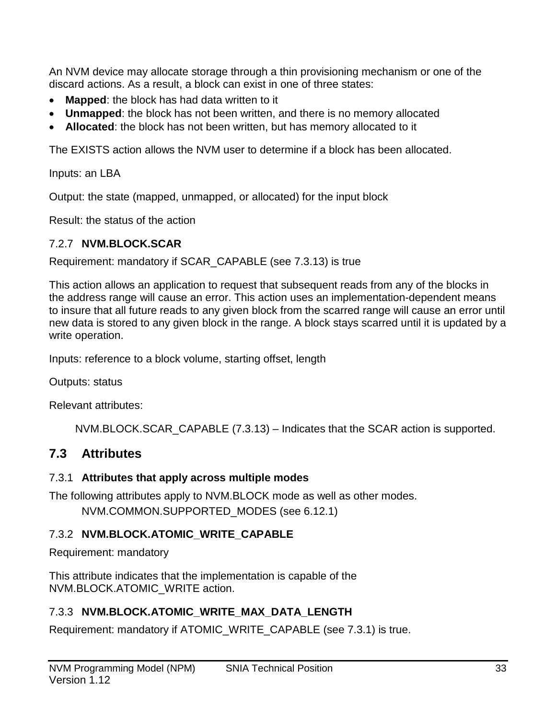An NVM device may allocate storage through a thin provisioning mechanism or one of the discard actions. As a result, a block can exist in one of three states:

- **Mapped**: the block has had data written to it
- **Unmapped**: the block has not been written, and there is no memory allocated
- **Allocated**: the block has not been written, but has memory allocated to it

The EXISTS action allows the NVM user to determine if a block has been allocated.

Inputs: an LBA

Output: the state (mapped, unmapped, or allocated) for the input block

Result: the status of the action

## <span id="page-32-3"></span>7.2.7 **NVM.BLOCK.SCAR**

Requirement: mandatory if SCAR\_CAPABLE (see [7.3.13\)](#page-34-1) is true

This action allows an application to request that subsequent reads from any of the blocks in the address range will cause an error. This action uses an implementation-dependent means to insure that all future reads to any given block from the scarred range will cause an error until new data is stored to any given block in the range. A block stays scarred until it is updated by a write operation.

Inputs: reference to a block volume, starting offset, length

Outputs: status

Relevant attributes:

NVM.BLOCK.SCAR\_CAPABLE [\(7.3.13\)](#page-34-1) – Indicates that the SCAR action is supported.

## <span id="page-32-0"></span>**7.3 Attributes**

## <span id="page-32-1"></span>7.3.1 **Attributes that apply across multiple modes**

The following attributes apply to NVM.BLOCK mode as well as other modes. NVM.COMMON.SUPPORTED\_MODES (see [6.12.1\)](#page-25-3)

## 7.3.2 **NVM.BLOCK.ATOMIC\_WRITE\_CAPABLE**

Requirement: mandatory

This attribute indicates that the implementation is capable of the NVM.BLOCK.ATOMIC\_WRITE action.

## <span id="page-32-2"></span>7.3.3 **NVM.BLOCK.ATOMIC\_WRITE\_MAX\_DATA\_LENGTH**

Requirement: mandatory if ATOMIC\_WRITE\_CAPABLE (see [7.3.1\)](#page-32-1) is true.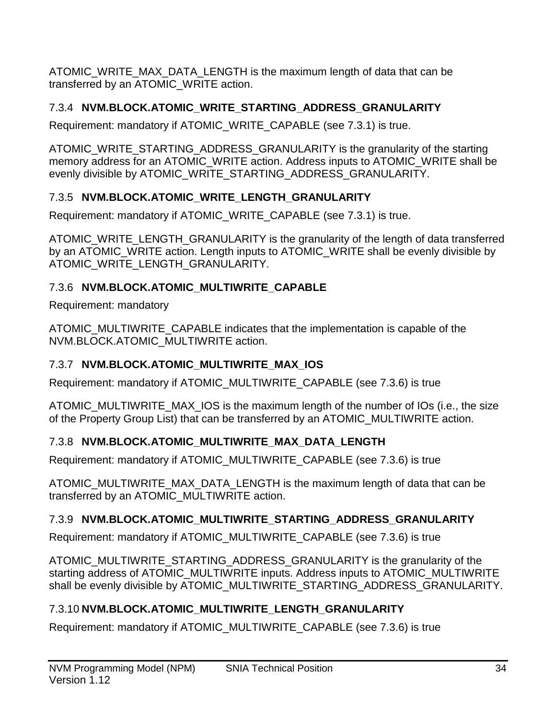ATOMIC\_WRITE\_MAX\_DATA\_LENGTH is the maximum length of data that can be transferred by an ATOMIC\_WRITE action.

## <span id="page-33-0"></span>7.3.4 **NVM.BLOCK.ATOMIC\_WRITE\_STARTING\_ADDRESS\_GRANULARITY**

Requirement: mandatory if ATOMIC\_WRITE\_CAPABLE (see [7.3.1\)](#page-32-1) is true.

ATOMIC\_WRITE\_STARTING\_ADDRESS\_GRANULARITY is the granularity of the starting memory address for an ATOMIC\_WRITE action. Address inputs to ATOMIC\_WRITE shall be evenly divisible by ATOMIC WRITE\_STARTING\_ADDRESS\_GRANULARITY.

## <span id="page-33-1"></span>7.3.5 **NVM.BLOCK.ATOMIC\_WRITE\_LENGTH\_GRANULARITY**

Requirement: mandatory if ATOMIC\_WRITE\_CAPABLE (see [7.3.1\)](#page-32-1) is true.

ATOMIC WRITE LENGTH GRANULARITY is the granularity of the length of data transferred by an ATOMIC\_WRITE action. Length inputs to ATOMIC\_WRITE shall be evenly divisible by ATOMIC\_WRITE\_LENGTH\_GRANULARITY.

## <span id="page-33-2"></span>7.3.6 **NVM.BLOCK.ATOMIC\_MULTIWRITE\_CAPABLE**

Requirement: mandatory

ATOMIC\_MULTIWRITE\_CAPABLE indicates that the implementation is capable of the NVM.BLOCK.ATOMIC\_MULTIWRITE action.

## <span id="page-33-6"></span>7.3.7 **NVM.BLOCK.ATOMIC\_MULTIWRITE\_MAX\_IOS**

Requirement: mandatory if ATOMIC\_MULTIWRITE\_CAPABLE (see [7.3.6\)](#page-33-2) is true

ATOMIC MULTIWRITE MAX IOS is the maximum length of the number of IOs (i.e., the size of the Property Group List) that can be transferred by an ATOMIC\_MULTIWRITE action.

## <span id="page-33-3"></span>7.3.8 **NVM.BLOCK.ATOMIC\_MULTIWRITE\_MAX\_DATA\_LENGTH**

Requirement: mandatory if ATOMIC\_MULTIWRITE\_CAPABLE (see [7.3.6\)](#page-33-2) is true

ATOMIC\_MULTIWRITE\_MAX\_DATA\_LENGTH is the maximum length of data that can be transferred by an ATOMIC\_MULTIWRITE action.

## <span id="page-33-4"></span>7.3.9 **NVM.BLOCK.ATOMIC\_MULTIWRITE\_STARTING\_ADDRESS\_GRANULARITY**

Requirement: mandatory if ATOMIC\_MULTIWRITE\_CAPABLE (see [7.3.6\)](#page-33-2) is true

ATOMIC\_MULTIWRITE\_STARTING\_ADDRESS\_GRANULARITY is the granularity of the starting address of ATOMIC\_MULTIWRITE inputs. Address inputs to ATOMIC\_MULTIWRITE shall be evenly divisible by ATOMIC\_MULTIWRITE\_STARTING\_ADDRESS\_GRANULARITY.

## <span id="page-33-5"></span>7.3.10 **NVM.BLOCK.ATOMIC\_MULTIWRITE\_LENGTH\_GRANULARITY**

Requirement: mandatory if ATOMIC\_MULTIWRITE\_CAPABLE (see [7.3.6\)](#page-33-2) is true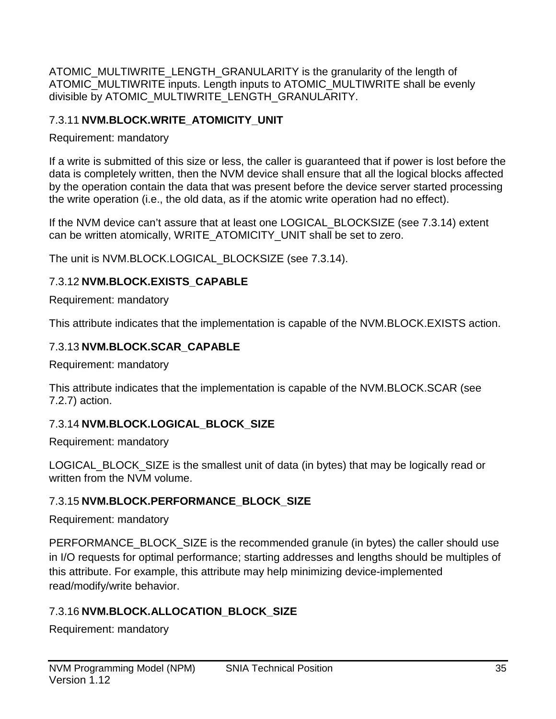ATOMIC\_MULTIWRITE\_LENGTH\_GRANULARITY is the granularity of the length of ATOMIC\_MULTIWRITE inputs. Length inputs to ATOMIC\_MULTIWRITE shall be evenly divisible by ATOMIC\_MULTIWRITE\_LENGTH\_GRANULARITY.

## 7.3.11 **NVM.BLOCK.WRITE\_ATOMICITY\_UNIT**

Requirement: mandatory

If a write is submitted of this size or less, the caller is guaranteed that if power is lost before the data is completely written, then the NVM device shall ensure that all the logical blocks affected by the operation contain the data that was present before the device server started processing the write operation (i.e., the old data, as if the atomic write operation had no effect).

If the NVM device can't assure that at least one LOGICAL\_BLOCKSIZE (see [7.3.14\)](#page-34-2) extent can be written atomically, WRITE\_ATOMICITY\_UNIT shall be set to zero.

The unit is NVM.BLOCK.LOGICAL\_BLOCKSIZE (see [7.3.14\)](#page-34-2).

## <span id="page-34-0"></span>7.3.12 **NVM.BLOCK.EXISTS\_CAPABLE**

Requirement: mandatory

This attribute indicates that the implementation is capable of the NVM.BLOCK.EXISTS action.

## <span id="page-34-1"></span>7.3.13 **NVM.BLOCK.SCAR\_CAPABLE**

Requirement: mandatory

This attribute indicates that the implementation is capable of the NVM.BLOCK.SCAR (see [7.2.7\)](#page-32-3) action.

## <span id="page-34-2"></span>7.3.14 **NVM.BLOCK.LOGICAL\_BLOCK\_SIZE**

Requirement: mandatory

LOGICAL BLOCK SIZE is the smallest unit of data (in bytes) that may be logically read or written from the NVM volume.

## 7.3.15 **NVM.BLOCK.PERFORMANCE\_BLOCK\_SIZE**

Requirement: mandatory

PERFORMANCE\_BLOCK\_SIZE is the recommended granule (in bytes) the caller should use in I/O requests for optimal performance; starting addresses and lengths should be multiples of this attribute. For example, this attribute may help minimizing device-implemented read/modify/write behavior.

## 7.3.16 **NVM.BLOCK.ALLOCATION\_BLOCK\_SIZE**

Requirement: mandatory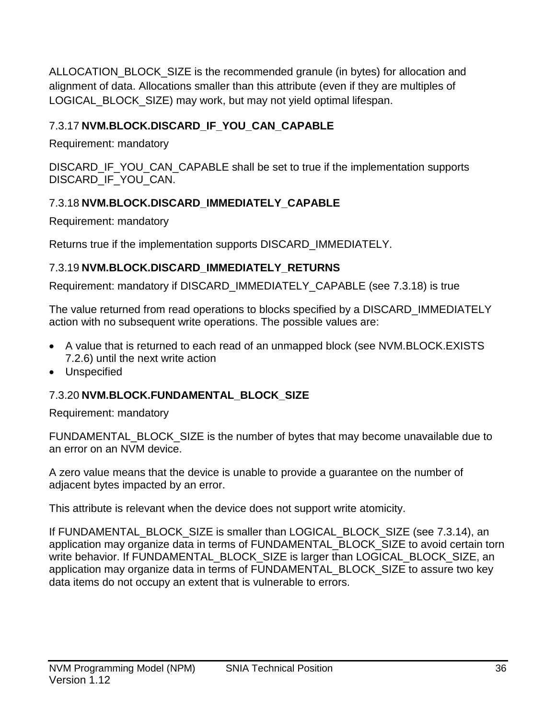ALLOCATION\_BLOCK\_SIZE is the recommended granule (in bytes) for allocation and alignment of data. Allocations smaller than this attribute (even if they are multiples of LOGICAL\_BLOCK\_SIZE) may work, but may not yield optimal lifespan.

## <span id="page-35-0"></span>7.3.17 **NVM.BLOCK.DISCARD\_IF\_YOU\_CAN\_CAPABLE**

Requirement: mandatory

DISCARD IF YOU CAN CAPABLE shall be set to true if the implementation supports DISCARD\_IF\_YOU\_CAN.

## <span id="page-35-1"></span>7.3.18 **NVM.BLOCK.DISCARD\_IMMEDIATELY\_CAPABLE**

Requirement: mandatory

Returns true if the implementation supports DISCARD\_IMMEDIATELY.

## <span id="page-35-2"></span>7.3.19 **NVM.BLOCK.DISCARD\_IMMEDIATELY\_RETURNS**

Requirement: mandatory if DISCARD\_IMMEDIATELY\_CAPABLE (see [7.3.18\)](#page-35-1) is true

The value returned from read operations to blocks specified by a DISCARD\_IMMEDIATELY action with no subsequent write operations. The possible values are:

- A value that is returned to each read of an unmapped block (see [NVM.BLOCK.EXISTS](#page-31-0) [7.2.6\)](#page-31-0) until the next write action
- Unspecified

## 7.3.20 **NVM.BLOCK.FUNDAMENTAL\_BLOCK\_SIZE**

Requirement: mandatory

FUNDAMENTAL\_BLOCK\_SIZE is the number of bytes that may become unavailable due to an error on an NVM device.

A zero value means that the device is unable to provide a guarantee on the number of adjacent bytes impacted by an error.

This attribute is relevant when the device does not support write atomicity.

If FUNDAMENTAL\_BLOCK\_SIZE is smaller than LOGICAL\_BLOCK\_SIZE (see [7.3.14\)](#page-34-2), an application may organize data in terms of FUNDAMENTAL\_BLOCK\_SIZE to avoid certain torn write behavior. If FUNDAMENTAL\_BLOCK\_SIZE is larger than LOGICAL\_BLOCK\_SIZE, an application may organize data in terms of FUNDAMENTAL\_BLOCK\_SIZE to assure two key data items do not occupy an extent that is vulnerable to errors.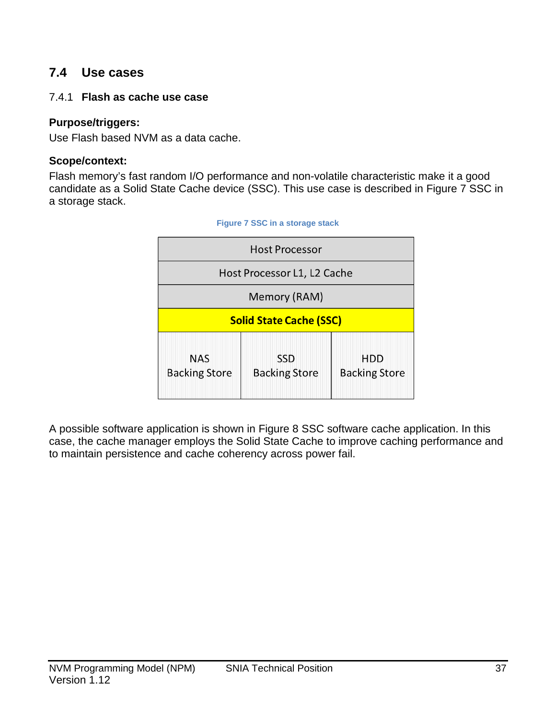# **7.4 Use cases**

#### 7.4.1 **Flash as cache use case**

#### **Purpose/triggers:**

Use Flash based NVM as a data cache.

#### **Scope/context:**

<span id="page-36-0"></span>Flash memory's fast random I/O performance and non-volatile characteristic make it a good candidate as a Solid State Cache device (SSC). This use case is described in [Figure 7](#page-36-0) SSC in [a storage stack.](#page-36-0)

| <b>Host Processor</b>              |                                    |                                    |  |  |
|------------------------------------|------------------------------------|------------------------------------|--|--|
| Host Processor L1, L2 Cache        |                                    |                                    |  |  |
| Memory (RAM)                       |                                    |                                    |  |  |
| <b>Solid State Cache (SSC)</b>     |                                    |                                    |  |  |
| <b>NAS</b><br><b>Backing Store</b> | <b>SSD</b><br><b>Backing Store</b> | <b>HDD</b><br><b>Backing Store</b> |  |  |



A possible software application is shown in Figure 8 [SSC software cache application.](#page-37-0) In this case, the cache manager employs the Solid State Cache to improve caching performance and to maintain persistence and cache coherency across power fail.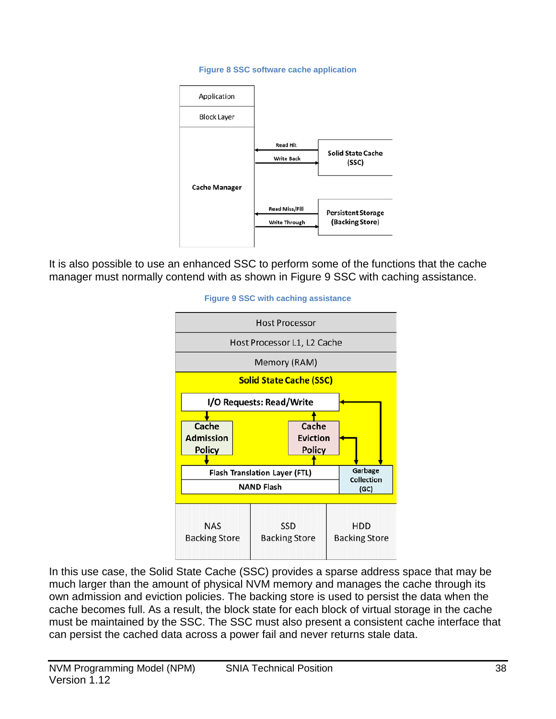#### **Figure 8 SSC software cache application**

<span id="page-37-0"></span>

<span id="page-37-1"></span>It is also possible to use an enhanced SSC to perform some of the functions that the cache manager must normally contend with as shown in Figure 9 [SSC with caching assistance.](#page-37-1)



In this use case, the Solid State Cache (SSC) provides a sparse address space that may be much larger than the amount of physical NVM memory and manages the cache through its own admission and eviction policies. The backing store is used to persist the data when the cache becomes full. As a result, the block state for each block of virtual storage in the cache must be maintained by the SSC. The SSC must also present a consistent cache interface that can persist the cached data across a power fail and never returns stale data.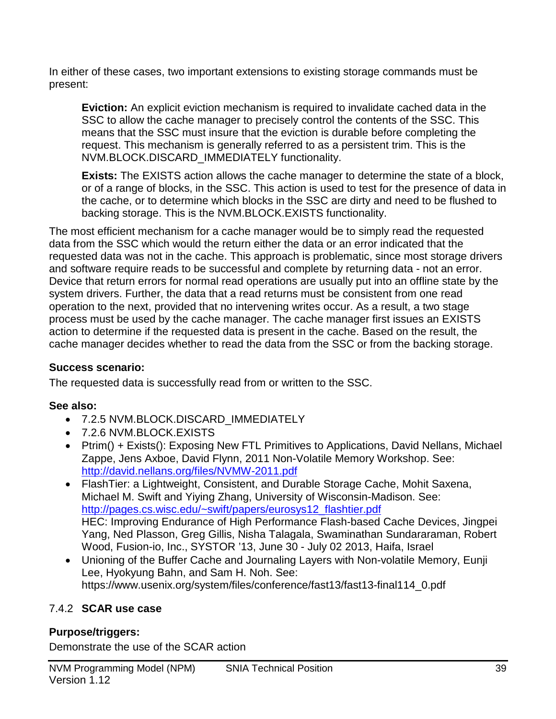In either of these cases, two important extensions to existing storage commands must be present:

**Eviction:** An explicit eviction mechanism is required to invalidate cached data in the SSC to allow the cache manager to precisely control the contents of the SSC. This means that the SSC must insure that the eviction is durable before completing the request. This mechanism is generally referred to as a persistent trim. This is the NVM.BLOCK.DISCARD\_IMMEDIATELY functionality.

**Exists:** The EXISTS action allows the cache manager to determine the state of a block, or of a range of blocks, in the SSC. This action is used to test for the presence of data in the cache, or to determine which blocks in the SSC are dirty and need to be flushed to backing storage. This is the NVM.BLOCK.EXISTS functionality.

The most efficient mechanism for a cache manager would be to simply read the requested data from the SSC which would the return either the data or an error indicated that the requested data was not in the cache. This approach is problematic, since most storage drivers and software require reads to be successful and complete by returning data - not an error. Device that return errors for normal read operations are usually put into an offline state by the system drivers. Further, the data that a read returns must be consistent from one read operation to the next, provided that no intervening writes occur. As a result, a two stage process must be used by the cache manager. The cache manager first issues an EXISTS action to determine if the requested data is present in the cache. Based on the result, the cache manager decides whether to read the data from the SSC or from the backing storage.

### **Success scenario:**

The requested data is successfully read from or written to the SSC.

# **See also:**

- [7.2.5](#page-31-0) NVM.BLOCK.DISCARD\_IMMEDIATELY
- [7.2.6](#page-31-1) NVM.BLOCK.EXISTS
- Ptrim() + Exists(): Exposing New FTL Primitives to Applications, David Nellans, Michael Zappe, Jens Axboe, David Flynn, 2011 Non-Volatile Memory Workshop. See: <http://david.nellans.org/files/NVMW-2011.pdf>
- FlashTier: a Lightweight, Consistent, and Durable Storage Cache, Mohit Saxena, Michael M. Swift and Yiying Zhang, University of Wisconsin-Madison. See: [http://pages.cs.wisc.edu/~swift/papers/eurosys12\\_flashtier.pdf](http://pages.cs.wisc.edu/%7Eswift/papers/eurosys12_flashtier.pdf) HEC: Improving Endurance of High Performance Flash-based Cache Devices, Jingpei Yang, Ned Plasson, Greg Gillis, Nisha Talagala, Swaminathan Sundararaman, Robert Wood, Fusion-io, Inc., SYSTOR '13, June 30 - July 02 2013, Haifa, Israel
- Unioning of the Buffer Cache and Journaling Layers with Non-volatile Memory, Eunji Lee, Hyokyung Bahn, and Sam H. Noh. See: https://www.usenix.org/system/files/conference/fast13/fast13-final114\_0.pdf

# 7.4.2 **SCAR use case**

# **Purpose/triggers:**

Demonstrate the use of the SCAR action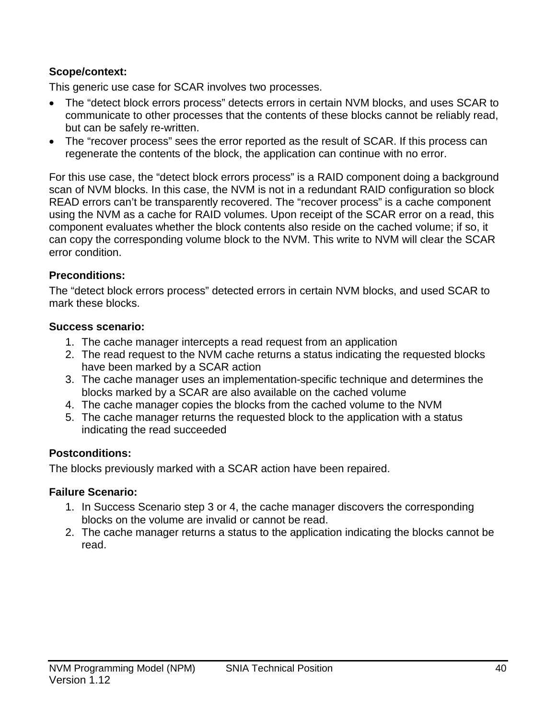#### **Scope/context:**

This generic use case for SCAR involves two processes.

- The "detect block errors process" detects errors in certain NVM blocks, and uses SCAR to communicate to other processes that the contents of these blocks cannot be reliably read, but can be safely re-written.
- The "recover process" sees the error reported as the result of SCAR. If this process can regenerate the contents of the block, the application can continue with no error.

For this use case, the "detect block errors process" is a RAID component doing a background scan of NVM blocks. In this case, the NVM is not in a redundant RAID configuration so block READ errors can't be transparently recovered. The "recover process" is a cache component using the NVM as a cache for RAID volumes. Upon receipt of the SCAR error on a read, this component evaluates whether the block contents also reside on the cached volume; if so, it can copy the corresponding volume block to the NVM. This write to NVM will clear the SCAR error condition.

#### **Preconditions:**

The "detect block errors process" detected errors in certain NVM blocks, and used SCAR to mark these blocks.

#### **Success scenario:**

- 1. The cache manager intercepts a read request from an application
- 2. The read request to the NVM cache returns a status indicating the requested blocks have been marked by a SCAR action
- 3. The cache manager uses an implementation-specific technique and determines the blocks marked by a SCAR are also available on the cached volume
- 4. The cache manager copies the blocks from the cached volume to the NVM
- 5. The cache manager returns the requested block to the application with a status indicating the read succeeded

#### **Postconditions:**

The blocks previously marked with a SCAR action have been repaired.

#### **Failure Scenario:**

- 1. In Success Scenario step 3 or 4, the cache manager discovers the corresponding blocks on the volume are invalid or cannot be read.
- 2. The cache manager returns a status to the application indicating the blocks cannot be read.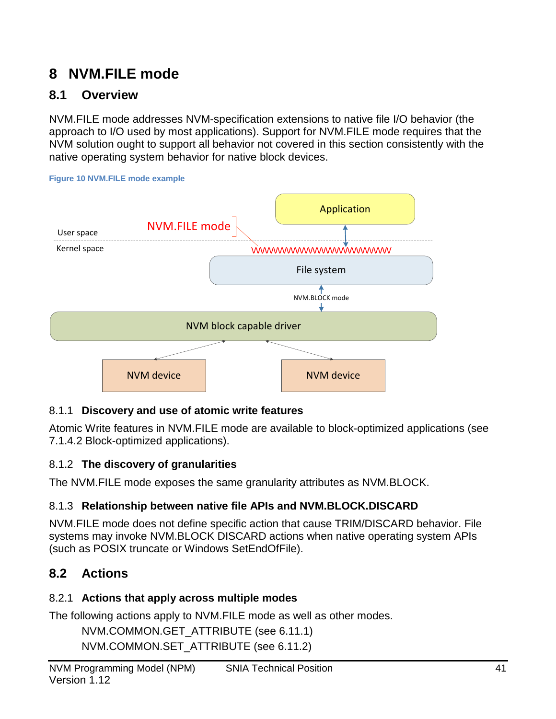# **8 NVM.FILE mode**

# **8.1 Overview**

NVM.FILE mode addresses NVM-specification extensions to native file I/O behavior (the approach to I/O used by most applications). Support for NVM.FILE mode requires that the NVM solution ought to support all behavior not covered in this section consistently with the native operating system behavior for native block devices.





# 8.1.1 **Discovery and use of atomic write features**

Atomic Write features in NVM.FILE mode are available to block-optimized applications (see [7.1.4.2](#page-28-0) [Block-optimized applications\)](#page-28-0).

# 8.1.2 **The discovery of granularities**

The NVM.FILE mode exposes the same granularity attributes as NVM.BLOCK.

# 8.1.3 **Relationship between native file APIs and NVM.BLOCK.DISCARD**

NVM.FILE mode does not define specific action that cause TRIM/DISCARD behavior. File systems may invoke NVM.BLOCK DISCARD actions when native operating system APIs (such as POSIX truncate or Windows SetEndOfFile).

# **8.2 Actions**

# 8.2.1 **Actions that apply across multiple modes**

The following actions apply to NVM.FILE mode as well as other modes.

NVM.COMMON.GET\_ATTRIBUTE (see [6.11.1\)](#page-24-0) NVM.COMMON.SET\_ATTRIBUTE (see [6.11.2\)](#page-24-1)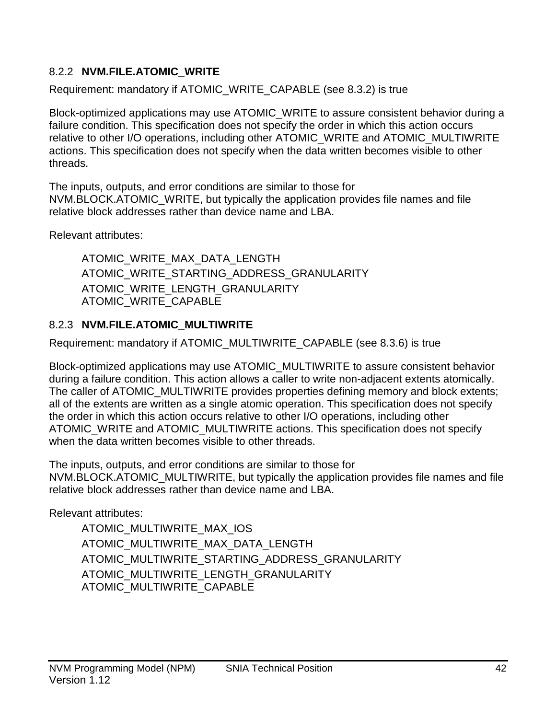# 8.2.2 **NVM.FILE.ATOMIC\_WRITE**

Requirement: mandatory if ATOMIC\_WRITE\_CAPABLE (see [8.3.2\)](#page-42-0) is true

Block-optimized applications may use ATOMIC\_WRITE to assure consistent behavior during a failure condition. This specification does not specify the order in which this action occurs relative to other I/O operations, including other ATOMIC\_WRITE and ATOMIC\_MULTIWRITE actions. This specification does not specify when the data written becomes visible to other threads.

The inputs, outputs, and error conditions are similar to those for NVM.BLOCK.ATOMIC\_WRITE, but typically the application provides file names and file relative block addresses rather than device name and LBA.

Relevant attributes:

ATOMIC\_WRITE\_MAX\_DATA\_LENGTH ATOMIC\_WRITE\_STARTING\_ADDRESS\_GRANULARITY ATOMIC WRITE LENGTH GRANULARITY ATOMIC\_WRITE\_CAPABLE

# 8.2.3 **NVM.FILE.ATOMIC\_MULTIWRITE**

Requirement: mandatory if ATOMIC\_MULTIWRITE\_CAPABLE (see [8.3.6\)](#page-42-1) is true

Block-optimized applications may use ATOMIC\_MULTIWRITE to assure consistent behavior during a failure condition. This action allows a caller to write non-adjacent extents atomically. The caller of ATOMIC\_MULTIWRITE provides properties defining memory and block extents; all of the extents are written as a single atomic operation. This specification does not specify the order in which this action occurs relative to other I/O operations, including other ATOMIC\_WRITE and ATOMIC\_MULTIWRITE actions. This specification does not specify when the data written becomes visible to other threads.

The inputs, outputs, and error conditions are similar to those for NVM.BLOCK.ATOMIC\_MULTIWRITE, but typically the application provides file names and file relative block addresses rather than device name and LBA.

Relevant attributes:

ATOMIC\_MULTIWRITE\_MAX\_IOS ATOMIC\_MULTIWRITE\_MAX\_DATA\_LENGTH ATOMIC\_MULTIWRITE\_STARTING\_ADDRESS\_GRANULARITY ATOMIC\_MULTIWRITE\_LENGTH\_GRANULARITY ATOMIC\_MULTIWRITE\_CAPABLE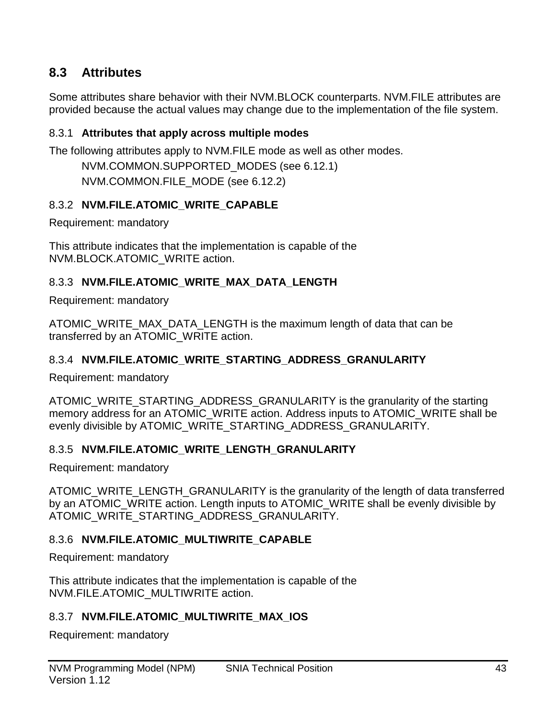# **8.3 Attributes**

Some attributes share behavior with their NVM.BLOCK counterparts. NVM.FILE attributes are provided because the actual values may change due to the implementation of the file system.

#### 8.3.1 **Attributes that apply across multiple modes**

The following attributes apply to NVM.FILE mode as well as other modes.

NVM.COMMON.SUPPORTED\_MODES (see [6.12.1\)](#page-25-0) NVM.COMMON.FILE\_MODE (see [6.12.2\)](#page-25-1)

#### <span id="page-42-0"></span>8.3.2 **NVM.FILE.ATOMIC\_WRITE\_CAPABLE**

Requirement: mandatory

This attribute indicates that the implementation is capable of the NVM.BLOCK.ATOMIC\_WRITE action.

### 8.3.3 **NVM.FILE.ATOMIC\_WRITE\_MAX\_DATA\_LENGTH**

Requirement: mandatory

ATOMIC\_WRITE\_MAX\_DATA\_LENGTH is the maximum length of data that can be transferred by an ATOMIC\_WRITE action.

#### 8.3.4 **NVM.FILE.ATOMIC\_WRITE\_STARTING\_ADDRESS\_GRANULARITY**

Requirement: mandatory

ATOMIC\_WRITE\_STARTING\_ADDRESS\_GRANULARITY is the granularity of the starting memory address for an ATOMIC WRITE action. Address inputs to ATOMIC WRITE shall be evenly divisible by ATOMIC WRITE\_STARTING\_ADDRESS\_GRANULARITY.

#### 8.3.5 **NVM.FILE.ATOMIC\_WRITE\_LENGTH\_GRANULARITY**

Requirement: mandatory

ATOMIC\_WRITE\_LENGTH\_GRANULARITY is the granularity of the length of data transferred by an ATOMIC\_WRITE action. Length inputs to ATOMIC\_WRITE shall be evenly divisible by ATOMIC WRITE STARTING ADDRESS GRANULARITY.

#### <span id="page-42-1"></span>8.3.6 **NVM.FILE.ATOMIC\_MULTIWRITE\_CAPABLE**

Requirement: mandatory

This attribute indicates that the implementation is capable of the NVM.FILE.ATOMIC\_MULTIWRITE action.

#### 8.3.7 **NVM.FILE.ATOMIC\_MULTIWRITE\_MAX\_IOS**

Requirement: mandatory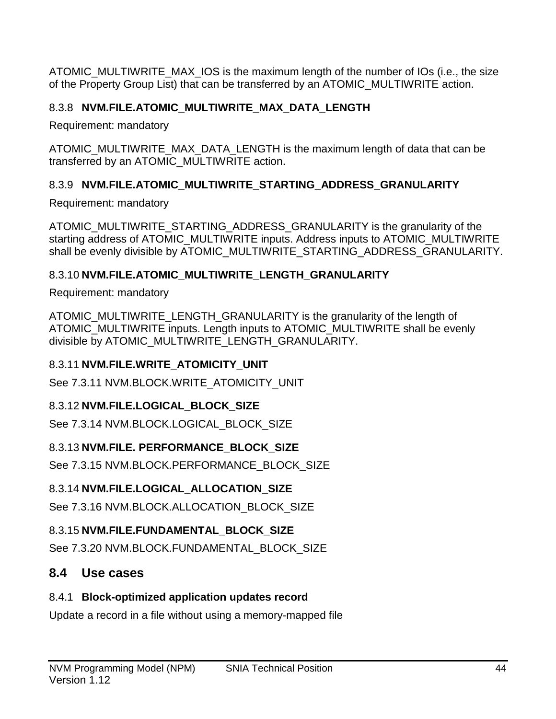ATOMIC\_MULTIWRITE\_MAX\_IOS is the maximum length of the number of IOs (i.e., the size of the Property Group List) that can be transferred by an ATOMIC\_MULTIWRITE action.

# 8.3.8 **NVM.FILE.ATOMIC\_MULTIWRITE\_MAX\_DATA\_LENGTH**

Requirement: mandatory

ATOMIC\_MULTIWRITE\_MAX\_DATA\_LENGTH is the maximum length of data that can be transferred by an ATOMIC\_MULTIWRITE action.

# 8.3.9 **NVM.FILE.ATOMIC\_MULTIWRITE\_STARTING\_ADDRESS\_GRANULARITY**

Requirement: mandatory

ATOMIC\_MULTIWRITE\_STARTING\_ADDRESS\_GRANULARITY is the granularity of the starting address of ATOMIC\_MULTIWRITE inputs. Address inputs to ATOMIC\_MULTIWRITE shall be evenly divisible by ATOMIC\_MULTIWRITE\_STARTING\_ADDRESS\_GRANULARITY.

## 8.3.10 **NVM.FILE.ATOMIC\_MULTIWRITE\_LENGTH\_GRANULARITY**

Requirement: mandatory

ATOMIC MULTIWRITE LENGTH GRANULARITY is the granularity of the length of ATOMIC\_MULTIWRITE inputs. Length inputs to ATOMIC\_MULTIWRITE shall be evenly divisible by ATOMIC\_MULTIWRITE\_LENGTH\_GRANULARITY.

### 8.3.11 **NVM.FILE.WRITE\_ATOMICITY\_UNIT**

See [7.3.11](#page-34-0) [NVM.BLOCK.WRITE\\_ATOMICITY\\_UNIT](#page-34-0)

# 8.3.12 **NVM.FILE.LOGICAL\_BLOCK\_SIZE**

See [7.3.14](#page-34-1) [NVM.BLOCK.LOGICAL\\_BLOCK\\_SIZE](#page-34-1)

# 8.3.13 **NVM.FILE. PERFORMANCE\_BLOCK\_SIZE**

See [7.3.15](#page-34-2) [NVM.BLOCK.PERFORMANCE\\_BLOCK\\_SIZE](#page-34-2)

# 8.3.14 **NVM.FILE.LOGICAL\_ALLOCATION\_SIZE**

See [7.3.16](#page-34-3) [NVM.BLOCK.ALLOCATION\\_BLOCK\\_SIZE](#page-34-3)

# 8.3.15 **NVM.FILE.FUNDAMENTAL\_BLOCK\_SIZE**

See [7.3.20](#page-35-0) [NVM.BLOCK.FUNDAMENTAL\\_BLOCK\\_SIZE](#page-35-0)

# **8.4 Use cases**

### 8.4.1 **Block-optimized application updates record**

Update a record in a file without using a memory-mapped file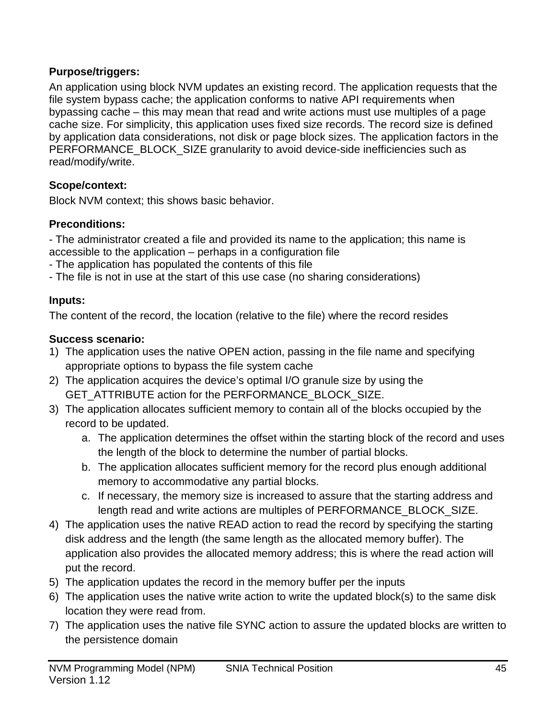# **Purpose/triggers:**

An application using block NVM updates an existing record. The application requests that the file system bypass cache; the application conforms to native API requirements when bypassing cache – this may mean that read and write actions must use multiples of a page cache size. For simplicity, this application uses fixed size records. The record size is defined by application data considerations, not disk or page block sizes. The application factors in the PERFORMANCE\_BLOCK\_SIZE granularity to avoid device-side inefficiencies such as read/modify/write.

# **Scope/context:**

Block NVM context; this shows basic behavior.

## **Preconditions:**

- The administrator created a file and provided its name to the application; this name is accessible to the application – perhaps in a configuration file

- The application has populated the contents of this file
- The file is not in use at the start of this use case (no sharing considerations)

## **Inputs:**

The content of the record, the location (relative to the file) where the record resides

## **Success scenario:**

- 1) The application uses the native OPEN action, passing in the file name and specifying appropriate options to bypass the file system cache
- 2) The application acquires the device's optimal I/O granule size by using the GET\_ATTRIBUTE action for the PERFORMANCE\_BLOCK\_SIZE.
- 3) The application allocates sufficient memory to contain all of the blocks occupied by the record to be updated.
	- a. The application determines the offset within the starting block of the record and uses the length of the block to determine the number of partial blocks.
	- b. The application allocates sufficient memory for the record plus enough additional memory to accommodative any partial blocks.
	- c. If necessary, the memory size is increased to assure that the starting address and length read and write actions are multiples of PERFORMANCE\_BLOCK\_SIZE.
- 4) The application uses the native READ action to read the record by specifying the starting disk address and the length (the same length as the allocated memory buffer). The application also provides the allocated memory address; this is where the read action will put the record.
- 5) The application updates the record in the memory buffer per the inputs
- 6) The application uses the native write action to write the updated block(s) to the same disk location they were read from.
- 7) The application uses the native file SYNC action to assure the updated blocks are written to the persistence domain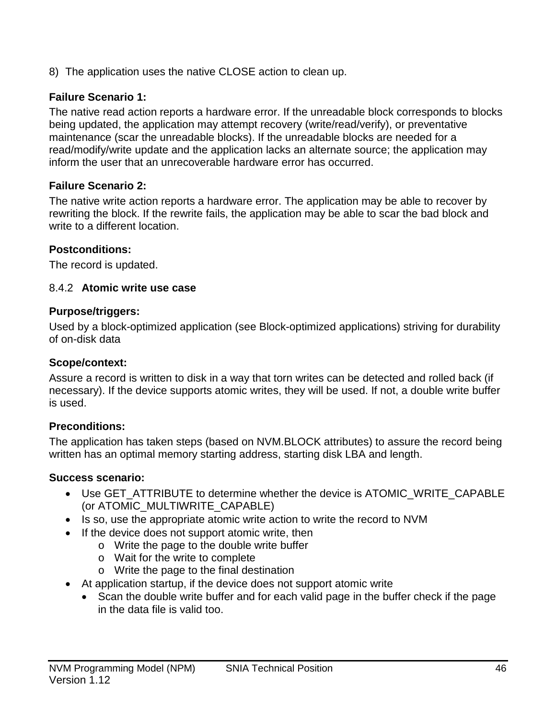8) The application uses the native CLOSE action to clean up.

## **Failure Scenario 1:**

The native read action reports a hardware error. If the unreadable block corresponds to blocks being updated, the application may attempt recovery (write/read/verify), or preventative maintenance (scar the unreadable blocks). If the unreadable blocks are needed for a read/modify/write update and the application lacks an alternate source; the application may inform the user that an unrecoverable hardware error has occurred.

#### **Failure Scenario 2:**

The native write action reports a hardware error. The application may be able to recover by rewriting the block. If the rewrite fails, the application may be able to scar the bad block and write to a different location.

#### **Postconditions:**

The record is updated.

#### 8.4.2 **Atomic write use case**

#### **Purpose/triggers:**

Used by a block-optimized application (see [Block-optimized applications\)](#page-28-0) striving for durability of on-disk data

#### **Scope/context:**

Assure a record is written to disk in a way that torn writes can be detected and rolled back (if necessary). If the device supports atomic writes, they will be used. If not, a double write buffer is used.

### **Preconditions:**

The application has taken steps (based on NVM.BLOCK attributes) to assure the record being written has an optimal memory starting address, starting disk LBA and length.

### **Success scenario:**

- Use GET\_ATTRIBUTE to determine whether the device is ATOMIC\_WRITE\_CAPABLE (or ATOMIC\_MULTIWRITE\_CAPABLE)
- Is so, use the appropriate atomic write action to write the record to NVM
- If the device does not support atomic write, then
	- o Write the page to the double write buffer
	- o Wait for the write to complete
	- o Write the page to the final destination
- At application startup, if the device does not support atomic write
	- Scan the double write buffer and for each valid page in the buffer check if the page in the data file is valid too.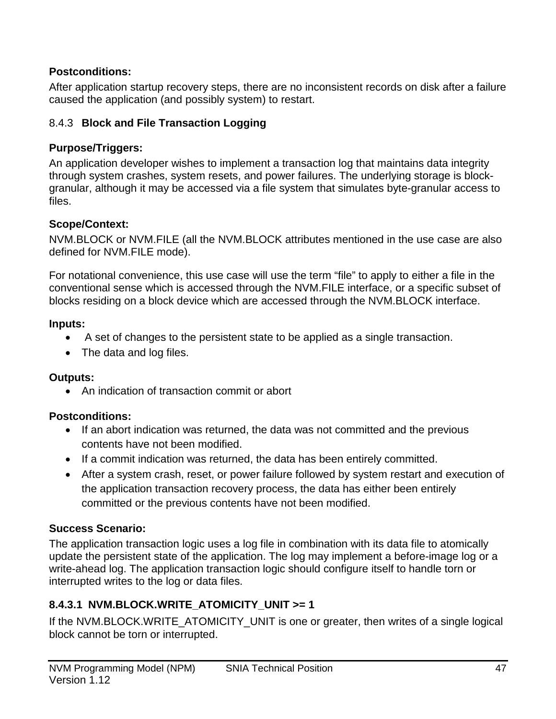## **Postconditions:**

After application startup recovery steps, there are no inconsistent records on disk after a failure caused the application (and possibly system) to restart.

## 8.4.3 **Block and File Transaction Logging**

### **Purpose/Triggers:**

An application developer wishes to implement a transaction log that maintains data integrity through system crashes, system resets, and power failures. The underlying storage is blockgranular, although it may be accessed via a file system that simulates byte-granular access to files.

## **Scope/Context:**

NVM.BLOCK or NVM.FILE (all the NVM.BLOCK attributes mentioned in the use case are also defined for NVM.FILE mode).

For notational convenience, this use case will use the term "file" to apply to either a file in the conventional sense which is accessed through the NVM.FILE interface, or a specific subset of blocks residing on a block device which are accessed through the NVM.BLOCK interface.

### **Inputs:**

- A set of changes to the persistent state to be applied as a single transaction.
- The data and log files.

# **Outputs:**

• An indication of transaction commit or abort

# **Postconditions:**

- If an abort indication was returned, the data was not committed and the previous contents have not been modified.
- If a commit indication was returned, the data has been entirely committed.
- After a system crash, reset, or power failure followed by system restart and execution of the application transaction recovery process, the data has either been entirely committed or the previous contents have not been modified.

# **Success Scenario:**

The application transaction logic uses a log file in combination with its data file to atomically update the persistent state of the application. The log may implement a before-image log or a write-ahead log. The application transaction logic should configure itself to handle torn or interrupted writes to the log or data files.

# **8.4.3.1 NVM.BLOCK.WRITE\_ATOMICITY\_UNIT >= 1**

If the NVM.BLOCK.WRITE\_ATOMICITY\_UNIT is one or greater, then writes of a single logical block cannot be torn or interrupted.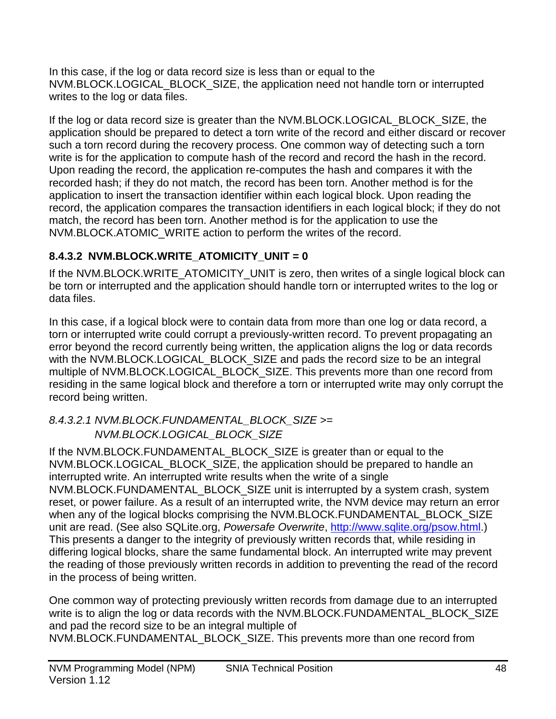In this case, if the log or data record size is less than or equal to the NVM.BLOCK.LOGICAL\_BLOCK\_SIZE, the application need not handle torn or interrupted writes to the log or data files.

If the log or data record size is greater than the NVM.BLOCK.LOGICAL\_BLOCK\_SIZE, the application should be prepared to detect a torn write of the record and either discard or recover such a torn record during the recovery process. One common way of detecting such a torn write is for the application to compute hash of the record and record the hash in the record. Upon reading the record, the application re-computes the hash and compares it with the recorded hash; if they do not match, the record has been torn. Another method is for the application to insert the transaction identifier within each logical block. Upon reading the record, the application compares the transaction identifiers in each logical block; if they do not match, the record has been torn. Another method is for the application to use the NVM.BLOCK.ATOMIC\_WRITE action to perform the writes of the record.

# **8.4.3.2 NVM.BLOCK.WRITE\_ATOMICITY\_UNIT = 0**

If the NVM.BLOCK.WRITE\_ATOMICITY\_UNIT is zero, then writes of a single logical block can be torn or interrupted and the application should handle torn or interrupted writes to the log or data files.

In this case, if a logical block were to contain data from more than one log or data record, a torn or interrupted write could corrupt a previously-written record. To prevent propagating an error beyond the record currently being written, the application aligns the log or data records with the NVM.BLOCK.LOGICAL\_BLOCK\_SIZE and pads the record size to be an integral multiple of NVM.BLOCK.LOGICAL\_BLOCK\_SIZE. This prevents more than one record from residing in the same logical block and therefore a torn or interrupted write may only corrupt the record being written.

## *8.4.3.2.1 NVM.BLOCK.FUNDAMENTAL\_BLOCK\_SIZE >= NVM.BLOCK.LOGICAL\_BLOCK\_SIZE*

If the NVM.BLOCK.FUNDAMENTAL BLOCK SIZE is greater than or equal to the NVM.BLOCK.LOGICAL\_BLOCK\_SIZE, the application should be prepared to handle an interrupted write. An interrupted write results when the write of a single NVM.BLOCK.FUNDAMENTAL\_BLOCK\_SIZE unit is interrupted by a system crash, system reset, or power failure. As a result of an interrupted write, the NVM device may return an error when any of the logical blocks comprising the NVM.BLOCK.FUNDAMENTAL\_BLOCK\_SIZE unit are read. (See also SQLite.org, *Powersafe Overwrite*, [http://www.sqlite.org/psow.html.](http://www.sqlite.org/psow.html)) This presents a danger to the integrity of previously written records that, while residing in differing logical blocks, share the same fundamental block. An interrupted write may prevent the reading of those previously written records in addition to preventing the read of the record in the process of being written.

One common way of protecting previously written records from damage due to an interrupted write is to align the log or data records with the NVM.BLOCK.FUNDAMENTAL\_BLOCK\_SIZE and pad the record size to be an integral multiple of

NVM.BLOCK.FUNDAMENTAL\_BLOCK\_SIZE. This prevents more than one record from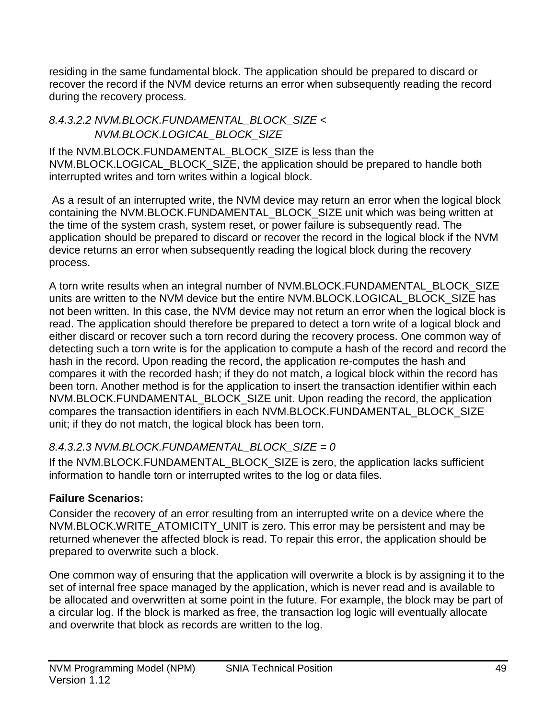residing in the same fundamental block. The application should be prepared to discard or recover the record if the NVM device returns an error when subsequently reading the record during the recovery process.

### *8.4.3.2.2 NVM.BLOCK.FUNDAMENTAL\_BLOCK\_SIZE < NVM.BLOCK.LOGICAL\_BLOCK\_SIZE*

If the NVM.BLOCK.FUNDAMENTAL\_BLOCK\_SIZE is less than the NVM.BLOCK.LOGICAL\_BLOCK\_SIZE, the application should be prepared to handle both interrupted writes and torn writes within a logical block.

As a result of an interrupted write, the NVM device may return an error when the logical block containing the NVM.BLOCK.FUNDAMENTAL\_BLOCK\_SIZE unit which was being written at the time of the system crash, system reset, or power failure is subsequently read. The application should be prepared to discard or recover the record in the logical block if the NVM device returns an error when subsequently reading the logical block during the recovery process.

A torn write results when an integral number of NVM.BLOCK.FUNDAMENTAL\_BLOCK\_SIZE units are written to the NVM device but the entire NVM.BLOCK.LOGICAL\_BLOCK\_SIZE has not been written. In this case, the NVM device may not return an error when the logical block is read. The application should therefore be prepared to detect a torn write of a logical block and either discard or recover such a torn record during the recovery process. One common way of detecting such a torn write is for the application to compute a hash of the record and record the hash in the record. Upon reading the record, the application re-computes the hash and compares it with the recorded hash; if they do not match, a logical block within the record has been torn. Another method is for the application to insert the transaction identifier within each NVM.BLOCK.FUNDAMENTAL\_BLOCK\_SIZE unit. Upon reading the record, the application compares the transaction identifiers in each NVM.BLOCK.FUNDAMENTAL\_BLOCK\_SIZE unit; if they do not match, the logical block has been torn.

# *8.4.3.2.3 NVM.BLOCK.FUNDAMENTAL\_BLOCK\_SIZE = 0*

If the NVM.BLOCK.FUNDAMENTAL\_BLOCK\_SIZE is zero, the application lacks sufficient information to handle torn or interrupted writes to the log or data files.

# **Failure Scenarios:**

Consider the recovery of an error resulting from an interrupted write on a device where the NVM.BLOCK.WRITE\_ATOMICITY\_UNIT is zero. This error may be persistent and may be returned whenever the affected block is read. To repair this error, the application should be prepared to overwrite such a block.

One common way of ensuring that the application will overwrite a block is by assigning it to the set of internal free space managed by the application, which is never read and is available to be allocated and overwritten at some point in the future. For example, the block may be part of a circular log. If the block is marked as free, the transaction log logic will eventually allocate and overwrite that block as records are written to the log.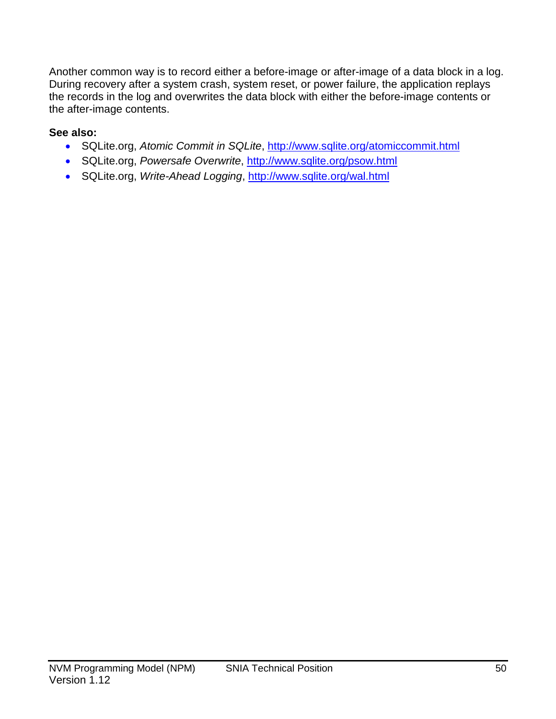Another common way is to record either a before-image or after-image of a data block in a log. During recovery after a system crash, system reset, or power failure, the application replays the records in the log and overwrites the data block with either the before-image contents or the after-image contents.

## **See also:**

- SQLite.org, *Atomic Commit in SQLite*,<http://www.sqlite.org/atomiccommit.html>
- SQLite.org, *Powersafe Overwrite*,<http://www.sqlite.org/psow.html>
- SQLite.org, *Write-Ahead Logging*,<http://www.sqlite.org/wal.html>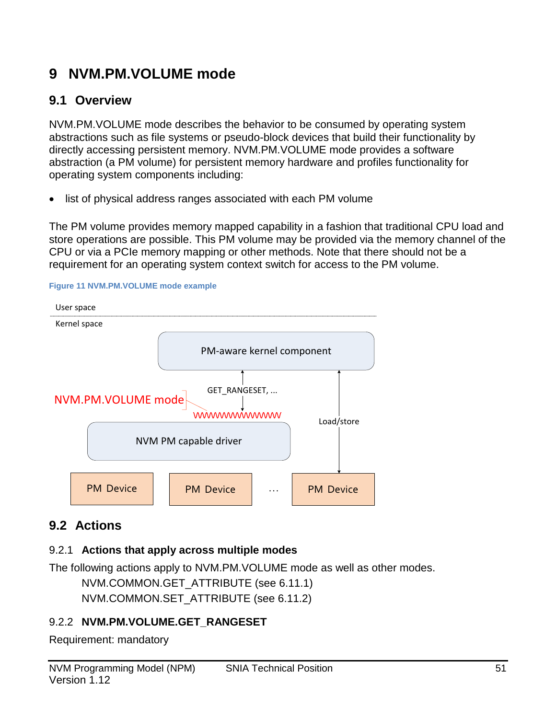# **9 NVM.PM.VOLUME mode**

# **9.1 Overview**

NVM.PM.VOLUME mode describes the behavior to be consumed by operating system abstractions such as file systems or pseudo-block devices that build their functionality by directly accessing persistent memory. NVM.PM.VOLUME mode provides a software abstraction (a PM volume) for persistent memory hardware and profiles functionality for operating system components including:

list of physical address ranges associated with each PM volume

The PM volume provides memory mapped capability in a fashion that traditional CPU load and store operations are possible. This PM volume may be provided via the memory channel of the CPU or via a PCIe memory mapping or other methods. Note that there should not be a requirement for an operating system context switch for access to the PM volume.





# **9.2 Actions**

# 9.2.1 **Actions that apply across multiple modes**

The following actions apply to NVM.PM.VOLUME mode as well as other modes.

```
NVM.COMMON.GET_ATTRIBUTE (see 6.11.1)
NVM.COMMON.SET_ATTRIBUTE (see 6.11.2)
```
# 9.2.2 **NVM.PM.VOLUME.GET\_RANGESET**

Requirement: mandatory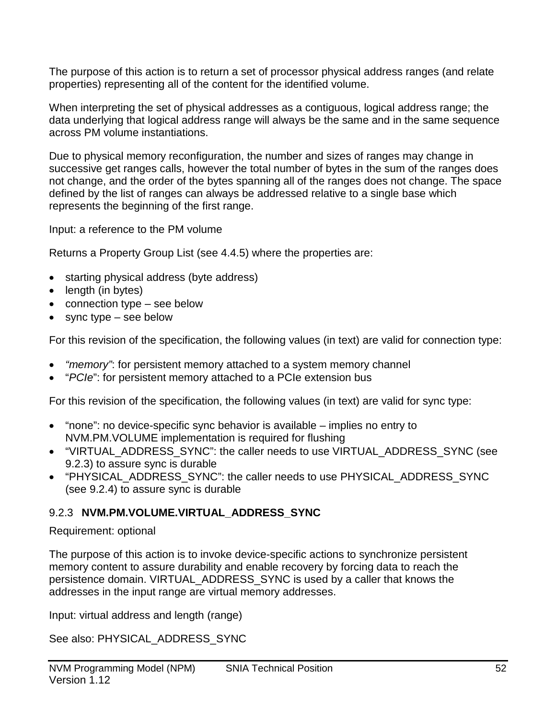The purpose of this action is to return a set of processor physical address ranges (and relate properties) representing all of the content for the identified volume.

When interpreting the set of physical addresses as a contiguous, logical address range; the data underlying that logical address range will always be the same and in the same sequence across PM volume instantiations.

Due to physical memory reconfiguration, the number and sizes of ranges may change in successive get ranges calls, however the total number of bytes in the sum of the ranges does not change, and the order of the bytes spanning all of the ranges does not change. The space defined by the list of ranges can always be addressed relative to a single base which represents the beginning of the first range.

Input: a reference to the PM volume

Returns a Property Group List (see [4.4.5\)](#page-20-0) where the properties are:

- starting physical address (byte address)
- length (in bytes)
- connection type see below
- sync type see below

For this revision of the specification, the following values (in text) are valid for connection type:

- *"memory"*: for persistent memory attached to a system memory channel
- "*PCIe*": for persistent memory attached to a PCIe extension bus

For this revision of the specification, the following values (in text) are valid for sync type:

- "none": no device-specific sync behavior is available implies no entry to NVM.PM.VOLUME implementation is required for flushing
- "VIRTUAL\_ADDRESS\_SYNC": the caller needs to use VIRTUAL\_ADDRESS\_SYNC (see [9.2.3\)](#page-51-0) to assure sync is durable
- "PHYSICAL\_ADDRESS\_SYNC": the caller needs to use PHYSICAL\_ADDRESS\_SYNC (see [9.2.4\)](#page-52-0) to assure sync is durable

### <span id="page-51-0"></span>9.2.3 **NVM.PM.VOLUME.VIRTUAL\_ADDRESS\_SYNC**

#### Requirement: optional

The purpose of this action is to invoke device-specific actions to synchronize persistent memory content to assure durability and enable recovery by forcing data to reach the persistence domain. VIRTUAL\_ADDRESS\_SYNC is used by a caller that knows the addresses in the input range are virtual memory addresses.

Input: virtual address and length (range)

See also: PHYSICAL\_ADDRESS\_SYNC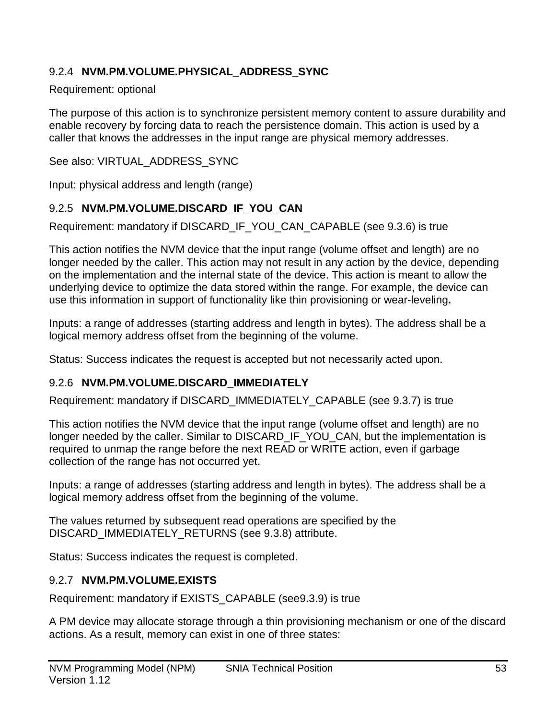## <span id="page-52-0"></span>9.2.4 **NVM.PM.VOLUME.PHYSICAL\_ADDRESS\_SYNC**

#### Requirement: optional

The purpose of this action is to synchronize persistent memory content to assure durability and enable recovery by forcing data to reach the persistence domain. This action is used by a caller that knows the addresses in the input range are physical memory addresses.

See also: VIRTUAL\_ADDRESS\_SYNC

Input: physical address and length (range)

# 9.2.5 **NVM.PM.VOLUME.DISCARD\_IF\_YOU\_CAN**

Requirement: mandatory if DISCARD\_IF\_YOU\_CAN\_CAPABLE (see [9.3.6\)](#page-54-0) is true

This action notifies the NVM device that the input range (volume offset and length) are no longer needed by the caller. This action may not result in any action by the device, depending on the implementation and the internal state of the device. This action is meant to allow the underlying device to optimize the data stored within the range. For example, the device can use this information in support of functionality like thin provisioning or wear-leveling**.**

Inputs: a range of addresses (starting address and length in bytes). The address shall be a logical memory address offset from the beginning of the volume.

Status: Success indicates the request is accepted but not necessarily acted upon.

# 9.2.6 **NVM.PM.VOLUME.DISCARD\_IMMEDIATELY**

Requirement: mandatory if DISCARD\_IMMEDIATELY\_CAPABLE (see [9.3.7\)](#page-55-0) is true

This action notifies the NVM device that the input range (volume offset and length) are no longer needed by the caller. Similar to DISCARD\_IF\_YOU\_CAN, but the implementation is required to unmap the range before the next READ or WRITE action, even if garbage collection of the range has not occurred yet.

Inputs: a range of addresses (starting address and length in bytes). The address shall be a logical memory address offset from the beginning of the volume.

The values returned by subsequent read operations are specified by the DISCARD\_IMMEDIATELY\_RETURNS (see 9.3.8) attribute.

Status: Success indicates the request is completed.

# 9.2.7 **NVM.PM.VOLUME.EXISTS**

Requirement: mandatory if EXISTS\_CAPABLE (se[e9.3.9\)](#page-55-1) is true

A PM device may allocate storage through a thin provisioning mechanism or one of the discard actions. As a result, memory can exist in one of three states: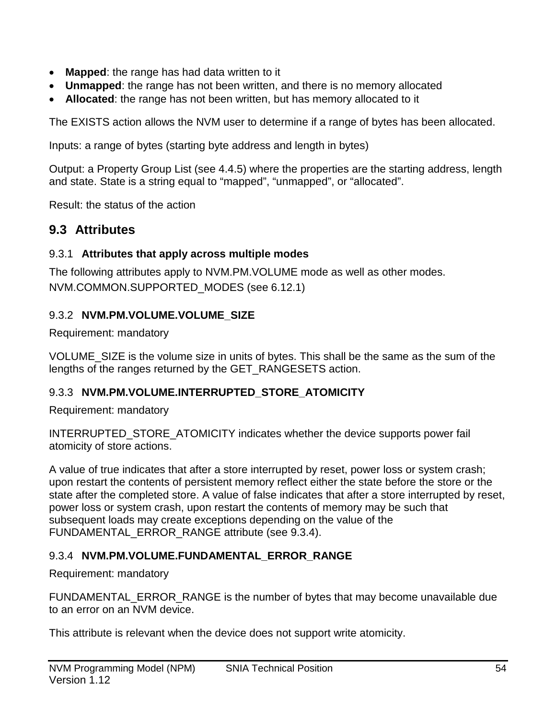- **Mapped**: the range has had data written to it
- **Unmapped**: the range has not been written, and there is no memory allocated
- **Allocated**: the range has not been written, but has memory allocated to it

The EXISTS action allows the NVM user to determine if a range of bytes has been allocated.

Inputs: a range of bytes (starting byte address and length in bytes)

Output: a Property Group List (see [4.4.5\)](#page-20-0) where the properties are the starting address, length and state. State is a string equal to "mapped", "unmapped", or "allocated".

Result: the status of the action

## **9.3 Attributes**

#### 9.3.1 **Attributes that apply across multiple modes**

The following attributes apply to NVM.PM.VOLUME mode as well as other modes. NVM.COMMON.SUPPORTED\_MODES (see [6.12.1\)](#page-25-0)

#### 9.3.2 **NVM.PM.VOLUME.VOLUME\_SIZE**

Requirement: mandatory

VOLUME\_SIZE is the volume size in units of bytes. This shall be the same as the sum of the lengths of the ranges returned by the GET\_RANGESETS action.

#### 9.3.3 **NVM.PM.VOLUME.INTERRUPTED\_STORE\_ATOMICITY**

Requirement: mandatory

INTERRUPTED\_STORE\_ATOMICITY indicates whether the device supports power fail atomicity of store actions.

A value of true indicates that after a store interrupted by reset, power loss or system crash; upon restart the contents of persistent memory reflect either the state before the store or the state after the completed store. A value of false indicates that after a store interrupted by reset, power loss or system crash, upon restart the contents of memory may be such that subsequent loads may create exceptions depending on the value of the FUNDAMENTAL\_ERROR\_RANGE attribute (see [9.3.4\)](#page-53-0).

#### <span id="page-53-0"></span>9.3.4 **NVM.PM.VOLUME.FUNDAMENTAL\_ERROR\_RANGE**

Requirement: mandatory

FUNDAMENTAL\_ERROR\_RANGE is the number of bytes that may become unavailable due to an error on an NVM device.

This attribute is relevant when the device does not support write atomicity.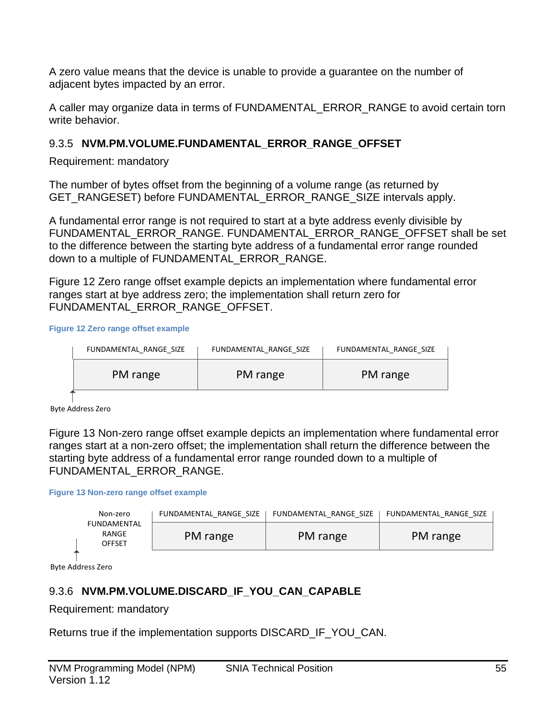A zero value means that the device is unable to provide a guarantee on the number of adjacent bytes impacted by an error.

A caller may organize data in terms of FUNDAMENTAL\_ERROR\_RANGE to avoid certain torn write behavior.

## 9.3.5 **NVM.PM.VOLUME.FUNDAMENTAL\_ERROR\_RANGE\_OFFSET**

Requirement: mandatory

The number of bytes offset from the beginning of a volume range (as returned by GET\_RANGESET) before FUNDAMENTAL\_ERROR\_RANGE\_SIZE intervals apply.

A fundamental error range is not required to start at a byte address evenly divisible by FUNDAMENTAL\_ERROR\_RANGE. FUNDAMENTAL\_ERROR\_RANGE\_OFFSET shall be set to the difference between the starting byte address of a fundamental error range rounded down to a multiple of FUNDAMENTAL\_ERROR\_RANGE.

Figure 12 [Zero range offset example](#page-54-1) depicts an implementation where fundamental error ranges start at bye address zero; the implementation shall return zero for FUNDAMENTAL\_ERROR\_RANGE\_OFFSET.

<span id="page-54-1"></span>**Figure 12 Zero range offset example**

| FUNDAMENTAL RANGE SIZE | FUNDAMENTAL RANGE SIZE | FUNDAMENTAL RANGE SIZE |
|------------------------|------------------------|------------------------|
| PM range               | PM range               | PM range               |
|                        |                        |                        |

Byte Address Zero

Figure 13 [Non-zero range offset example](#page-54-2) depicts an implementation where fundamental error ranges start at a non-zero offset; the implementation shall return the difference between the starting byte address of a fundamental error range rounded down to a multiple of FUNDAMENTAL ERROR RANGE.

<span id="page-54-2"></span>**Figure 13 Non-zero range offset example**

| Non-zero                              | FUNDAMENTAL RANGE SIZE | FUNDAMENTAL RANGE SIZE | FUNDAMENTAL RANGE SIZE |
|---------------------------------------|------------------------|------------------------|------------------------|
| FUNDAMENTAL<br>RANGE<br><b>OFFSET</b> | PM range               | PM range               | PM range               |

Byte Address Zero

# <span id="page-54-0"></span>9.3.6 **NVM.PM.VOLUME.DISCARD\_IF\_YOU\_CAN\_CAPABLE**

Requirement: mandatory

Returns true if the implementation supports DISCARD\_IF\_YOU\_CAN.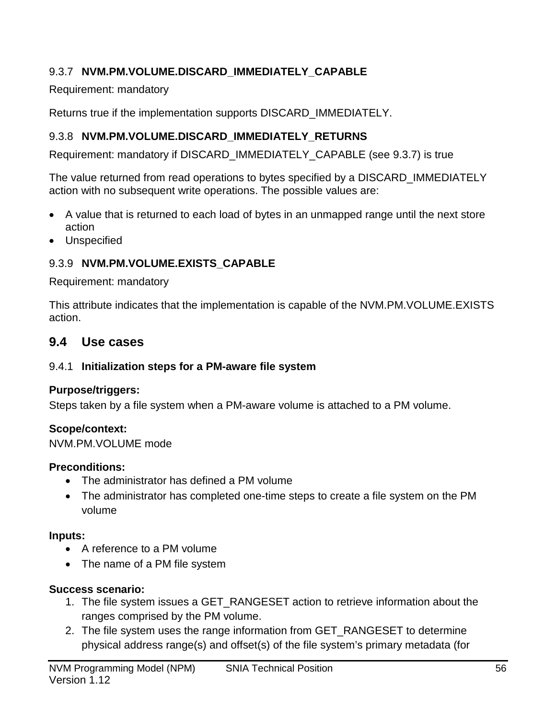# <span id="page-55-0"></span>9.3.7 **NVM.PM.VOLUME.DISCARD\_IMMEDIATELY\_CAPABLE**

Requirement: mandatory

Returns true if the implementation supports DISCARD\_IMMEDIATELY.

# 9.3.8 **NVM.PM.VOLUME.DISCARD\_IMMEDIATELY\_RETURNS**

Requirement: mandatory if DISCARD\_IMMEDIATELY\_CAPABLE (see [9.3.7\)](#page-55-0) is true

The value returned from read operations to bytes specified by a DISCARD\_IMMEDIATELY action with no subsequent write operations. The possible values are:

- A value that is returned to each load of bytes in an unmapped range until the next store action
- Unspecified

## <span id="page-55-1"></span>9.3.9 **NVM.PM.VOLUME.EXISTS\_CAPABLE**

Requirement: mandatory

This attribute indicates that the implementation is capable of the NVM.PM.VOLUME.EXISTS action.

# **9.4 Use cases**

### 9.4.1 **Initialization steps for a PM-aware file system**

### **Purpose/triggers:**

Steps taken by a file system when a PM-aware volume is attached to a PM volume.

### **Scope/context:**

NVM.PM.VOLUME mode

### **Preconditions:**

- The administrator has defined a PM volume
- The administrator has completed one-time steps to create a file system on the PM volume

# **Inputs:**

- A reference to a PM volume
- The name of a PM file system

### **Success scenario:**

- 1. The file system issues a GET\_RANGESET action to retrieve information about the ranges comprised by the PM volume.
- 2. The file system uses the range information from GET\_RANGESET to determine physical address range(s) and offset(s) of the file system's primary metadata (for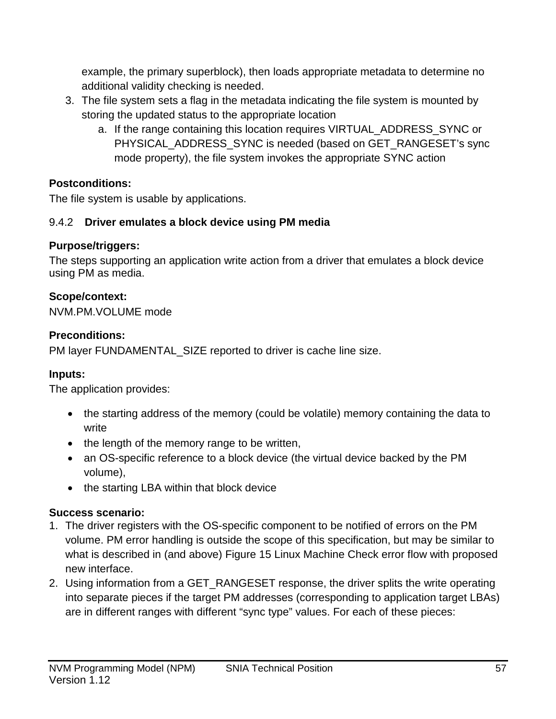example, the primary superblock), then loads appropriate metadata to determine no additional validity checking is needed.

- 3. The file system sets a flag in the metadata indicating the file system is mounted by storing the updated status to the appropriate location
	- a. If the range containing this location requires VIRTUAL\_ADDRESS\_SYNC or PHYSICAL\_ADDRESS\_SYNC is needed (based on GET\_RANGESET's sync mode property), the file system invokes the appropriate SYNC action

# **Postconditions:**

The file system is usable by applications.

# 9.4.2 **Driver emulates a block device using PM media**

# **Purpose/triggers:**

The steps supporting an application write action from a driver that emulates a block device using PM as media.

# **Scope/context:**

NVM.PM.VOLUME mode

# **Preconditions:**

PM layer FUNDAMENTAL\_SIZE reported to driver is cache line size.

# **Inputs:**

The application provides:

- the starting address of the memory (could be volatile) memory containing the data to write
- the length of the memory range to be written,
- an OS-specific reference to a block device (the virtual device backed by the PM volume),
- the starting LBA within that block device

# **Success scenario:**

- 1. The driver registers with the OS-specific component to be notified of errors on the PM volume. PM error handling is outside the scope of this specification, but may be similar to what is described in (and above) Figure 15 Linux Machine Check error flow with proposed new interface.
- 2. Using information from a GET\_RANGESET response, the driver splits the write operating into separate pieces if the target PM addresses (corresponding to application target LBAs) are in different ranges with different "sync type" values. For each of these pieces: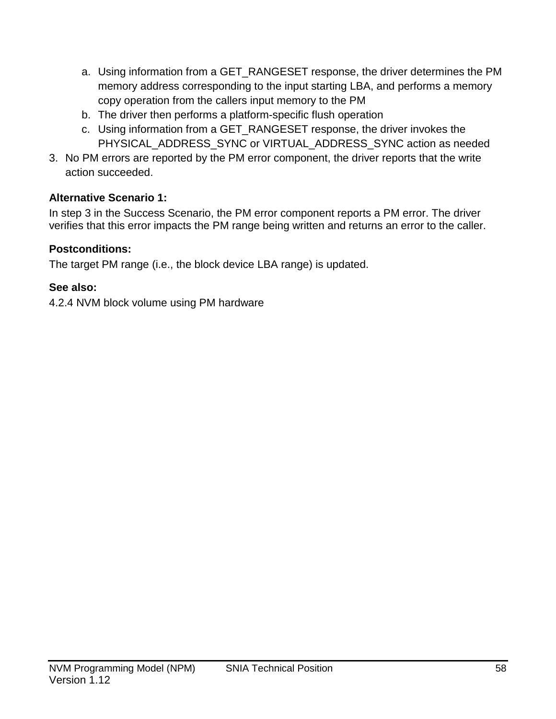- a. Using information from a GET\_RANGESET response, the driver determines the PM memory address corresponding to the input starting LBA, and performs a memory copy operation from the callers input memory to the PM
- b. The driver then performs a platform-specific flush operation
- c. Using information from a GET\_RANGESET response, the driver invokes the PHYSICAL\_ADDRESS\_SYNC or VIRTUAL\_ADDRESS\_SYNC action as needed
- 3. No PM errors are reported by the PM error component, the driver reports that the write action succeeded.

# **Alternative Scenario 1:**

In step 3 in the Success Scenario, the PM error component reports a PM error. The driver verifies that this error impacts the PM range being written and returns an error to the caller.

# **Postconditions:**

The target PM range (i.e., the block device LBA range) is updated.

# **See also:**

[4.2.4](#page-16-0) [NVM block volume using PM hardware](#page-16-0)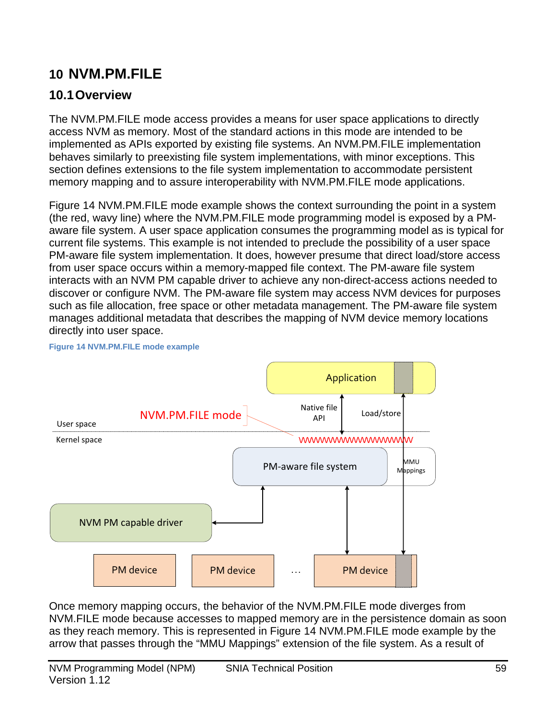# **10 NVM.PM.FILE**

# **10.1Overview**

The NVM.PM.FILE mode access provides a means for user space applications to directly access NVM as memory. Most of the standard actions in this mode are intended to be implemented as APIs exported by existing file systems. An NVM.PM.FILE implementation behaves similarly to preexisting file system implementations, with minor exceptions. This section defines extensions to the file system implementation to accommodate persistent memory mapping and to assure interoperability with NVM.PM.FILE mode applications.

Figure 14 [NVM.PM.FILE mode example](#page-58-0) shows the context surrounding the point in a system (the red, wavy line) where the NVM.PM.FILE mode programming model is exposed by a PMaware file system. A user space application consumes the programming model as is typical for current file systems. This example is not intended to preclude the possibility of a user space PM-aware file system implementation. It does, however presume that direct load/store access from user space occurs within a memory-mapped file context. The PM-aware file system interacts with an NVM PM capable driver to achieve any non-direct-access actions needed to discover or configure NVM. The PM-aware file system may access NVM devices for purposes such as file allocation, free space or other metadata management. The PM-aware file system manages additional metadata that describes the mapping of NVM device memory locations directly into user space.



<span id="page-58-0"></span>**Figure 14 NVM.PM.FILE mode example**

Once memory mapping occurs, the behavior of the NVM.PM.FILE mode diverges from NVM.FILE mode because accesses to mapped memory are in the persistence domain as soon as they reach memory. This is represented in Figure 14 [NVM.PM.FILE mode example](#page-58-0) by the arrow that passes through the "MMU Mappings" extension of the file system. As a result of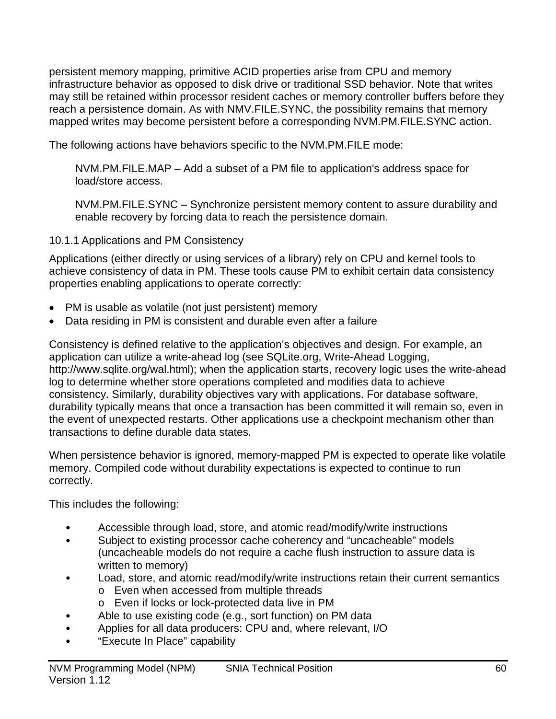persistent memory mapping, primitive ACID properties arise from CPU and memory infrastructure behavior as opposed to disk drive or traditional SSD behavior. Note that writes may still be retained within processor resident caches or memory controller buffers before they reach a persistence domain. As with NMV.FILE.SYNC, the possibility remains that memory mapped writes may become persistent before a corresponding NVM.PM.FILE.SYNC action.

The following actions have behaviors specific to the NVM.PM.FILE mode:

NVM.PM.FILE.MAP – Add a subset of a PM file to application's address space for load/store access.

NVM.PM.FILE.SYNC – Synchronize persistent memory content to assure durability and enable recovery by forcing data to reach the persistence domain.

## 10.1.1 Applications and PM Consistency

Applications (either directly or using services of a library) rely on CPU and kernel tools to achieve consistency of data in PM. These tools cause PM to exhibit certain data consistency properties enabling applications to operate correctly:

- PM is usable as volatile (not just persistent) memory
- Data residing in PM is consistent and durable even after a failure

Consistency is defined relative to the application's objectives and design. For example, an application can utilize a write-ahead log (see SQLite.org, Write-Ahead Logging, http://www.sqlite.org/wal.html); when the application starts, recovery logic uses the write-ahead log to determine whether store operations completed and modifies data to achieve consistency. Similarly, durability objectives vary with applications. For database software, durability typically means that once a transaction has been committed it will remain so, even in the event of unexpected restarts. Other applications use a checkpoint mechanism other than transactions to define durable data states.

When persistence behavior is ignored, memory-mapped PM is expected to operate like volatile memory. Compiled code without durability expectations is expected to continue to run correctly.

This includes the following:

- Accessible through load, store, and atomic read/modify/write instructions
- Subject to existing processor cache coherency and "uncacheable" models (uncacheable models do not require a cache flush instruction to assure data is written to memory)
- Load, store, and atomic read/modify/write instructions retain their current semantics
	- o Even when accessed from multiple threads
	- o Even if locks or lock-protected data live in PM
- Able to use existing code (e.g., sort function) on PM data
- Applies for all data producers: CPU and, where relevant, I/O
- "Execute In Place" capability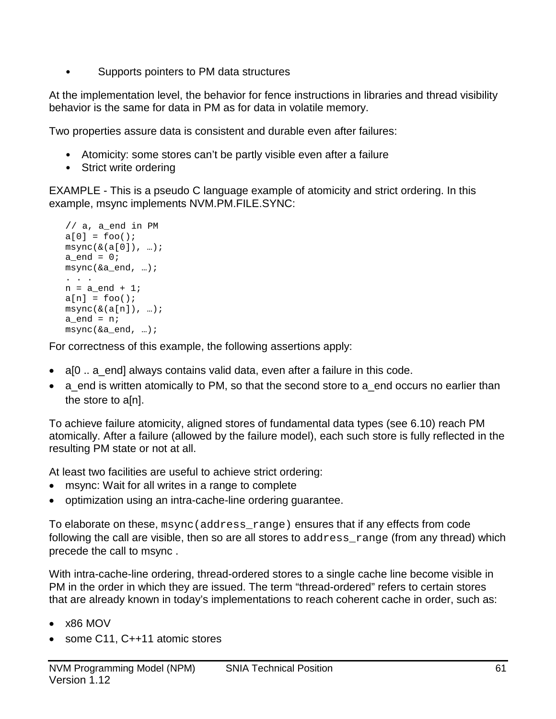• Supports pointers to PM data structures

At the implementation level, the behavior for fence instructions in libraries and thread visibility behavior is the same for data in PM as for data in volatile memory.

Two properties assure data is consistent and durable even after failures:

- Atomicity: some stores can't be partly visible even after a failure
- Strict write ordering

EXAMPLE - This is a pseudo C language example of atomicity and strict ordering. In this example, msync implements NVM.PM.FILE.SYNC:

```
// a, a end in PMa[0] = foo();
msync(\&a[0]), \dots;a end = 0;msync(&a_end, …);
. . .
n = a end + 1;
a[n] = foo();
msync(\&(a[n]), \dots);a<sub>end</sub> = n;
msync(&a_end, …);
```
For correctness of this example, the following assertions apply:

- a[0  $\ldots$  a end] always contains valid data, even after a failure in this code.
- a end is written atomically to PM, so that the second store to a end occurs no earlier than the store to a[n].

To achieve failure atomicity, aligned stores of fundamental data types (see [6.10\)](#page-23-0) reach PM atomically. After a failure (allowed by the failure model), each such store is fully reflected in the resulting PM state or not at all.

At least two facilities are useful to achieve strict ordering:

- msync: Wait for all writes in a range to complete
- optimization using an intra-cache-line ordering guarantee.

To elaborate on these, msync(address\_range) ensures that if any effects from code following the call are visible, then so are all stores to address\_range (from any thread) which precede the call to msync .

With intra-cache-line ordering, thread-ordered stores to a single cache line become visible in PM in the order in which they are issued. The term "thread-ordered" refers to certain stores that are already known in today's implementations to reach coherent cache in order, such as:

- $\times$ 86 MOV
- some C11, C++11 atomic stores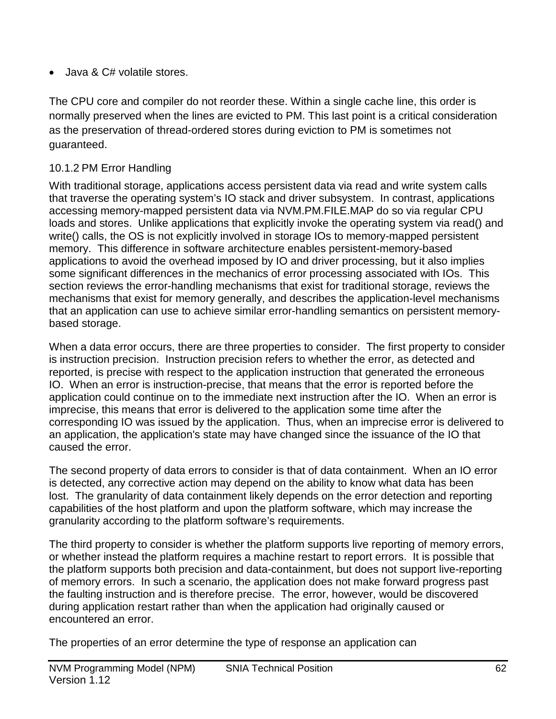• Java & C# volatile stores.

The CPU core and compiler do not reorder these. Within a single cache line, this order is normally preserved when the lines are evicted to PM. This last point is a critical consideration as the preservation of thread-ordered stores during eviction to PM is sometimes not guaranteed.

# 10.1.2 PM Error Handling

With traditional storage, applications access persistent data via read and write system calls that traverse the operating system's IO stack and driver subsystem. In contrast, applications accessing memory-mapped persistent data via NVM.PM.FILE.MAP do so via regular CPU loads and stores. Unlike applications that explicitly invoke the operating system via read() and write() calls, the OS is not explicitly involved in storage IOs to memory-mapped persistent memory. This difference in software architecture enables persistent-memory-based applications to avoid the overhead imposed by IO and driver processing, but it also implies some significant differences in the mechanics of error processing associated with IOs. This section reviews the error-handling mechanisms that exist for traditional storage, reviews the mechanisms that exist for memory generally, and describes the application-level mechanisms that an application can use to achieve similar error-handling semantics on persistent memorybased storage.

When a data error occurs, there are three properties to consider. The first property to consider is instruction precision. Instruction precision refers to whether the error, as detected and reported, is precise with respect to the application instruction that generated the erroneous IO. When an error is instruction-precise, that means that the error is reported before the application could continue on to the immediate next instruction after the IO. When an error is imprecise, this means that error is delivered to the application some time after the corresponding IO was issued by the application. Thus, when an imprecise error is delivered to an application, the application's state may have changed since the issuance of the IO that caused the error.

The second property of data errors to consider is that of data containment. When an IO error is detected, any corrective action may depend on the ability to know what data has been lost. The granularity of data containment likely depends on the error detection and reporting capabilities of the host platform and upon the platform software, which may increase the granularity according to the platform software's requirements.

The third property to consider is whether the platform supports live reporting of memory errors, or whether instead the platform requires a machine restart to report errors. It is possible that the platform supports both precision and data-containment, but does not support live-reporting of memory errors. In such a scenario, the application does not make forward progress past the faulting instruction and is therefore precise. The error, however, would be discovered during application restart rather than when the application had originally caused or encountered an error.

The properties of an error determine the type of response an application can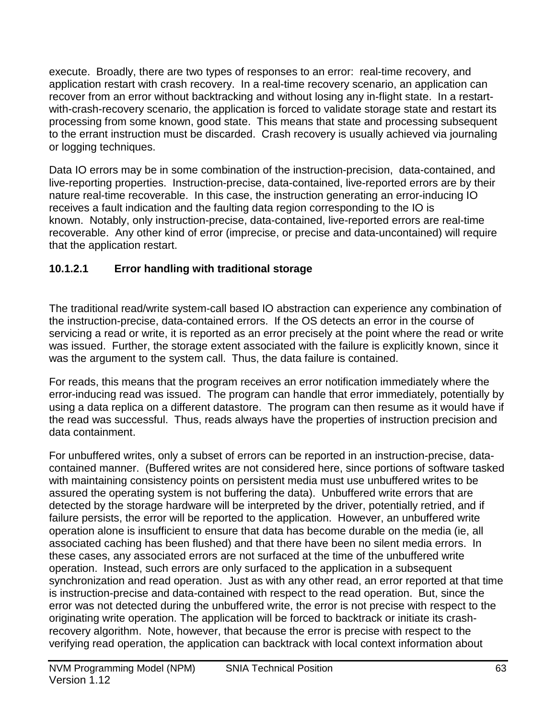execute. Broadly, there are two types of responses to an error: real-time recovery, and application restart with crash recovery. In a real-time recovery scenario, an application can recover from an error without backtracking and without losing any in-flight state. In a restartwith-crash-recovery scenario, the application is forced to validate storage state and restart its processing from some known, good state. This means that state and processing subsequent to the errant instruction must be discarded. Crash recovery is usually achieved via journaling or logging techniques.

Data IO errors may be in some combination of the instruction-precision, data-contained, and live-reporting properties. Instruction-precise, data-contained, live-reported errors are by their nature real-time recoverable. In this case, the instruction generating an error-inducing IO receives a fault indication and the faulting data region corresponding to the IO is known. Notably, only instruction-precise, data-contained, live-reported errors are real-time recoverable. Any other kind of error (imprecise, or precise and data-uncontained) will require that the application restart.

# **10.1.2.1 Error handling with traditional storage**

The traditional read/write system-call based IO abstraction can experience any combination of the instruction-precise, data-contained errors. If the OS detects an error in the course of servicing a read or write, it is reported as an error precisely at the point where the read or write was issued. Further, the storage extent associated with the failure is explicitly known, since it was the argument to the system call. Thus, the data failure is contained.

For reads, this means that the program receives an error notification immediately where the error-inducing read was issued. The program can handle that error immediately, potentially by using a data replica on a different datastore. The program can then resume as it would have if the read was successful. Thus, reads always have the properties of instruction precision and data containment.

For unbuffered writes, only a subset of errors can be reported in an instruction-precise, datacontained manner. (Buffered writes are not considered here, since portions of software tasked with maintaining consistency points on persistent media must use unbuffered writes to be assured the operating system is not buffering the data). Unbuffered write errors that are detected by the storage hardware will be interpreted by the driver, potentially retried, and if failure persists, the error will be reported to the application. However, an unbuffered write operation alone is insufficient to ensure that data has become durable on the media (ie, all associated caching has been flushed) and that there have been no silent media errors. In these cases, any associated errors are not surfaced at the time of the unbuffered write operation. Instead, such errors are only surfaced to the application in a subsequent synchronization and read operation. Just as with any other read, an error reported at that time is instruction-precise and data-contained with respect to the read operation. But, since the error was not detected during the unbuffered write, the error is not precise with respect to the originating write operation. The application will be forced to backtrack or initiate its crashrecovery algorithm. Note, however, that because the error is precise with respect to the verifying read operation, the application can backtrack with local context information about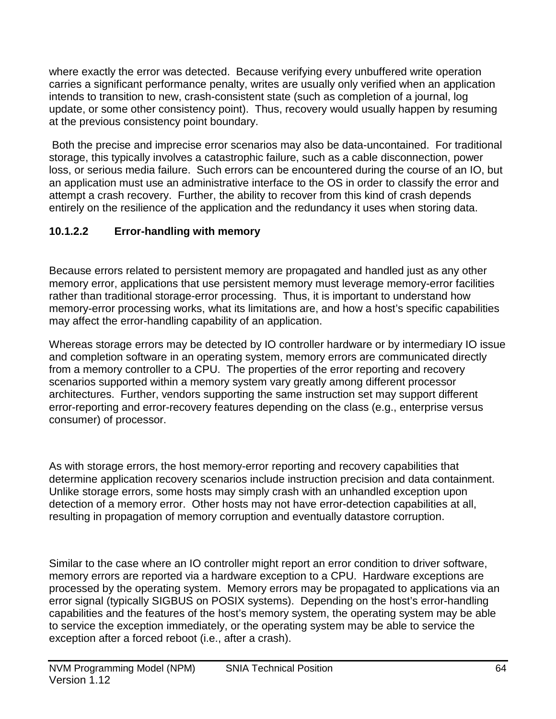where exactly the error was detected. Because verifying every unbuffered write operation carries a significant performance penalty, writes are usually only verified when an application intends to transition to new, crash-consistent state (such as completion of a journal, log update, or some other consistency point). Thus, recovery would usually happen by resuming at the previous consistency point boundary.

Both the precise and imprecise error scenarios may also be data-uncontained. For traditional storage, this typically involves a catastrophic failure, such as a cable disconnection, power loss, or serious media failure. Such errors can be encountered during the course of an IO, but an application must use an administrative interface to the OS in order to classify the error and attempt a crash recovery. Further, the ability to recover from this kind of crash depends entirely on the resilience of the application and the redundancy it uses when storing data.

# **10.1.2.2 Error-handling with memory**

Because errors related to persistent memory are propagated and handled just as any other memory error, applications that use persistent memory must leverage memory-error facilities rather than traditional storage-error processing. Thus, it is important to understand how memory-error processing works, what its limitations are, and how a host's specific capabilities may affect the error-handling capability of an application.

Whereas storage errors may be detected by IO controller hardware or by intermediary IO issue and completion software in an operating system, memory errors are communicated directly from a memory controller to a CPU. The properties of the error reporting and recovery scenarios supported within a memory system vary greatly among different processor architectures. Further, vendors supporting the same instruction set may support different error-reporting and error-recovery features depending on the class (e.g., enterprise versus consumer) of processor.

As with storage errors, the host memory-error reporting and recovery capabilities that determine application recovery scenarios include instruction precision and data containment. Unlike storage errors, some hosts may simply crash with an unhandled exception upon detection of a memory error. Other hosts may not have error-detection capabilities at all, resulting in propagation of memory corruption and eventually datastore corruption.

Similar to the case where an IO controller might report an error condition to driver software, memory errors are reported via a hardware exception to a CPU. Hardware exceptions are processed by the operating system. Memory errors may be propagated to applications via an error signal (typically SIGBUS on POSIX systems). Depending on the host's error-handling capabilities and the features of the host's memory system, the operating system may be able to service the exception immediately, or the operating system may be able to service the exception after a forced reboot (i.e., after a crash).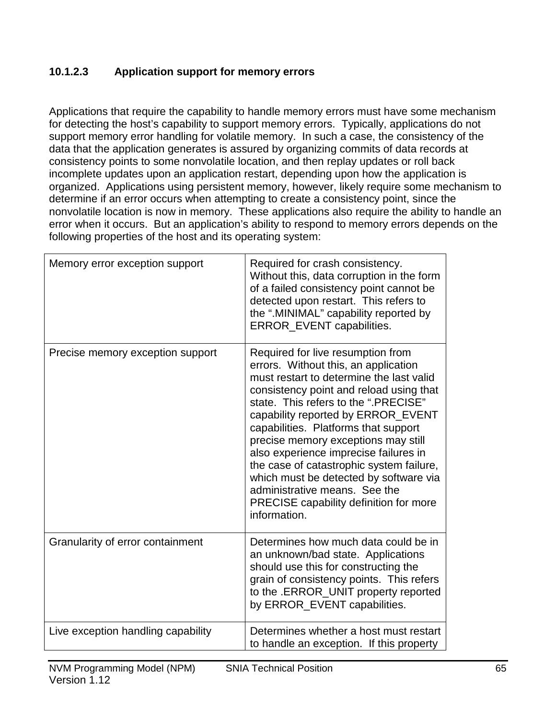## **10.1.2.3 Application support for memory errors**

Applications that require the capability to handle memory errors must have some mechanism for detecting the host's capability to support memory errors. Typically, applications do not support memory error handling for volatile memory. In such a case, the consistency of the data that the application generates is assured by organizing commits of data records at consistency points to some nonvolatile location, and then replay updates or roll back incomplete updates upon an application restart, depending upon how the application is organized. Applications using persistent memory, however, likely require some mechanism to determine if an error occurs when attempting to create a consistency point, since the nonvolatile location is now in memory. These applications also require the ability to handle an error when it occurs. But an application's ability to respond to memory errors depends on the following properties of the host and its operating system:

| Memory error exception support     | Required for crash consistency.<br>Without this, data corruption in the form<br>of a failed consistency point cannot be<br>detected upon restart. This refers to<br>the ".MINIMAL" capability reported by<br>ERROR_EVENT capabilities.                                                                                                                                                                                                                                                                                                                  |
|------------------------------------|---------------------------------------------------------------------------------------------------------------------------------------------------------------------------------------------------------------------------------------------------------------------------------------------------------------------------------------------------------------------------------------------------------------------------------------------------------------------------------------------------------------------------------------------------------|
| Precise memory exception support   | Required for live resumption from<br>errors. Without this, an application<br>must restart to determine the last valid<br>consistency point and reload using that<br>state. This refers to the ".PRECISE"<br>capability reported by ERROR_EVENT<br>capabilities. Platforms that support<br>precise memory exceptions may still<br>also experience imprecise failures in<br>the case of catastrophic system failure,<br>which must be detected by software via<br>administrative means. See the<br>PRECISE capability definition for more<br>information. |
| Granularity of error containment   | Determines how much data could be in<br>an unknown/bad state. Applications<br>should use this for constructing the<br>grain of consistency points. This refers<br>to the .ERROR_UNIT property reported<br>by ERROR_EVENT capabilities.                                                                                                                                                                                                                                                                                                                  |
| Live exception handling capability | Determines whether a host must restart<br>to handle an exception. If this property                                                                                                                                                                                                                                                                                                                                                                                                                                                                      |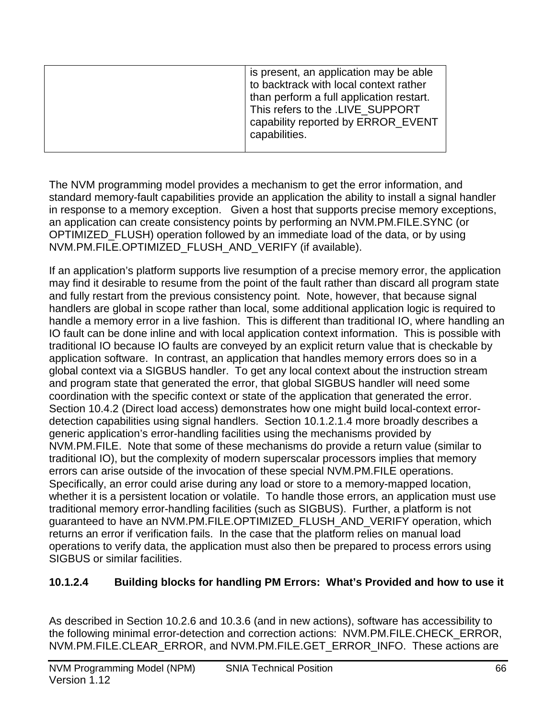|  | is present, an application may be able<br>to backtrack with local context rather<br>than perform a full application restart.<br>This refers to the .LIVE SUPPORT<br>capability reported by ERROR_EVENT<br>capabilities. |
|--|-------------------------------------------------------------------------------------------------------------------------------------------------------------------------------------------------------------------------|
|--|-------------------------------------------------------------------------------------------------------------------------------------------------------------------------------------------------------------------------|

The NVM programming model provides a mechanism to get the error information, and standard memory-fault capabilities provide an application the ability to install a signal handler in response to a memory exception. Given a host that supports precise memory exceptions, an application can create consistency points by performing an NVM.PM.FILE.SYNC (or OPTIMIZED\_FLUSH) operation followed by an immediate load of the data, or by using NVM.PM.FILE.OPTIMIZED\_FLUSH\_AND\_VERIFY (if available).

If an application's platform supports live resumption of a precise memory error, the application may find it desirable to resume from the point of the fault rather than discard all program state and fully restart from the previous consistency point. Note, however, that because signal handlers are global in scope rather than local, some additional application logic is required to handle a memory error in a live fashion. This is different than traditional IO, where handling an IO fault can be done inline and with local application context information. This is possible with traditional IO because IO faults are conveyed by an explicit return value that is checkable by application software. In contrast, an application that handles memory errors does so in a global context via a SIGBUS handler. To get any local context about the instruction stream and program state that generated the error, that global SIGBUS handler will need some coordination with the specific context or state of the application that generated the error. Section 10.4.2 (Direct load access) demonstrates how one might build local-context errordetection capabilities using signal handlers. Section 10.1.2.1.4 more broadly describes a generic application's error-handling facilities using the mechanisms provided by NVM.PM.FILE. Note that some of these mechanisms do provide a return value (similar to traditional IO), but the complexity of modern superscalar processors implies that memory errors can arise outside of the invocation of these special NVM.PM.FILE operations. Specifically, an error could arise during any load or store to a memory-mapped location, whether it is a persistent location or volatile. To handle those errors, an application must use traditional memory error-handling facilities (such as SIGBUS). Further, a platform is not guaranteed to have an NVM.PM.FILE.OPTIMIZED\_FLUSH\_AND\_VERIFY operation, which returns an error if verification fails. In the case that the platform relies on manual load operations to verify data, the application must also then be prepared to process errors using SIGBUS or similar facilities.

# **10.1.2.4 Building blocks for handling PM Errors: What's Provided and how to use it**

As described in Section 10.2.6 and 10.3.6 (and in new actions), software has accessibility to the following minimal error-detection and correction actions: NVM.PM.FILE.CHECK\_ERROR, NVM.PM.FILE.CLEAR\_ERROR, and NVM.PM.FILE.GET\_ERROR\_INFO. These actions are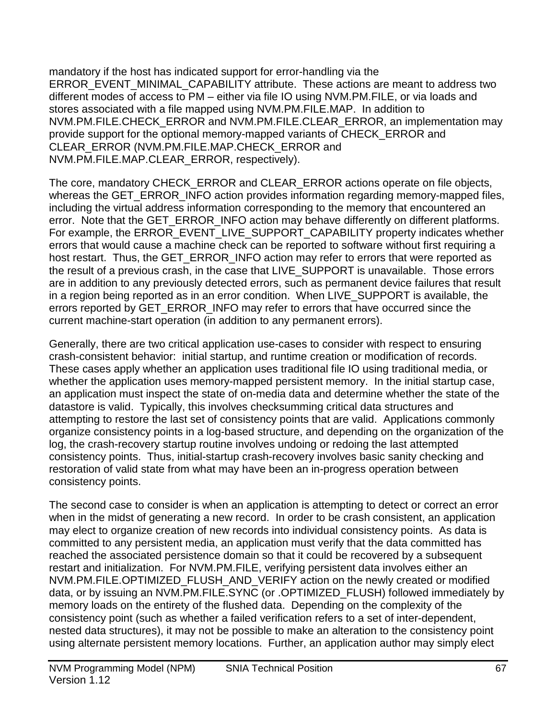mandatory if the host has indicated support for error-handling via the ERROR\_EVENT\_MINIMAL\_CAPABILITY attribute. These actions are meant to address two different modes of access to PM – either via file IO using NVM.PM.FILE, or via loads and stores associated with a file mapped using NVM.PM.FILE.MAP. In addition to NVM.PM.FILE.CHECK\_ERROR and NVM.PM.FILE.CLEAR\_ERROR, an implementation may provide support for the optional memory-mapped variants of CHECK\_ERROR and CLEAR\_ERROR (NVM.PM.FILE.MAP.CHECK\_ERROR and NVM.PM.FILE.MAP.CLEAR\_ERROR, respectively).

The core, mandatory CHECK\_ERROR and CLEAR\_ERROR actions operate on file objects, whereas the GET\_ERROR\_INFO action provides information regarding memory-mapped files, including the virtual address information corresponding to the memory that encountered an error. Note that the GET\_ERROR\_INFO action may behave differently on different platforms. For example, the ERROR\_EVENT\_LIVE\_SUPPORT\_CAPABILITY property indicates whether errors that would cause a machine check can be reported to software without first requiring a host restart. Thus, the GET\_ERROR\_INFO action may refer to errors that were reported as the result of a previous crash, in the case that LIVE\_SUPPORT is unavailable. Those errors are in addition to any previously detected errors, such as permanent device failures that result in a region being reported as in an error condition. When LIVE\_SUPPORT is available, the errors reported by GET\_ERROR\_INFO may refer to errors that have occurred since the current machine-start operation (in addition to any permanent errors).

Generally, there are two critical application use-cases to consider with respect to ensuring crash-consistent behavior: initial startup, and runtime creation or modification of records. These cases apply whether an application uses traditional file IO using traditional media, or whether the application uses memory-mapped persistent memory. In the initial startup case, an application must inspect the state of on-media data and determine whether the state of the datastore is valid. Typically, this involves checksumming critical data structures and attempting to restore the last set of consistency points that are valid. Applications commonly organize consistency points in a log-based structure, and depending on the organization of the log, the crash-recovery startup routine involves undoing or redoing the last attempted consistency points. Thus, initial-startup crash-recovery involves basic sanity checking and restoration of valid state from what may have been an in-progress operation between consistency points.

The second case to consider is when an application is attempting to detect or correct an error when in the midst of generating a new record. In order to be crash consistent, an application may elect to organize creation of new records into individual consistency points. As data is committed to any persistent media, an application must verify that the data committed has reached the associated persistence domain so that it could be recovered by a subsequent restart and initialization. For NVM.PM.FILE, verifying persistent data involves either an NVM.PM.FILE.OPTIMIZED\_FLUSH\_AND\_VERIFY action on the newly created or modified data, or by issuing an NVM.PM.FILE.SYNC (or .OPTIMIZED\_FLUSH) followed immediately by memory loads on the entirety of the flushed data. Depending on the complexity of the consistency point (such as whether a failed verification refers to a set of inter-dependent, nested data structures), it may not be possible to make an alteration to the consistency point using alternate persistent memory locations. Further, an application author may simply elect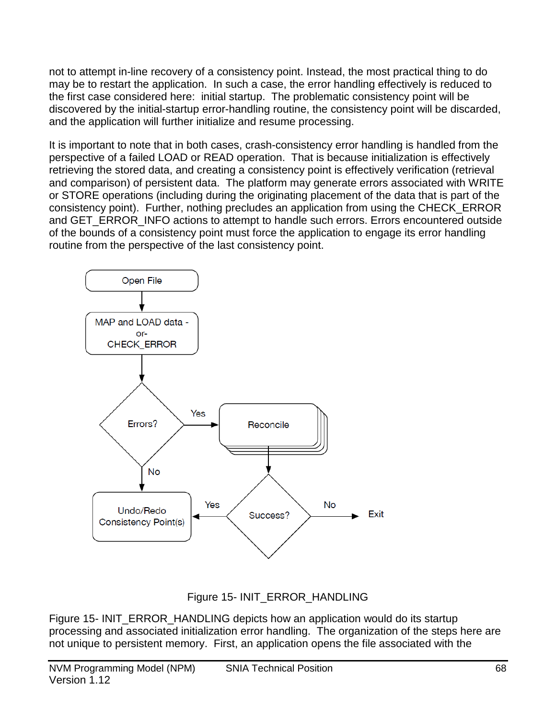not to attempt in-line recovery of a consistency point. Instead, the most practical thing to do may be to restart the application. In such a case, the error handling effectively is reduced to the first case considered here: initial startup. The problematic consistency point will be discovered by the initial-startup error-handling routine, the consistency point will be discarded, and the application will further initialize and resume processing.

It is important to note that in both cases, crash-consistency error handling is handled from the perspective of a failed LOAD or READ operation. That is because initialization is effectively retrieving the stored data, and creating a consistency point is effectively verification (retrieval and comparison) of persistent data. The platform may generate errors associated with WRITE or STORE operations (including during the originating placement of the data that is part of the consistency point). Further, nothing precludes an application from using the CHECK\_ERROR and GET\_ERROR\_INFO actions to attempt to handle such errors. Errors encountered outside of the bounds of a consistency point must force the application to engage its error handling routine from the perspective of the last consistency point.





<span id="page-67-0"></span>Figure 15- [INIT\\_ERROR\\_HANDLING](#page-67-0) depicts how an application would do its startup processing and associated initialization error handling. The organization of the steps here are not unique to persistent memory. First, an application opens the file associated with the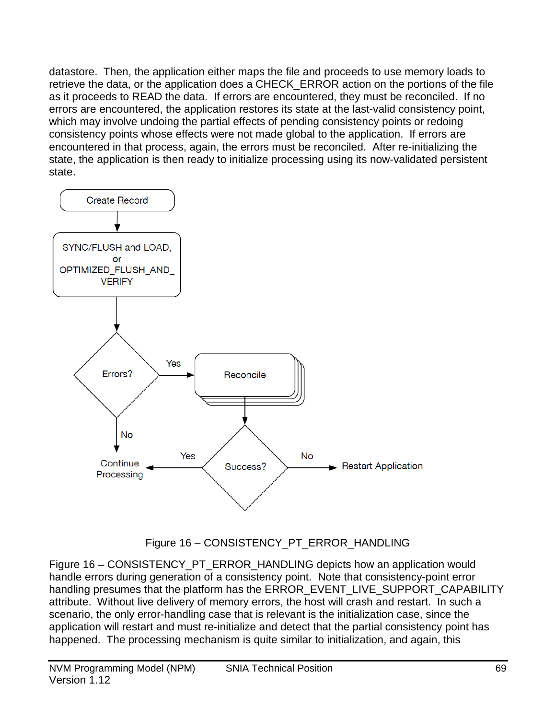datastore. Then, the application either maps the file and proceeds to use memory loads to retrieve the data, or the application does a CHECK\_ERROR action on the portions of the file as it proceeds to READ the data. If errors are encountered, they must be reconciled. If no errors are encountered, the application restores its state at the last-valid consistency point, which may involve undoing the partial effects of pending consistency points or redoing consistency points whose effects were not made global to the application. If errors are encountered in that process, again, the errors must be reconciled. After re-initializing the state, the application is then ready to initialize processing using its now-validated persistent state.



Figure 16 – CONSISTENCY\_PT\_ERROR\_HANDLING

<span id="page-68-0"></span>Figure 16 – [CONSISTENCY\\_PT\\_ERROR\\_HANDLING](#page-68-0) depicts how an application would handle errors during generation of a consistency point. Note that consistency-point error handling presumes that the platform has the ERROR\_EVENT\_LIVE\_SUPPORT\_CAPABILITY attribute. Without live delivery of memory errors, the host will crash and restart. In such a scenario, the only error-handling case that is relevant is the initialization case, since the application will restart and must re-initialize and detect that the partial consistency point has happened. The processing mechanism is quite similar to initialization, and again, this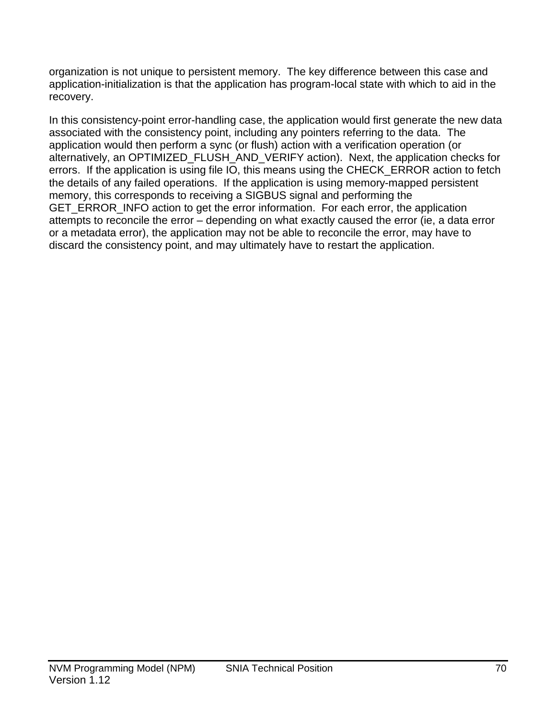organization is not unique to persistent memory. The key difference between this case and application-initialization is that the application has program-local state with which to aid in the recovery.

In this consistency-point error-handling case, the application would first generate the new data associated with the consistency point, including any pointers referring to the data. The application would then perform a sync (or flush) action with a verification operation (or alternatively, an OPTIMIZED\_FLUSH\_AND\_VERIFY action). Next, the application checks for errors. If the application is using file IO, this means using the CHECK\_ERROR action to fetch the details of any failed operations. If the application is using memory-mapped persistent memory, this corresponds to receiving a SIGBUS signal and performing the GET\_ERROR\_INFO action to get the error information. For each error, the application attempts to reconcile the error – depending on what exactly caused the error (ie, a data error or a metadata error), the application may not be able to reconcile the error, may have to discard the consistency point, and may ultimately have to restart the application.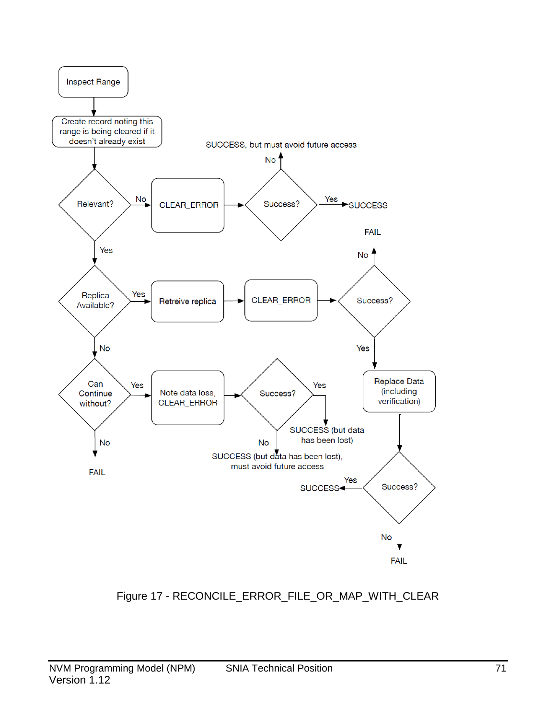

# <span id="page-70-0"></span>Figure 17 - RECONCILE\_ERROR\_FILE\_OR\_MAP\_WITH\_CLEAR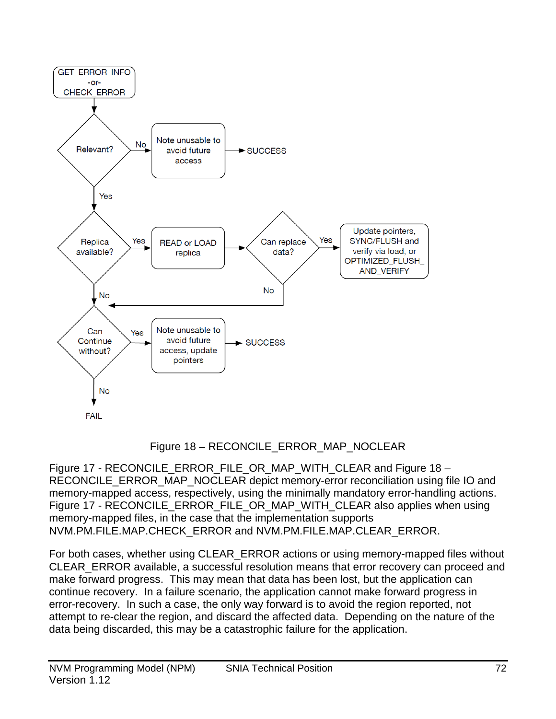

# Figure 18 – RECONCILE\_ERROR\_MAP\_NOCLEAR

<span id="page-71-0"></span>Figure 17 - [RECONCILE\\_ERROR\\_FILE\\_OR\\_MAP\\_WITH\\_CLEAR](#page-70-0) and [Figure 18 –](#page-71-0) [RECONCILE\\_ERROR\\_MAP\\_NOCLEAR](#page-71-0) depict memory-error reconciliation using file IO and memory-mapped access, respectively, using the minimally mandatory error-handling actions. Figure 17 - [RECONCILE\\_ERROR\\_FILE\\_OR\\_MAP\\_WITH\\_CLEAR](#page-70-0) also applies when using memory-mapped files, in the case that the implementation supports NVM.PM.FILE.MAP.CHECK\_ERROR and NVM.PM.FILE.MAP.CLEAR\_ERROR.

For both cases, whether using CLEAR\_ERROR actions or using memory-mapped files without CLEAR\_ERROR available, a successful resolution means that error recovery can proceed and make forward progress. This may mean that data has been lost, but the application can continue recovery. In a failure scenario, the application cannot make forward progress in error-recovery. In such a case, the only way forward is to avoid the region reported, not attempt to re-clear the region, and discard the affected data. Depending on the nature of the data being discarded, this may be a catastrophic failure for the application.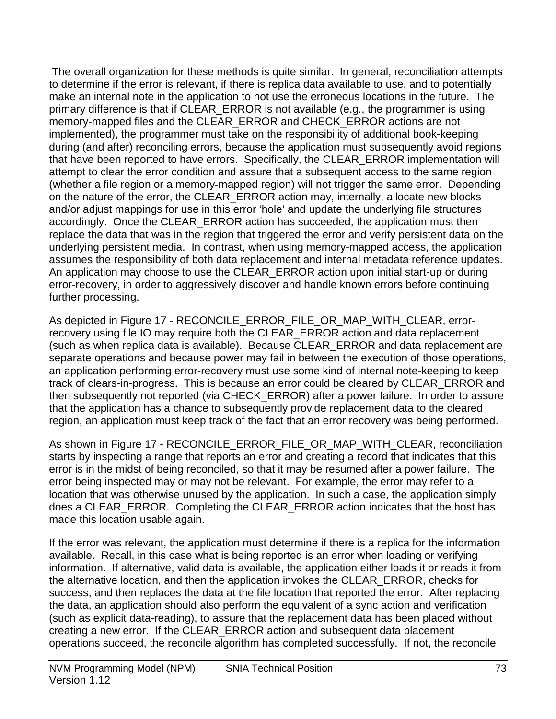The overall organization for these methods is quite similar. In general, reconciliation attempts to determine if the error is relevant, if there is replica data available to use, and to potentially make an internal note in the application to not use the erroneous locations in the future. The primary difference is that if CLEAR\_ERROR is not available (e.g., the programmer is using memory-mapped files and the CLEAR\_ERROR and CHECK\_ERROR actions are not implemented), the programmer must take on the responsibility of additional book-keeping during (and after) reconciling errors, because the application must subsequently avoid regions that have been reported to have errors. Specifically, the CLEAR\_ERROR implementation will attempt to clear the error condition and assure that a subsequent access to the same region (whether a file region or a memory-mapped region) will not trigger the same error. Depending on the nature of the error, the CLEAR\_ERROR action may, internally, allocate new blocks and/or adjust mappings for use in this error 'hole' and update the underlying file structures accordingly. Once the CLEAR\_ERROR action has succeeded, the application must then replace the data that was in the region that triggered the error and verify persistent data on the underlying persistent media. In contrast, when using memory-mapped access, the application assumes the responsibility of both data replacement and internal metadata reference updates. An application may choose to use the CLEAR\_ERROR action upon initial start-up or during error-recovery, in order to aggressively discover and handle known errors before continuing further processing.

As depicted in Figure 17 - [RECONCILE\\_ERROR\\_FILE\\_OR\\_MAP\\_WITH\\_CLEAR,](#page-70-0) errorrecovery using file IO may require both the CLEAR\_ERROR action and data replacement (such as when replica data is available). Because CLEAR\_ERROR and data replacement are separate operations and because power may fail in between the execution of those operations, an application performing error-recovery must use some kind of internal note-keeping to keep track of clears-in-progress. This is because an error could be cleared by CLEAR\_ERROR and then subsequently not reported (via CHECK\_ERROR) after a power failure. In order to assure that the application has a chance to subsequently provide replacement data to the cleared region, an application must keep track of the fact that an error recovery was being performed.

As shown in Figure 17 - [RECONCILE\\_ERROR\\_FILE\\_OR\\_MAP\\_WITH\\_CLEAR,](#page-70-0) reconciliation starts by inspecting a range that reports an error and creating a record that indicates that this error is in the midst of being reconciled, so that it may be resumed after a power failure. The error being inspected may or may not be relevant. For example, the error may refer to a location that was otherwise unused by the application. In such a case, the application simply does a CLEAR\_ERROR. Completing the CLEAR\_ERROR action indicates that the host has made this location usable again.

If the error was relevant, the application must determine if there is a replica for the information available. Recall, in this case what is being reported is an error when loading or verifying information. If alternative, valid data is available, the application either loads it or reads it from the alternative location, and then the application invokes the CLEAR\_ERROR, checks for success, and then replaces the data at the file location that reported the error. After replacing the data, an application should also perform the equivalent of a sync action and verification (such as explicit data-reading), to assure that the replacement data has been placed without creating a new error. If the CLEAR\_ERROR action and subsequent data placement operations succeed, the reconcile algorithm has completed successfully. If not, the reconcile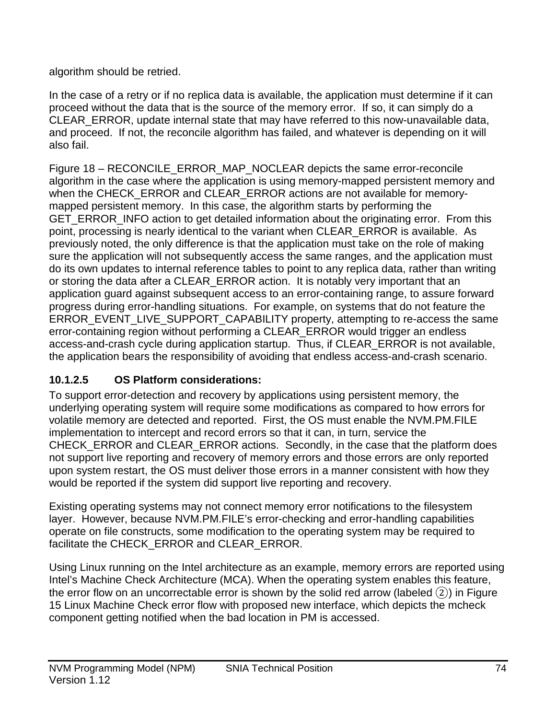algorithm should be retried.

In the case of a retry or if no replica data is available, the application must determine if it can proceed without the data that is the source of the memory error. If so, it can simply do a CLEAR\_ERROR, update internal state that may have referred to this now-unavailable data, and proceed. If not, the reconcile algorithm has failed, and whatever is depending on it will also fail.

Figure 18 – [RECONCILE\\_ERROR\\_MAP\\_NOCLEAR](#page-71-0) depicts the same error-reconcile algorithm in the case where the application is using memory-mapped persistent memory and when the CHECK\_ERROR and CLEAR\_ERROR actions are not available for memorymapped persistent memory. In this case, the algorithm starts by performing the GET\_ERROR\_INFO action to get detailed information about the originating error. From this point, processing is nearly identical to the variant when CLEAR\_ERROR is available. As previously noted, the only difference is that the application must take on the role of making sure the application will not subsequently access the same ranges, and the application must do its own updates to internal reference tables to point to any replica data, rather than writing or storing the data after a CLEAR\_ERROR action. It is notably very important that an application guard against subsequent access to an error-containing range, to assure forward progress during error-handling situations. For example, on systems that do not feature the ERROR\_EVENT\_LIVE\_SUPPORT\_CAPABILITY property, attempting to re-access the same error-containing region without performing a CLEAR\_ERROR would trigger an endless access-and-crash cycle during application startup. Thus, if CLEAR\_ERROR is not available, the application bears the responsibility of avoiding that endless access-and-crash scenario.

## **10.1.2.5 OS Platform considerations:**

To support error-detection and recovery by applications using persistent memory, the underlying operating system will require some modifications as compared to how errors for volatile memory are detected and reported. First, the OS must enable the NVM.PM.FILE implementation to intercept and record errors so that it can, in turn, service the CHECK\_ERROR and CLEAR\_ERROR actions. Secondly, in the case that the platform does not support live reporting and recovery of memory errors and those errors are only reported upon system restart, the OS must deliver those errors in a manner consistent with how they would be reported if the system did support live reporting and recovery.

Existing operating systems may not connect memory error notifications to the filesystem layer. However, because NVM.PM.FILE's error-checking and error-handling capabilities operate on file constructs, some modification to the operating system may be required to facilitate the CHECK\_ERROR and CLEAR\_ERROR.

Using Linux running on the Intel architecture as an example, memory errors are reported using Intel's Machine Check Architecture (MCA). When the operating system enables this feature, the error flow on an uncorrectable error is shown by the solid red arrow (labeled  $(2)$ ) in Figure 15 Linux Machine Check error flow with proposed new interface, which depicts the mcheck component getting notified when the bad location in PM is accessed.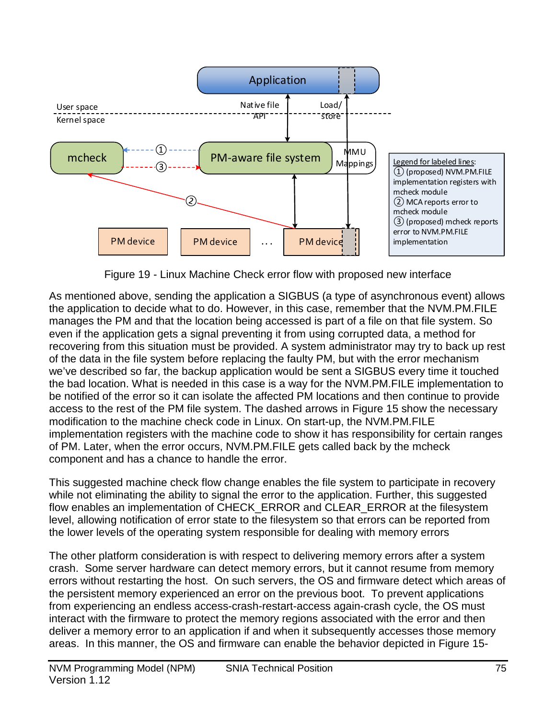

Figure 19 - Linux Machine Check error flow with proposed new interface

As mentioned above, sending the application a SIGBUS (a type of asynchronous event) allows the application to decide what to do. However, in this case, remember that the NVM.PM.FILE manages the PM and that the location being accessed is part of a file on that file system. So even if the application gets a signal preventing it from using corrupted data, a method for recovering from this situation must be provided. A system administrator may try to back up rest of the data in the file system before replacing the faulty PM, but with the error mechanism we've described so far, the backup application would be sent a SIGBUS every time it touched the bad location. What is needed in this case is a way for the NVM.PM.FILE implementation to be notified of the error so it can isolate the affected PM locations and then continue to provide access to the rest of the PM file system. The dashed arrows in Figure 15 show the necessary modification to the machine check code in Linux. On start-up, the NVM.PM.FILE implementation registers with the machine code to show it has responsibility for certain ranges of PM. Later, when the error occurs, NVM.PM.FILE gets called back by the mcheck component and has a chance to handle the error.

This suggested machine check flow change enables the file system to participate in recovery while not eliminating the ability to signal the error to the application. Further, this suggested flow enables an implementation of CHECK\_ERROR and CLEAR\_ERROR at the filesystem level, allowing notification of error state to the filesystem so that errors can be reported from the lower levels of the operating system responsible for dealing with memory errors

The other platform consideration is with respect to delivering memory errors after a system crash. Some server hardware can detect memory errors, but it cannot resume from memory errors without restarting the host. On such servers, the OS and firmware detect which areas of the persistent memory experienced an error on the previous boot. To prevent applications from experiencing an endless access-crash-restart-access again-crash cycle, the OS must interact with the firmware to protect the memory regions associated with the error and then deliver a memory error to an application if and when it subsequently accesses those memory areas. In this manner, the OS and firmware can enable the behavior depicted in [Figure 15-](#page-67-0)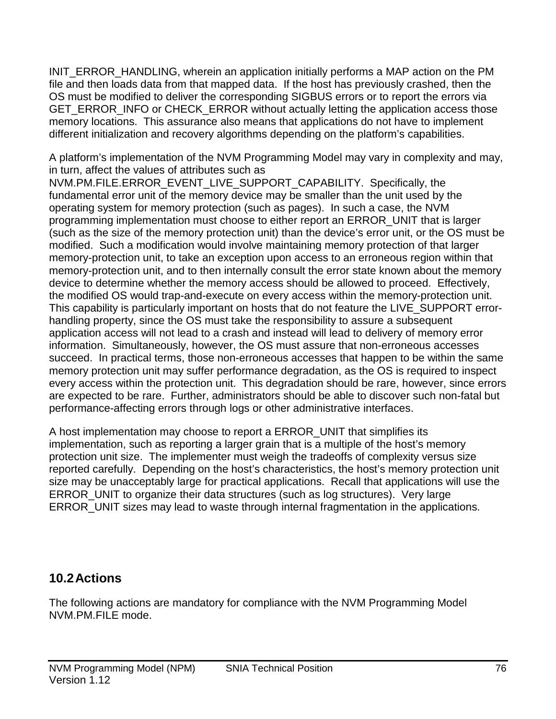[INIT\\_ERROR\\_HANDLING,](#page-67-0) wherein an application initially performs a MAP action on the PM file and then loads data from that mapped data. If the host has previously crashed, then the OS must be modified to deliver the corresponding SIGBUS errors or to report the errors via GET\_ERROR\_INFO or CHECK\_ERROR without actually letting the application access those memory locations. This assurance also means that applications do not have to implement different initialization and recovery algorithms depending on the platform's capabilities.

A platform's implementation of the NVM Programming Model may vary in complexity and may, in turn, affect the values of attributes such as

NVM.PM.FILE.ERROR\_EVENT\_LIVE\_SUPPORT\_CAPABILITY. Specifically, the fundamental error unit of the memory device may be smaller than the unit used by the operating system for memory protection (such as pages). In such a case, the NVM programming implementation must choose to either report an ERROR\_UNIT that is larger (such as the size of the memory protection unit) than the device's error unit, or the OS must be modified. Such a modification would involve maintaining memory protection of that larger memory-protection unit, to take an exception upon access to an erroneous region within that memory-protection unit, and to then internally consult the error state known about the memory device to determine whether the memory access should be allowed to proceed. Effectively, the modified OS would trap-and-execute on every access within the memory-protection unit. This capability is particularly important on hosts that do not feature the LIVE\_SUPPORT errorhandling property, since the OS must take the responsibility to assure a subsequent application access will not lead to a crash and instead will lead to delivery of memory error information. Simultaneously, however, the OS must assure that non-erroneous accesses succeed. In practical terms, those non-erroneous accesses that happen to be within the same memory protection unit may suffer performance degradation, as the OS is required to inspect every access within the protection unit. This degradation should be rare, however, since errors are expected to be rare. Further, administrators should be able to discover such non-fatal but performance-affecting errors through logs or other administrative interfaces.

A host implementation may choose to report a ERROR\_UNIT that simplifies its implementation, such as reporting a larger grain that is a multiple of the host's memory protection unit size. The implementer must weigh the tradeoffs of complexity versus size reported carefully. Depending on the host's characteristics, the host's memory protection unit size may be unacceptably large for practical applications. Recall that applications will use the ERROR\_UNIT to organize their data structures (such as log structures). Very large ERROR UNIT sizes may lead to waste through internal fragmentation in the applications.

## **10.2Actions**

The following actions are mandatory for compliance with the NVM Programming Model NVM.PM.FILE mode.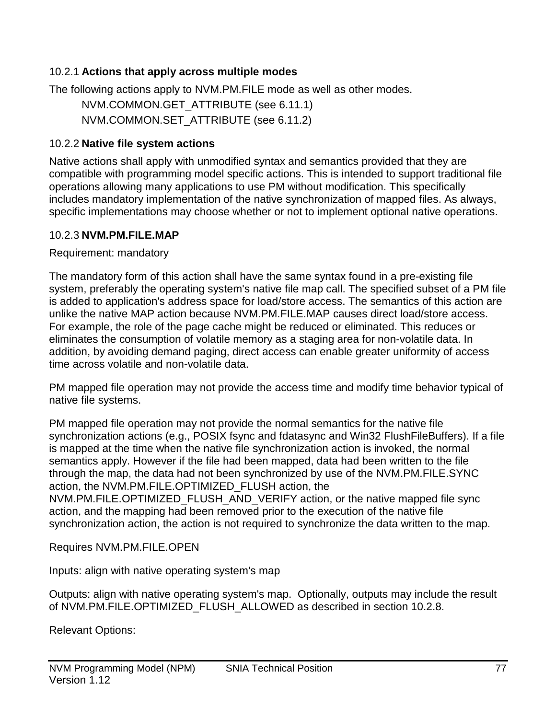#### 10.2.1 **Actions that apply across multiple modes**

The following actions apply to NVM.PM.FILE mode as well as other modes.

NVM.COMMON.GET\_ATTRIBUTE (see [6.11.1\)](#page-24-0) NVM.COMMON.SET\_ATTRIBUTE (see [6.11.2\)](#page-24-1)

#### 10.2.2 **Native file system actions**

Native actions shall apply with unmodified syntax and semantics provided that they are compatible with programming model specific actions. This is intended to support traditional file operations allowing many applications to use PM without modification. This specifically includes mandatory implementation of the native synchronization of mapped files. As always, specific implementations may choose whether or not to implement optional native operations.

#### 10.2.3 **NVM.PM.FILE.MAP**

Requirement: mandatory

The mandatory form of this action shall have the same syntax found in a pre-existing file system, preferably the operating system's native file map call. The specified subset of a PM file is added to application's address space for load/store access. The semantics of this action are unlike the native MAP action because NVM.PM.FILE.MAP causes direct load/store access. For example, the role of the page cache might be reduced or eliminated. This reduces or eliminates the consumption of volatile memory as a staging area for non-volatile data. In addition, by avoiding demand paging, direct access can enable greater uniformity of access time across volatile and non-volatile data.

PM mapped file operation may not provide the access time and modify time behavior typical of native file systems.

PM mapped file operation may not provide the normal semantics for the native file synchronization actions (e.g., POSIX fsync and fdatasync and Win32 FlushFileBuffers). If a file is mapped at the time when the native file synchronization action is invoked, the normal semantics apply. However if the file had been mapped, data had been written to the file through the map, the data had not been synchronized by use of the NVM.PM.FILE.SYNC action, the NVM.PM.FILE.OPTIMIZED\_FLUSH action, the NVM.PM.FILE.OPTIMIZED\_FLUSH\_AND\_VERIFY action, or the native mapped file sync action, and the mapping had been removed prior to the execution of the native file synchronization action, the action is not required to synchronize the data written to the map.

Requires NVM.PM.FILE.OPEN

Inputs: align with native operating system's map

Outputs: align with native operating system's map. Optionally, outputs may include the result of NVM.PM.FILE.OPTIMIZED\_FLUSH\_ALLOWED as described in section 10.2.8.

Relevant Options: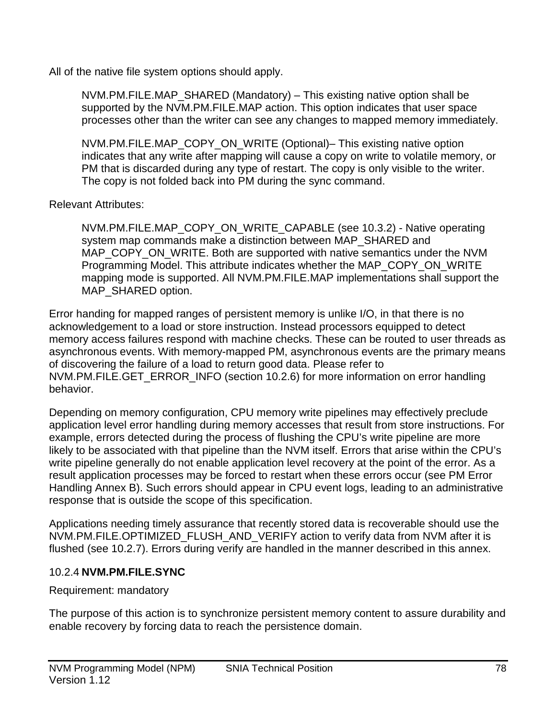All of the native file system options should apply.

NVM.PM.FILE.MAP\_SHARED (Mandatory) – This existing native option shall be supported by the NVM.PM.FILE.MAP action. This option indicates that user space processes other than the writer can see any changes to mapped memory immediately.

NVM.PM.FILE.MAP\_COPY\_ON\_WRITE (Optional)– This existing native option indicates that any write after mapping will cause a copy on write to volatile memory, or PM that is discarded during any type of restart. The copy is only visible to the writer. The copy is not folded back into PM during the sync command.

Relevant Attributes:

NVM.PM.FILE.MAP\_COPY\_ON\_WRITE\_CAPABLE (see [10.3.2\)](#page-87-0) - Native operating system map commands make a distinction between MAP\_SHARED and MAP\_COPY\_ON\_WRITE. Both are supported with native semantics under the NVM Programming Model. This attribute indicates whether the MAP\_COPY\_ON\_WRITE mapping mode is supported. All NVM.PM.FILE.MAP implementations shall support the MAP\_SHARED option.

Error handing for mapped ranges of persistent memory is unlike I/O, in that there is no acknowledgement to a load or store instruction. Instead processors equipped to detect memory access failures respond with machine checks. These can be routed to user threads as asynchronous events. With memory-mapped PM, asynchronous events are the primary means of discovering the failure of a load to return good data. Please refer to NVM.PM.FILE.GET\_ERROR\_INFO (section [10.2.6\)](#page-79-0) for more information on error handling behavior.

Depending on memory configuration, CPU memory write pipelines may effectively preclude application level error handling during memory accesses that result from store instructions. For example, errors detected during the process of flushing the CPU's write pipeline are more likely to be associated with that pipeline than the NVM itself. Errors that arise within the CPU's write pipeline generally do not enable application level recovery at the point of the error. As a result application processes may be forced to restart when these errors occur (see PM Error Handling Annex B). Such errors should appear in CPU event logs, leading to an administrative response that is outside the scope of this specification.

Applications needing timely assurance that recently stored data is recoverable should use the NVM.PM.FILE.OPTIMIZED\_FLUSH\_AND\_VERIFY action to verify data from NVM after it is flushed (see [10.2.7\)](#page-80-0). Errors during verify are handled in the manner described in this annex.

#### 10.2.4 **NVM.PM.FILE.SYNC**

Requirement: mandatory

The purpose of this action is to synchronize persistent memory content to assure durability and enable recovery by forcing data to reach the persistence domain.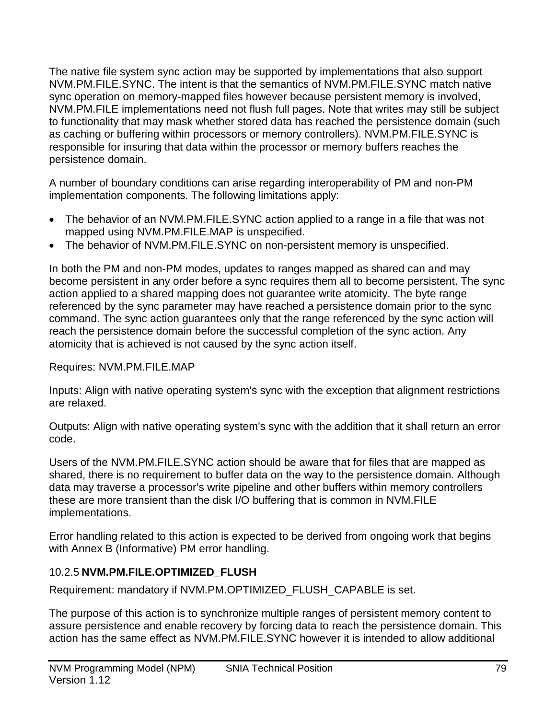The native file system sync action may be supported by implementations that also support NVM.PM.FILE.SYNC. The intent is that the semantics of NVM.PM.FILE.SYNC match native sync operation on memory-mapped files however because persistent memory is involved, NVM.PM.FILE implementations need not flush full pages. Note that writes may still be subject to functionality that may mask whether stored data has reached the persistence domain (such as caching or buffering within processors or memory controllers). NVM.PM.FILE.SYNC is responsible for insuring that data within the processor or memory buffers reaches the persistence domain.

A number of boundary conditions can arise regarding interoperability of PM and non-PM implementation components. The following limitations apply:

- The behavior of an NVM.PM.FILE.SYNC action applied to a range in a file that was not mapped using NVM.PM.FILE.MAP is unspecified.
- The behavior of NVM.PM.FILE.SYNC on non-persistent memory is unspecified.

In both the PM and non-PM modes, updates to ranges mapped as shared can and may become persistent in any order before a sync requires them all to become persistent. The sync action applied to a shared mapping does not guarantee write atomicity. The byte range referenced by the sync parameter may have reached a persistence domain prior to the sync command. The sync action guarantees only that the range referenced by the sync action will reach the persistence domain before the successful completion of the sync action. Any atomicity that is achieved is not caused by the sync action itself.

#### Requires: NVM.PM.FILE.MAP

Inputs: Align with native operating system's sync with the exception that alignment restrictions are relaxed.

Outputs: Align with native operating system's sync with the addition that it shall return an error code.

Users of the NVM.PM.FILE.SYNC action should be aware that for files that are mapped as shared, there is no requirement to buffer data on the way to the persistence domain. Although data may traverse a processor's write pipeline and other buffers within memory controllers these are more transient than the disk I/O buffering that is common in NVM.FILE implementations.

Error handling related to this action is expected to be derived from ongoing work that begins with Annex B (Informative) PM error handling.

#### 10.2.5 **NVM.PM.FILE.OPTIMIZED\_FLUSH**

Requirement: mandatory if NVM.PM.OPTIMIZED\_FLUSH\_CAPABLE is set.

The purpose of this action is to synchronize multiple ranges of persistent memory content to assure persistence and enable recovery by forcing data to reach the persistence domain. This action has the same effect as NVM.PM.FILE.SYNC however it is intended to allow additional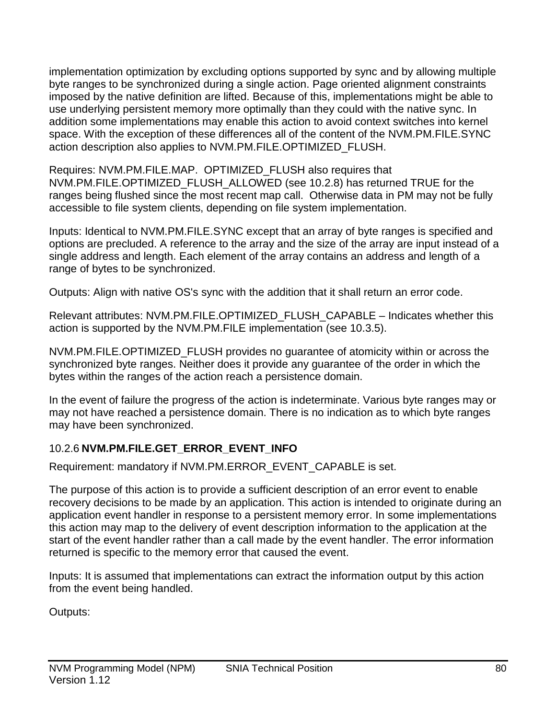implementation optimization by excluding options supported by sync and by allowing multiple byte ranges to be synchronized during a single action. Page oriented alignment constraints imposed by the native definition are lifted. Because of this, implementations might be able to use underlying persistent memory more optimally than they could with the native sync. In addition some implementations may enable this action to avoid context switches into kernel space. With the exception of these differences all of the content of the NVM.PM.FILE.SYNC action description also applies to NVM.PM.FILE.OPTIMIZED\_FLUSH.

Requires: NVM.PM.FILE.MAP. OPTIMIZED\_FLUSH also requires that NVM.PM.FILE.OPTIMIZED\_FLUSH\_ALLOWED (see 10.2.8) has returned TRUE for the ranges being flushed since the most recent map call. Otherwise data in PM may not be fully accessible to file system clients, depending on file system implementation.

Inputs: Identical to NVM.PM.FILE.SYNC except that an array of byte ranges is specified and options are precluded. A reference to the array and the size of the array are input instead of a single address and length. Each element of the array contains an address and length of a range of bytes to be synchronized.

Outputs: Align with native OS's sync with the addition that it shall return an error code.

Relevant attributes: NVM.PM.FILE.OPTIMIZED\_FLUSH\_CAPABLE – Indicates whether this action is supported by the NVM.PM.FILE implementation (see [10.3.5\)](#page-88-0).

NVM.PM.FILE.OPTIMIZED\_FLUSH provides no guarantee of atomicity within or across the synchronized byte ranges. Neither does it provide any guarantee of the order in which the bytes within the ranges of the action reach a persistence domain.

In the event of failure the progress of the action is indeterminate. Various byte ranges may or may not have reached a persistence domain. There is no indication as to which byte ranges may have been synchronized.

## <span id="page-79-0"></span>10.2.6 **NVM.PM.FILE.GET\_ERROR\_EVENT\_INFO**

Requirement: mandatory if NVM.PM.ERROR\_EVENT\_CAPABLE is set.

The purpose of this action is to provide a sufficient description of an error event to enable recovery decisions to be made by an application. This action is intended to originate during an application event handler in response to a persistent memory error. In some implementations this action may map to the delivery of event description information to the application at the start of the event handler rather than a call made by the event handler. The error information returned is specific to the memory error that caused the event.

Inputs: It is assumed that implementations can extract the information output by this action from the event being handled.

Outputs: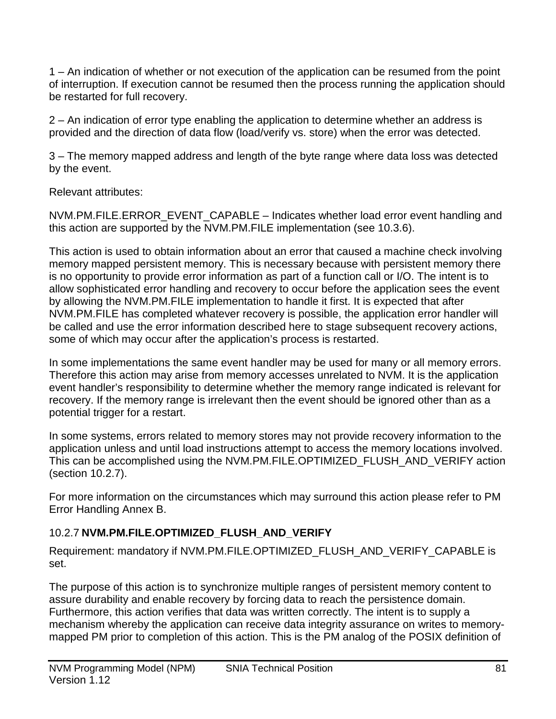1 – An indication of whether or not execution of the application can be resumed from the point of interruption. If execution cannot be resumed then the process running the application should be restarted for full recovery.

2 – An indication of error type enabling the application to determine whether an address is provided and the direction of data flow (load/verify vs. store) when the error was detected.

3 – The memory mapped address and length of the byte range where data loss was detected by the event.

Relevant attributes:

NVM.PM.FILE.ERROR\_EVENT\_CAPABLE – Indicates whether load error event handling and this action are supported by the NVM.PM.FILE implementation (see [10.3.6\)](#page-88-1).

This action is used to obtain information about an error that caused a machine check involving memory mapped persistent memory. This is necessary because with persistent memory there is no opportunity to provide error information as part of a function call or I/O. The intent is to allow sophisticated error handling and recovery to occur before the application sees the event by allowing the NVM.PM.FILE implementation to handle it first. It is expected that after NVM.PM.FILE has completed whatever recovery is possible, the application error handler will be called and use the error information described here to stage subsequent recovery actions, some of which may occur after the application's process is restarted.

In some implementations the same event handler may be used for many or all memory errors. Therefore this action may arise from memory accesses unrelated to NVM. It is the application event handler's responsibility to determine whether the memory range indicated is relevant for recovery. If the memory range is irrelevant then the event should be ignored other than as a potential trigger for a restart.

In some systems, errors related to memory stores may not provide recovery information to the application unless and until load instructions attempt to access the memory locations involved. This can be accomplished using the NVM.PM.FILE.OPTIMIZED\_FLUSH\_AND\_VERIFY action (section [10.2.7\)](#page-80-0).

For more information on the circumstances which may surround this action please refer to PM Error Handling Annex B.

## <span id="page-80-0"></span>10.2.7 **NVM.PM.FILE.OPTIMIZED\_FLUSH\_AND\_VERIFY**

Requirement: mandatory if NVM.PM.FILE.OPTIMIZED\_FLUSH\_AND\_VERIFY\_CAPABLE is set.

The purpose of this action is to synchronize multiple ranges of persistent memory content to assure durability and enable recovery by forcing data to reach the persistence domain. Furthermore, this action verifies that data was written correctly. The intent is to supply a mechanism whereby the application can receive data integrity assurance on writes to memorymapped PM prior to completion of this action. This is the PM analog of the POSIX definition of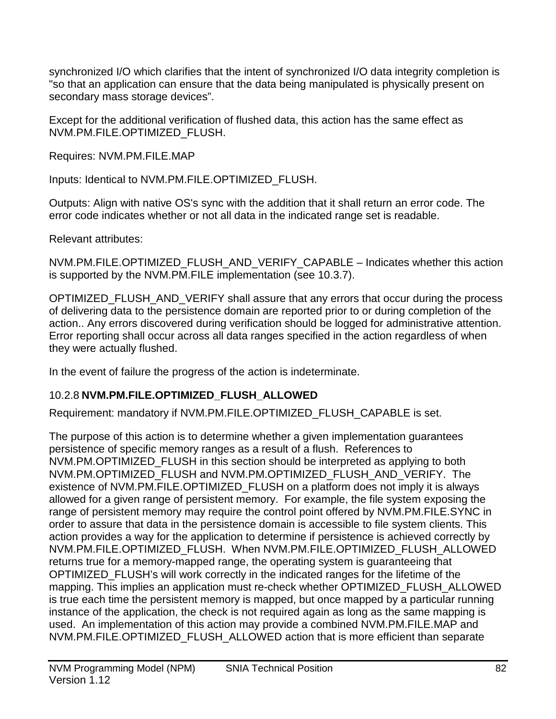synchronized I/O which clarifies that the intent of synchronized I/O data integrity completion is "so that an application can ensure that the data being manipulated is physically present on secondary mass storage devices".

Except for the additional verification of flushed data, this action has the same effect as NVM.PM.FILE.OPTIMIZED\_FLUSH.

Requires: NVM.PM.FILE.MAP

Inputs: Identical to NVM.PM.FILE.OPTIMIZED\_FLUSH.

Outputs: Align with native OS's sync with the addition that it shall return an error code. The error code indicates whether or not all data in the indicated range set is readable.

Relevant attributes:

NVM.PM.FILE.OPTIMIZED\_FLUSH\_AND\_VERIFY\_CAPABLE – Indicates whether this action is supported by the NVM.PM.FILE implementation (see [10.3.7\)](#page-88-2).

OPTIMIZED\_FLUSH\_AND\_VERIFY shall assure that any errors that occur during the process of delivering data to the persistence domain are reported prior to or during completion of the action.. Any errors discovered during verification should be logged for administrative attention. Error reporting shall occur across all data ranges specified in the action regardless of when they were actually flushed.

In the event of failure the progress of the action is indeterminate.

## 10.2.8 **NVM.PM.FILE.OPTIMIZED\_FLUSH\_ALLOWED**

Requirement: mandatory if NVM.PM.FILE.OPTIMIZED\_FLUSH\_CAPABLE is set.

The purpose of this action is to determine whether a given implementation guarantees persistence of specific memory ranges as a result of a flush. References to NVM.PM.OPTIMIZED\_FLUSH in this section should be interpreted as applying to both NVM.PM.OPTIMIZED\_FLUSH and NVM.PM.OPTIMIZED\_FLUSH\_AND\_VERIFY. The existence of NVM.PM.FILE.OPTIMIZED\_FLUSH on a platform does not imply it is always allowed for a given range of persistent memory. For example, the file system exposing the range of persistent memory may require the control point offered by NVM.PM.FILE.SYNC in order to assure that data in the persistence domain is accessible to file system clients. This action provides a way for the application to determine if persistence is achieved correctly by NVM.PM.FILE.OPTIMIZED\_FLUSH. When NVM.PM.FILE.OPTIMIZED\_FLUSH\_ALLOWED returns true for a memory-mapped range, the operating system is guaranteeing that OPTIMIZED\_FLUSH's will work correctly in the indicated ranges for the lifetime of the mapping. This implies an application must re-check whether OPTIMIZED\_FLUSH\_ALLOWED is true each time the persistent memory is mapped, but once mapped by a particular running instance of the application, the check is not required again as long as the same mapping is used. An implementation of this action may provide a combined NVM.PM.FILE.MAP and NVM.PM.FILE.OPTIMIZED\_FLUSH\_ALLOWED action that is more efficient than separate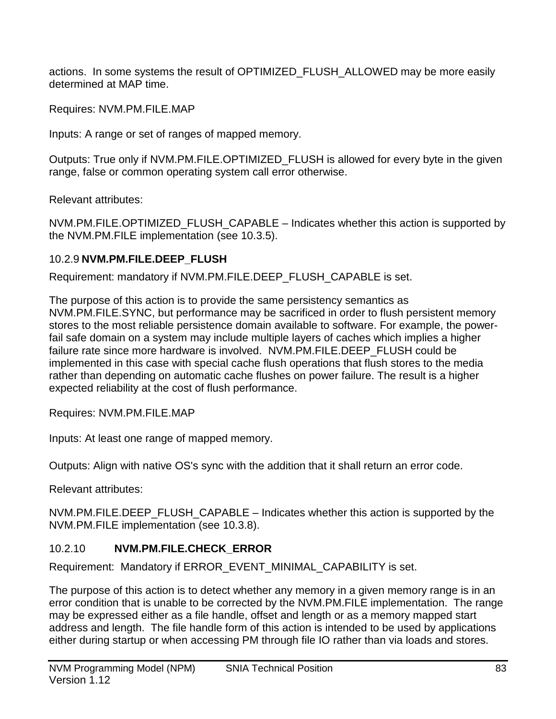actions. In some systems the result of OPTIMIZED\_FLUSH\_ALLOWED may be more easily determined at MAP time.

Requires: NVM.PM.FILE.MAP

Inputs: A range or set of ranges of mapped memory.

Outputs: True only if NVM.PM.FILE.OPTIMIZED\_FLUSH is allowed for every byte in the given range, false or common operating system call error otherwise.

Relevant attributes:

NVM.PM.FILE.OPTIMIZED\_FLUSH\_CAPABLE – Indicates whether this action is supported by the NVM.PM.FILE implementation (see [10.3.5\)](#page-88-2).

#### 10.2.9 **NVM.PM.FILE.DEEP\_FLUSH**

Requirement: mandatory if NVM.PM.FILE.DEEP\_FLUSH\_CAPABLE is set.

The purpose of this action is to provide the same persistency semantics as NVM.PM.FILE.SYNC, but performance may be sacrificed in order to flush persistent memory stores to the most reliable persistence domain available to software. For example, the powerfail safe domain on a system may include multiple layers of caches which implies a higher failure rate since more hardware is involved. NVM.PM.FILE.DEEP\_FLUSH could be implemented in this case with special cache flush operations that flush stores to the media rather than depending on automatic cache flushes on power failure. The result is a higher expected reliability at the cost of flush performance.

Requires: NVM.PM.FILE.MAP

Inputs: At least one range of mapped memory.

Outputs: Align with native OS's sync with the addition that it shall return an error code.

Relevant attributes:

NVM.PM.FILE.DEEP\_FLUSH\_CAPABLE – Indicates whether this action is supported by the NVM.PM.FILE implementation (see [10.3.8\)](#page-88-2).

## 10.2.10 **NVM.PM.FILE.CHECK\_ERROR**

Requirement: Mandatory if ERROR\_EVENT\_MINIMAL\_CAPABILITY is set.

The purpose of this action is to detect whether any memory in a given memory range is in an error condition that is unable to be corrected by the NVM.PM.FILE implementation. The range may be expressed either as a file handle, offset and length or as a memory mapped start address and length. The file handle form of this action is intended to be used by applications either during startup or when accessing PM through file IO rather than via loads and stores.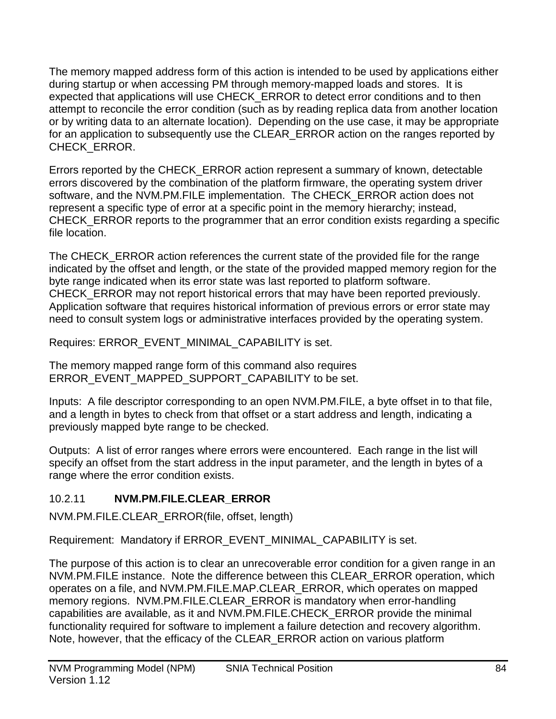The memory mapped address form of this action is intended to be used by applications either during startup or when accessing PM through memory-mapped loads and stores. It is expected that applications will use CHECK\_ERROR to detect error conditions and to then attempt to reconcile the error condition (such as by reading replica data from another location or by writing data to an alternate location). Depending on the use case, it may be appropriate for an application to subsequently use the CLEAR\_ERROR action on the ranges reported by CHECK\_ERROR.

Errors reported by the CHECK\_ERROR action represent a summary of known, detectable errors discovered by the combination of the platform firmware, the operating system driver software, and the NVM.PM.FILE implementation. The CHECK\_ERROR action does not represent a specific type of error at a specific point in the memory hierarchy; instead, CHECK\_ERROR reports to the programmer that an error condition exists regarding a specific file location.

The CHECK ERROR action references the current state of the provided file for the range indicated by the offset and length, or the state of the provided mapped memory region for the byte range indicated when its error state was last reported to platform software. CHECK\_ERROR may not report historical errors that may have been reported previously. Application software that requires historical information of previous errors or error state may need to consult system logs or administrative interfaces provided by the operating system.

Requires: ERROR\_EVENT\_MINIMAL\_CAPABILITY is set.

The memory mapped range form of this command also requires ERROR\_EVENT\_MAPPED\_SUPPORT\_CAPABILITY to be set.

Inputs: A file descriptor corresponding to an open NVM.PM.FILE, a byte offset in to that file, and a length in bytes to check from that offset or a start address and length, indicating a previously mapped byte range to be checked.

Outputs: A list of error ranges where errors were encountered. Each range in the list will specify an offset from the start address in the input parameter, and the length in bytes of a range where the error condition exists.

## 10.2.11 **NVM.PM.FILE.CLEAR\_ERROR**

NVM.PM.FILE.CLEAR\_ERROR(file, offset, length)

Requirement: Mandatory if ERROR\_EVENT\_MINIMAL\_CAPABILITY is set.

The purpose of this action is to clear an unrecoverable error condition for a given range in an NVM.PM.FILE instance. Note the difference between this CLEAR\_ERROR operation, which operates on a file, and NVM.PM.FILE.MAP.CLEAR\_ERROR, which operates on mapped memory regions. NVM.PM.FILE.CLEAR\_ERROR is mandatory when error-handling capabilities are available, as it and NVM.PM.FILE.CHECK\_ERROR provide the minimal functionality required for software to implement a failure detection and recovery algorithm. Note, however, that the efficacy of the CLEAR\_ERROR action on various platform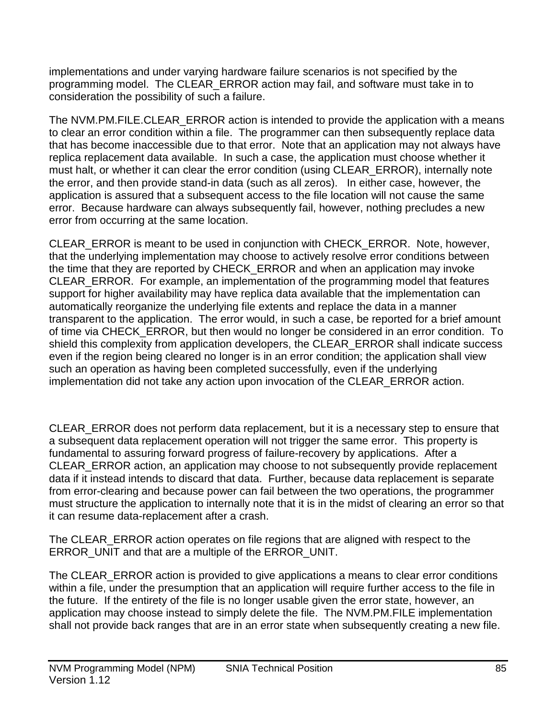implementations and under varying hardware failure scenarios is not specified by the programming model. The CLEAR\_ERROR action may fail, and software must take in to consideration the possibility of such a failure.

The NVM.PM.FILE.CLEAR ERROR action is intended to provide the application with a means to clear an error condition within a file. The programmer can then subsequently replace data that has become inaccessible due to that error. Note that an application may not always have replica replacement data available. In such a case, the application must choose whether it must halt, or whether it can clear the error condition (using CLEAR\_ERROR), internally note the error, and then provide stand-in data (such as all zeros). In either case, however, the application is assured that a subsequent access to the file location will not cause the same error. Because hardware can always subsequently fail, however, nothing precludes a new error from occurring at the same location.

CLEAR\_ERROR is meant to be used in conjunction with CHECK\_ERROR. Note, however, that the underlying implementation may choose to actively resolve error conditions between the time that they are reported by CHECK\_ERROR and when an application may invoke CLEAR\_ERROR. For example, an implementation of the programming model that features support for higher availability may have replica data available that the implementation can automatically reorganize the underlying file extents and replace the data in a manner transparent to the application. The error would, in such a case, be reported for a brief amount of time via CHECK\_ERROR, but then would no longer be considered in an error condition. To shield this complexity from application developers, the CLEAR\_ERROR shall indicate success even if the region being cleared no longer is in an error condition; the application shall view such an operation as having been completed successfully, even if the underlying implementation did not take any action upon invocation of the CLEAR\_ERROR action.

CLEAR\_ERROR does not perform data replacement, but it is a necessary step to ensure that a subsequent data replacement operation will not trigger the same error. This property is fundamental to assuring forward progress of failure-recovery by applications. After a CLEAR\_ERROR action, an application may choose to not subsequently provide replacement data if it instead intends to discard that data. Further, because data replacement is separate from error-clearing and because power can fail between the two operations, the programmer must structure the application to internally note that it is in the midst of clearing an error so that it can resume data-replacement after a crash.

The CLEAR ERROR action operates on file regions that are aligned with respect to the ERROR\_UNIT and that are a multiple of the ERROR\_UNIT.

The CLEAR\_ERROR action is provided to give applications a means to clear error conditions within a file, under the presumption that an application will require further access to the file in the future. If the entirety of the file is no longer usable given the error state, however, an application may choose instead to simply delete the file. The NVM.PM.FILE implementation shall not provide back ranges that are in an error state when subsequently creating a new file.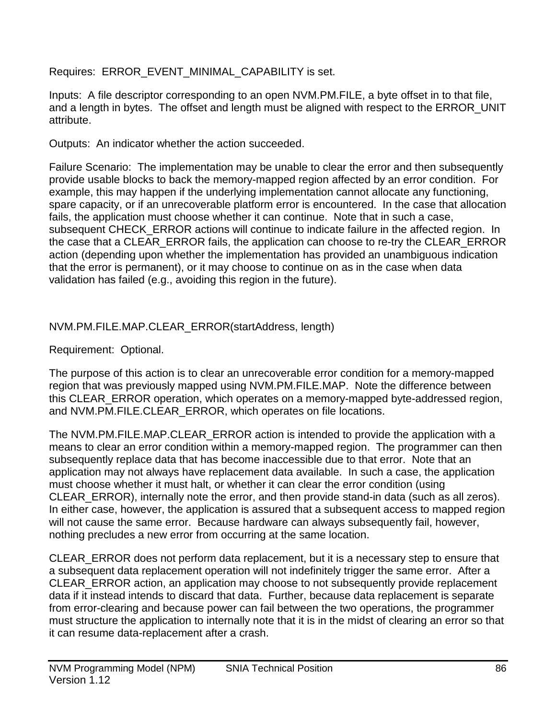Requires: ERROR\_EVENT\_MINIMAL\_CAPABILITY is set.

Inputs: A file descriptor corresponding to an open NVM.PM.FILE, a byte offset in to that file, and a length in bytes. The offset and length must be aligned with respect to the ERROR\_UNIT attribute.

Outputs: An indicator whether the action succeeded.

Failure Scenario: The implementation may be unable to clear the error and then subsequently provide usable blocks to back the memory-mapped region affected by an error condition. For example, this may happen if the underlying implementation cannot allocate any functioning, spare capacity, or if an unrecoverable platform error is encountered. In the case that allocation fails, the application must choose whether it can continue. Note that in such a case, subsequent CHECK\_ERROR actions will continue to indicate failure in the affected region. In the case that a CLEAR\_ERROR fails, the application can choose to re-try the CLEAR\_ERROR action (depending upon whether the implementation has provided an unambiguous indication that the error is permanent), or it may choose to continue on as in the case when data validation has failed (e.g., avoiding this region in the future).

## NVM.PM.FILE.MAP.CLEAR\_ERROR(startAddress, length)

Requirement: Optional.

The purpose of this action is to clear an unrecoverable error condition for a memory-mapped region that was previously mapped using NVM.PM.FILE.MAP. Note the difference between this CLEAR\_ERROR operation, which operates on a memory-mapped byte-addressed region, and NVM.PM.FILE.CLEAR\_ERROR, which operates on file locations.

The NVM.PM.FILE.MAP.CLEAR\_ERROR action is intended to provide the application with a means to clear an error condition within a memory-mapped region. The programmer can then subsequently replace data that has become inaccessible due to that error. Note that an application may not always have replacement data available. In such a case, the application must choose whether it must halt, or whether it can clear the error condition (using CLEAR\_ERROR), internally note the error, and then provide stand-in data (such as all zeros). In either case, however, the application is assured that a subsequent access to mapped region will not cause the same error. Because hardware can always subsequently fail, however, nothing precludes a new error from occurring at the same location.

CLEAR\_ERROR does not perform data replacement, but it is a necessary step to ensure that a subsequent data replacement operation will not indefinitely trigger the same error. After a CLEAR\_ERROR action, an application may choose to not subsequently provide replacement data if it instead intends to discard that data. Further, because data replacement is separate from error-clearing and because power can fail between the two operations, the programmer must structure the application to internally note that it is in the midst of clearing an error so that it can resume data-replacement after a crash.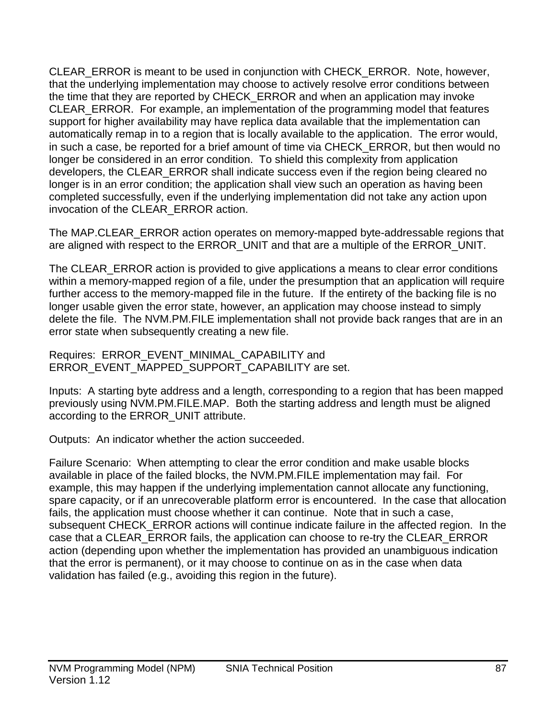CLEAR\_ERROR is meant to be used in conjunction with CHECK\_ERROR. Note, however, that the underlying implementation may choose to actively resolve error conditions between the time that they are reported by CHECK\_ERROR and when an application may invoke CLEAR\_ERROR. For example, an implementation of the programming model that features support for higher availability may have replica data available that the implementation can automatically remap in to a region that is locally available to the application. The error would, in such a case, be reported for a brief amount of time via CHECK\_ERROR, but then would no longer be considered in an error condition. To shield this complexity from application developers, the CLEAR\_ERROR shall indicate success even if the region being cleared no longer is in an error condition; the application shall view such an operation as having been completed successfully, even if the underlying implementation did not take any action upon invocation of the CLEAR\_ERROR action.

The MAP.CLEAR\_ERROR action operates on memory-mapped byte-addressable regions that are aligned with respect to the ERROR\_UNIT and that are a multiple of the ERROR\_UNIT.

The CLEAR\_ERROR action is provided to give applications a means to clear error conditions within a memory-mapped region of a file, under the presumption that an application will require further access to the memory-mapped file in the future. If the entirety of the backing file is no longer usable given the error state, however, an application may choose instead to simply delete the file. The NVM.PM.FILE implementation shall not provide back ranges that are in an error state when subsequently creating a new file.

Requires: ERROR\_EVENT\_MINIMAL\_CAPABILITY and ERROR\_EVENT\_MAPPED\_SUPPORT\_CAPABILITY are set.

Inputs: A starting byte address and a length, corresponding to a region that has been mapped previously using NVM.PM.FILE.MAP. Both the starting address and length must be aligned according to the ERROR\_UNIT attribute.

Outputs: An indicator whether the action succeeded.

Failure Scenario: When attempting to clear the error condition and make usable blocks available in place of the failed blocks, the NVM.PM.FILE implementation may fail. For example, this may happen if the underlying implementation cannot allocate any functioning, spare capacity, or if an unrecoverable platform error is encountered. In the case that allocation fails, the application must choose whether it can continue. Note that in such a case, subsequent CHECK\_ERROR actions will continue indicate failure in the affected region. In the case that a CLEAR\_ERROR fails, the application can choose to re-try the CLEAR\_ERROR action (depending upon whether the implementation has provided an unambiguous indication that the error is permanent), or it may choose to continue on as in the case when data validation has failed (e.g., avoiding this region in the future).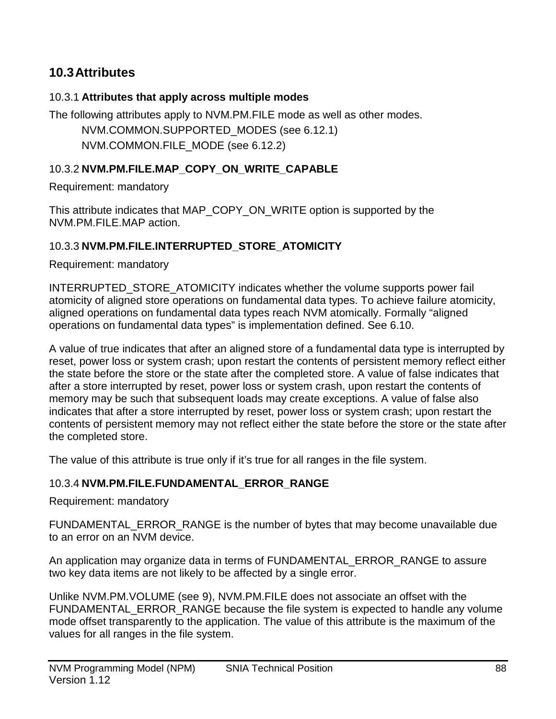## **10.3Attributes**

#### 10.3.1 **Attributes that apply across multiple modes**

The following attributes apply to NVM.PM.FILE mode as well as other modes. NVM.COMMON.SUPPORTED\_MODES (see [6.12.1\)](#page-25-0) NVM.COMMON.FILE\_MODE (see [6.12.2\)](#page-25-1)

#### <span id="page-87-0"></span>10.3.2 **NVM.PM.FILE.MAP\_COPY\_ON\_WRITE\_CAPABLE**

Requirement: mandatory

This attribute indicates that MAP\_COPY\_ON\_WRITE option is supported by the NVM.PM.FILE.MAP action.

#### 10.3.3 **NVM.PM.FILE.INTERRUPTED\_STORE\_ATOMICITY**

Requirement: mandatory

INTERRUPTED\_STORE\_ATOMICITY indicates whether the volume supports power fail atomicity of aligned store operations on fundamental data types. To achieve failure atomicity, aligned operations on fundamental data types reach NVM atomically. Formally "aligned operations on fundamental data types" is implementation defined. See [6.10.](#page-23-0)

A value of true indicates that after an aligned store of a fundamental data type is interrupted by reset, power loss or system crash; upon restart the contents of persistent memory reflect either the state before the store or the state after the completed store. A value of false indicates that after a store interrupted by reset, power loss or system crash, upon restart the contents of memory may be such that subsequent loads may create exceptions. A value of false also indicates that after a store interrupted by reset, power loss or system crash; upon restart the contents of persistent memory may not reflect either the state before the store or the state after the completed store.

The value of this attribute is true only if it's true for all ranges in the file system.

#### 10.3.4 **NVM.PM.FILE.FUNDAMENTAL\_ERROR\_RANGE**

Requirement: mandatory

FUNDAMENTAL\_ERROR\_RANGE is the number of bytes that may become unavailable due to an error on an NVM device.

An application may organize data in terms of FUNDAMENTAL\_ERROR\_RANGE to assure two key data items are not likely to be affected by a single error.

Unlike NVM.PM.VOLUME (see [9\)](#page-50-0), NVM.PM.FILE does not associate an offset with the FUNDAMENTAL\_ERROR\_RANGE because the file system is expected to handle any volume mode offset transparently to the application. The value of this attribute is the maximum of the values for all ranges in the file system.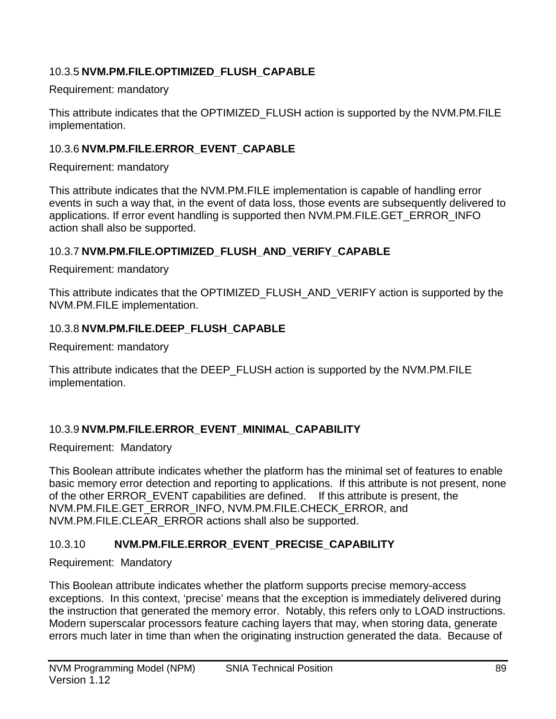### <span id="page-88-0"></span>10.3.5 **NVM.PM.FILE.OPTIMIZED\_FLUSH\_CAPABLE**

Requirement: mandatory

This attribute indicates that the OPTIMIZED\_FLUSH action is supported by the NVM.PM.FILE implementation.

#### <span id="page-88-1"></span>10.3.6 **NVM.PM.FILE.ERROR\_EVENT\_CAPABLE**

Requirement: mandatory

This attribute indicates that the NVM.PM.FILE implementation is capable of handling error events in such a way that, in the event of data loss, those events are subsequently delivered to applications. If error event handling is supported then NVM.PM.FILE.GET\_ERROR\_INFO action shall also be supported.

#### <span id="page-88-2"></span>10.3.7 **NVM.PM.FILE.OPTIMIZED\_FLUSH\_AND\_VERIFY\_CAPABLE**

Requirement: mandatory

This attribute indicates that the OPTIMIZED\_FLUSH\_AND\_VERIFY action is supported by the NVM.PM.FILE implementation.

#### 10.3.8 **NVM.PM.FILE.DEEP\_FLUSH\_CAPABLE**

Requirement: mandatory

This attribute indicates that the DEEP\_FLUSH action is supported by the NVM.PM.FILE implementation.

## 10.3.9 **NVM.PM.FILE.ERROR\_EVENT\_MINIMAL\_CAPABILITY**

Requirement: Mandatory

This Boolean attribute indicates whether the platform has the minimal set of features to enable basic memory error detection and reporting to applications. If this attribute is not present, none of the other ERROR\_EVENT capabilities are defined. If this attribute is present, the NVM.PM.FILE.GET\_ERROR\_INFO, NVM.PM.FILE.CHECK\_ERROR, and NVM.PM.FILE.CLEAR\_ERROR actions shall also be supported.

## 10.3.10 **NVM.PM.FILE.ERROR\_EVENT\_PRECISE\_CAPABILITY**

Requirement: Mandatory

This Boolean attribute indicates whether the platform supports precise memory-access exceptions. In this context, 'precise' means that the exception is immediately delivered during the instruction that generated the memory error. Notably, this refers only to LOAD instructions. Modern superscalar processors feature caching layers that may, when storing data, generate errors much later in time than when the originating instruction generated the data. Because of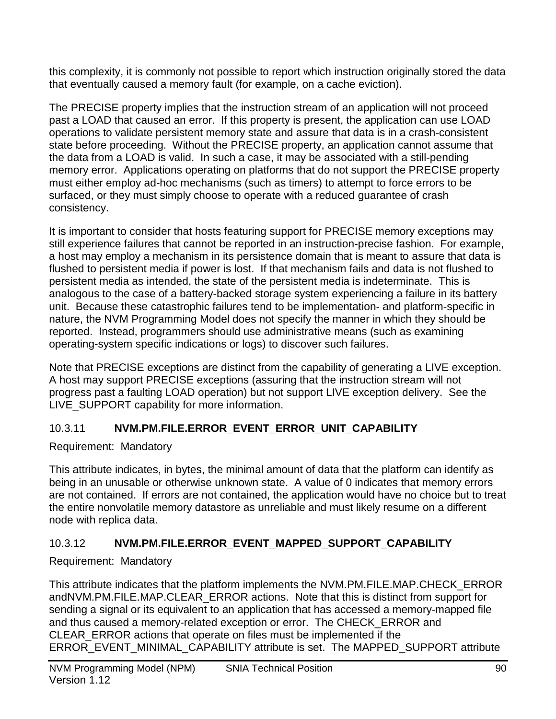this complexity, it is commonly not possible to report which instruction originally stored the data that eventually caused a memory fault (for example, on a cache eviction).

The PRECISE property implies that the instruction stream of an application will not proceed past a LOAD that caused an error. If this property is present, the application can use LOAD operations to validate persistent memory state and assure that data is in a crash-consistent state before proceeding. Without the PRECISE property, an application cannot assume that the data from a LOAD is valid. In such a case, it may be associated with a still-pending memory error. Applications operating on platforms that do not support the PRECISE property must either employ ad-hoc mechanisms (such as timers) to attempt to force errors to be surfaced, or they must simply choose to operate with a reduced guarantee of crash consistency.

It is important to consider that hosts featuring support for PRECISE memory exceptions may still experience failures that cannot be reported in an instruction-precise fashion. For example, a host may employ a mechanism in its persistence domain that is meant to assure that data is flushed to persistent media if power is lost. If that mechanism fails and data is not flushed to persistent media as intended, the state of the persistent media is indeterminate. This is analogous to the case of a battery-backed storage system experiencing a failure in its battery unit. Because these catastrophic failures tend to be implementation- and platform-specific in nature, the NVM Programming Model does not specify the manner in which they should be reported. Instead, programmers should use administrative means (such as examining operating-system specific indications or logs) to discover such failures.

Note that PRECISE exceptions are distinct from the capability of generating a LIVE exception. A host may support PRECISE exceptions (assuring that the instruction stream will not progress past a faulting LOAD operation) but not support LIVE exception delivery. See the LIVE\_SUPPORT capability for more information.

## 10.3.11 **NVM.PM.FILE.ERROR\_EVENT\_ERROR\_UNIT\_CAPABILITY**

Requirement: Mandatory

This attribute indicates, in bytes, the minimal amount of data that the platform can identify as being in an unusable or otherwise unknown state. A value of 0 indicates that memory errors are not contained. If errors are not contained, the application would have no choice but to treat the entire nonvolatile memory datastore as unreliable and must likely resume on a different node with replica data.

## 10.3.12 **NVM.PM.FILE.ERROR\_EVENT\_MAPPED\_SUPPORT\_CAPABILITY**

Requirement: Mandatory

This attribute indicates that the platform implements the NVM.PM.FILE.MAP.CHECK\_ERROR andNVM.PM.FILE.MAP.CLEAR\_ERROR actions. Note that this is distinct from support for sending a signal or its equivalent to an application that has accessed a memory-mapped file and thus caused a memory-related exception or error. The CHECK\_ERROR and CLEAR\_ERROR actions that operate on files must be implemented if the ERROR\_EVENT\_MINIMAL\_CAPABILITY attribute is set. The MAPPED\_SUPPORT attribute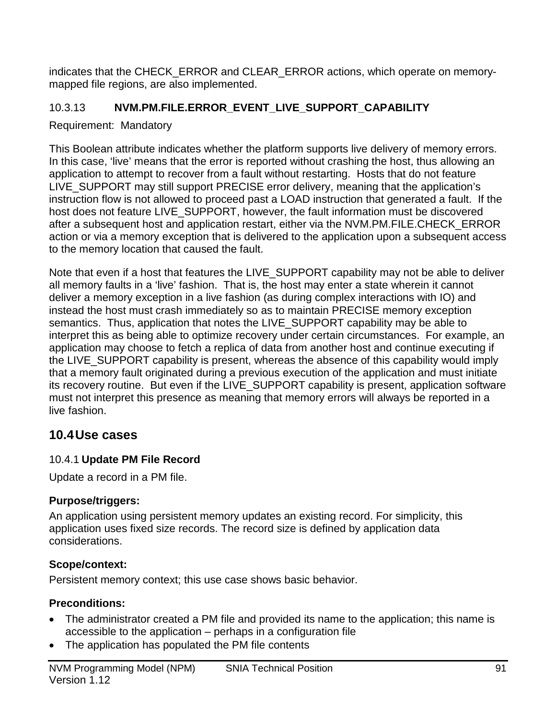indicates that the CHECK\_ERROR and CLEAR\_ERROR actions, which operate on memorymapped file regions, are also implemented.

## 10.3.13 **NVM.PM.FILE.ERROR\_EVENT\_LIVE\_SUPPORT\_CAPABILITY**

Requirement: Mandatory

This Boolean attribute indicates whether the platform supports live delivery of memory errors. In this case, 'live' means that the error is reported without crashing the host, thus allowing an application to attempt to recover from a fault without restarting. Hosts that do not feature LIVE\_SUPPORT may still support PRECISE error delivery, meaning that the application's instruction flow is not allowed to proceed past a LOAD instruction that generated a fault. If the host does not feature LIVE\_SUPPORT, however, the fault information must be discovered after a subsequent host and application restart, either via the NVM.PM.FILE.CHECK\_ERROR action or via a memory exception that is delivered to the application upon a subsequent access to the memory location that caused the fault.

Note that even if a host that features the LIVE\_SUPPORT capability may not be able to deliver all memory faults in a 'live' fashion. That is, the host may enter a state wherein it cannot deliver a memory exception in a live fashion (as during complex interactions with IO) and instead the host must crash immediately so as to maintain PRECISE memory exception semantics. Thus, application that notes the LIVE\_SUPPORT capability may be able to interpret this as being able to optimize recovery under certain circumstances. For example, an application may choose to fetch a replica of data from another host and continue executing if the LIVE\_SUPPORT capability is present, whereas the absence of this capability would imply that a memory fault originated during a previous execution of the application and must initiate its recovery routine. But even if the LIVE\_SUPPORT capability is present, application software must not interpret this presence as meaning that memory errors will always be reported in a live fashion.

## **10.4Use cases**

## 10.4.1 **Update PM File Record**

Update a record in a PM file.

## **Purpose/triggers:**

An application using persistent memory updates an existing record. For simplicity, this application uses fixed size records. The record size is defined by application data considerations.

## **Scope/context:**

Persistent memory context; this use case shows basic behavior.

## **Preconditions:**

- The administrator created a PM file and provided its name to the application; this name is accessible to the application – perhaps in a configuration file
- The application has populated the PM file contents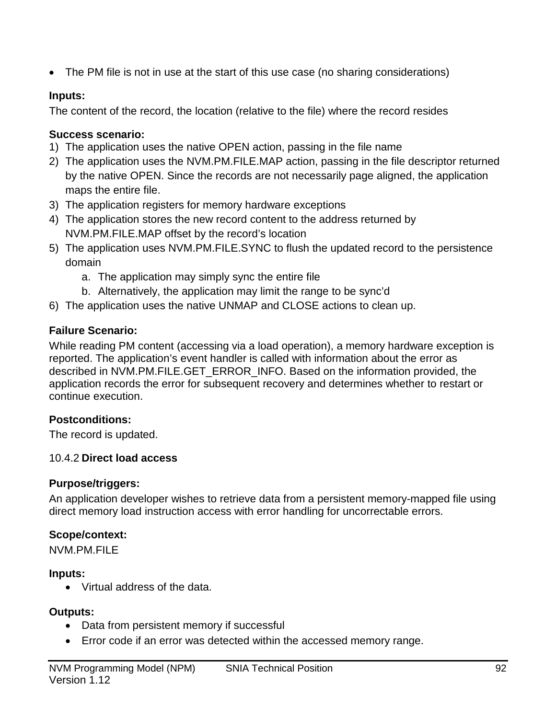• The PM file is not in use at the start of this use case (no sharing considerations)

### **Inputs:**

The content of the record, the location (relative to the file) where the record resides

## **Success scenario:**

- 1) The application uses the native OPEN action, passing in the file name
- 2) The application uses the NVM.PM.FILE.MAP action, passing in the file descriptor returned by the native OPEN. Since the records are not necessarily page aligned, the application maps the entire file.
- 3) The application registers for memory hardware exceptions
- 4) The application stores the new record content to the address returned by NVM.PM.FILE.MAP offset by the record's location
- 5) The application uses NVM.PM.FILE.SYNC to flush the updated record to the persistence domain
	- a. The application may simply sync the entire file
	- b. Alternatively, the application may limit the range to be sync'd
- 6) The application uses the native UNMAP and CLOSE actions to clean up.

## **Failure Scenario:**

While reading PM content (accessing via a load operation), a memory hardware exception is reported. The application's event handler is called with information about the error as described in NVM.PM.FILE.GET\_ERROR\_INFO. Based on the information provided, the application records the error for subsequent recovery and determines whether to restart or continue execution.

## **Postconditions:**

The record is updated.

## 10.4.2 **Direct load access**

## **Purpose/triggers:**

An application developer wishes to retrieve data from a persistent memory-mapped file using direct memory load instruction access with error handling for uncorrectable errors.

## **Scope/context:**

NVM.PM.FILE

## **Inputs:**

• Virtual address of the data.

## **Outputs:**

- Data from persistent memory if successful
- Error code if an error was detected within the accessed memory range.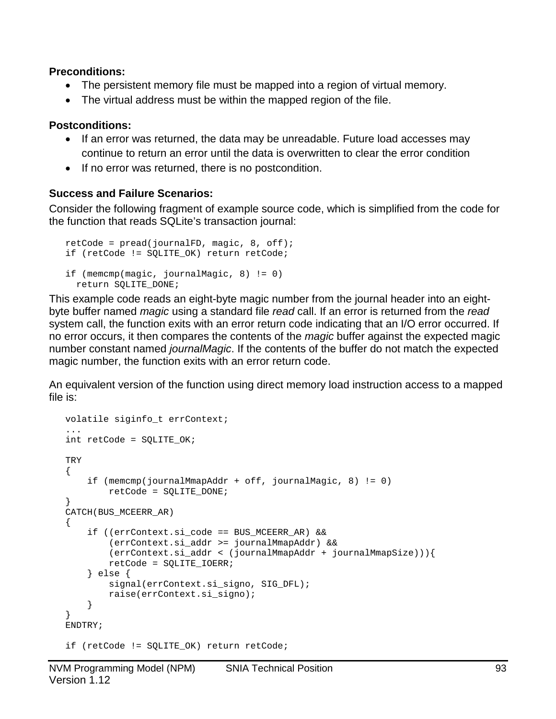#### **Preconditions:**

- The persistent memory file must be mapped into a region of virtual memory.
- The virtual address must be within the mapped region of the file.

#### **Postconditions:**

- If an error was returned, the data may be unreadable. Future load accesses may continue to return an error until the data is overwritten to clear the error condition
- If no error was returned, there is no postcondition.

#### **Success and Failure Scenarios:**

Consider the following fragment of example source code, which is simplified from the code for the function that reads SQLite's transaction journal:

```
retCode = pred(journalFD, magic, 8, off);if (retCode != SQLITE_OK) return retCode;
if (memcmp(magic, journalMagic, 8) != 0)
   return SQLITE_DONE;
```
This example code reads an eight-byte magic number from the journal header into an eightbyte buffer named *magic* using a standard file *read* call. If an error is returned from the *read* system call, the function exits with an error return code indicating that an I/O error occurred. If no error occurs, it then compares the contents of the *magic* buffer against the expected magic number constant named *journalMagic*. If the contents of the buffer do not match the expected magic number, the function exits with an error return code.

An equivalent version of the function using direct memory load instruction access to a mapped file is:

```
volatile siginfo_t errContext;
...
int retCode = SQLITE_OK;
TRY
{
     if (memcmp(journalMmapAddr + off, journalMagic, 8) != 0)
         retCode = SQLITE_DONE;
}
CATCH(BUS_MCEERR_AR)
{
     if ((errContext.si_code == BUS_MCEERR_AR) &&
         (errContext.si_addr >= journalMmapAddr) &&
         (errContext.si_addr < (journalMmapAddr + journalMmapSize))){
         retCode = SQLITE_IOERR;
     } else {
         signal(errContext.si_signo, SIG_DFL);
         raise(errContext.si_signo);
     }
}
ENDTRY;
if (retCode != SQLITE_OK) return retCode;
```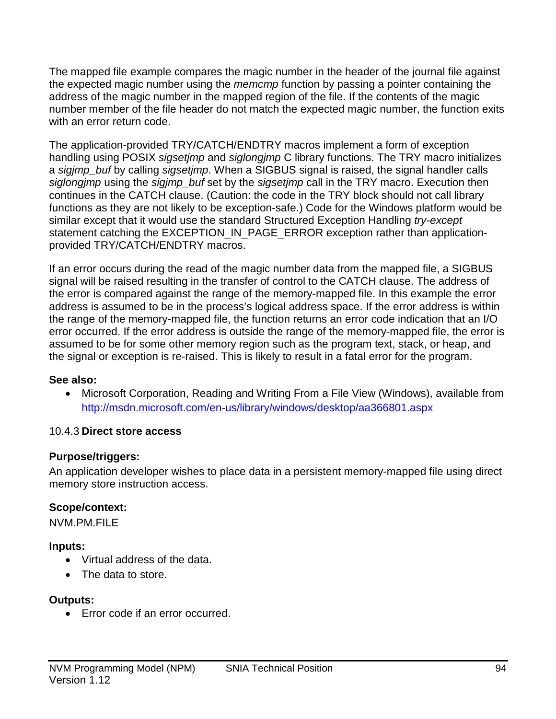The mapped file example compares the magic number in the header of the journal file against the expected magic number using the *memcmp* function by passing a pointer containing the address of the magic number in the mapped region of the file. If the contents of the magic number member of the file header do not match the expected magic number, the function exits with an error return code.

The application-provided TRY/CATCH/ENDTRY macros implement a form of exception handling using POSIX *sigsetjmp* and *siglongjmp* C library functions. The TRY macro initializes a *sigjmp\_buf* by calling *sigsetjmp*. When a SIGBUS signal is raised, the signal handler calls *siglongjmp* using the *sigjmp\_buf* set by the *sigsetjmp* call in the TRY macro. Execution then continues in the CATCH clause. (Caution: the code in the TRY block should not call library functions as they are not likely to be exception-safe.) Code for the Windows platform would be similar except that it would use the standard Structured Exception Handling *try-except* statement catching the EXCEPTION\_IN\_PAGE\_ERROR exception rather than applicationprovided TRY/CATCH/ENDTRY macros.

If an error occurs during the read of the magic number data from the mapped file, a SIGBUS signal will be raised resulting in the transfer of control to the CATCH clause. The address of the error is compared against the range of the memory-mapped file. In this example the error address is assumed to be in the process's logical address space. If the error address is within the range of the memory-mapped file, the function returns an error code indication that an I/O error occurred. If the error address is outside the range of the memory-mapped file, the error is assumed to be for some other memory region such as the program text, stack, or heap, and the signal or exception is re-raised. This is likely to result in a fatal error for the program.

#### **See also:**

• Microsoft Corporation, Reading and Writing From a File View (Windows), available from http://msdn.microsoft.com/en-us/library/windows/desktop/aa366801.aspx

#### 10.4.3 **Direct store access**

#### **Purpose/triggers:**

An application developer wishes to place data in a persistent memory-mapped file using direct memory store instruction access.

#### **Scope/context:**

NVM.PM.FILE

#### **Inputs:**

- Virtual address of the data.
- The data to store.

#### **Outputs:**

• Error code if an error occurred.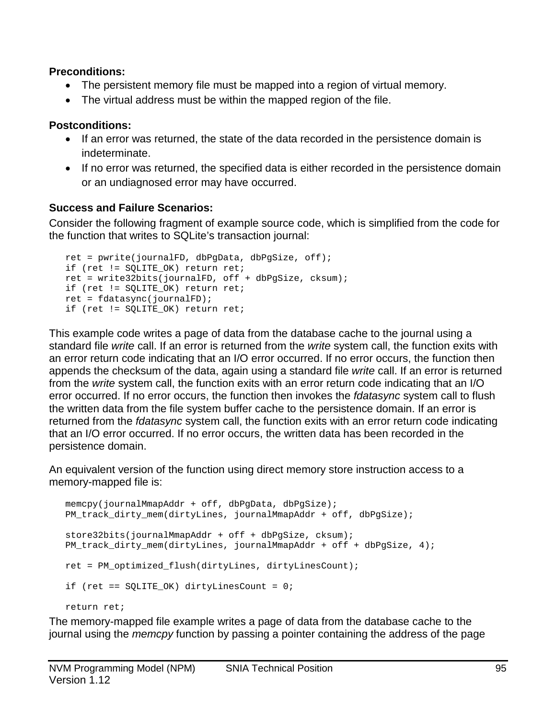#### **Preconditions:**

- The persistent memory file must be mapped into a region of virtual memory.
- The virtual address must be within the mapped region of the file.

### **Postconditions:**

- If an error was returned, the state of the data recorded in the persistence domain is indeterminate.
- If no error was returned, the specified data is either recorded in the persistence domain or an undiagnosed error may have occurred.

#### **Success and Failure Scenarios:**

Consider the following fragment of example source code, which is simplified from the code for the function that writes to SQLite's transaction journal:

```
ret = pwrite(journalFD, dbPgData, dbPgSize, off);
if (ret != SQLITE_OK) return ret;
ret = write32bits(journalFD, off + dbPgSize, cksum);
if (ret != SQLITE_OK) return ret;
ret = fdatasync(journalFD);
if (ret != SQLITE OK) return ret;
```
This example code writes a page of data from the database cache to the journal using a standard file *write* call. If an error is returned from the *write* system call, the function exits with an error return code indicating that an I/O error occurred. If no error occurs, the function then appends the checksum of the data, again using a standard file *write* call. If an error is returned from the *write* system call, the function exits with an error return code indicating that an I/O error occurred. If no error occurs, the function then invokes the *fdatasync* system call to flush the written data from the file system buffer cache to the persistence domain. If an error is returned from the *fdatasync* system call, the function exits with an error return code indicating that an I/O error occurred. If no error occurs, the written data has been recorded in the persistence domain.

An equivalent version of the function using direct memory store instruction access to a memory-mapped file is:

```
memcpy(journalMmapAddr + off, dbPgData, dbPgSize);
PM_track_dirty_mem(dirtyLines, journalMmapAddr + off, dbPgSize);
store32bits(journalMmapAddr + off + dbPgSize, cksum);
PM track dirty mem(dirtyLines, journalMmapAddr + off + dbPqSize, 4);
ret = PM_optimized_flush(dirtyLines, dirtyLinesCount);
if (ret == SQLITE_OK) dirtyLinesCount = 0;
return ret;
```
The memory-mapped file example writes a page of data from the database cache to the journal using the *memcpy* function by passing a pointer containing the address of the page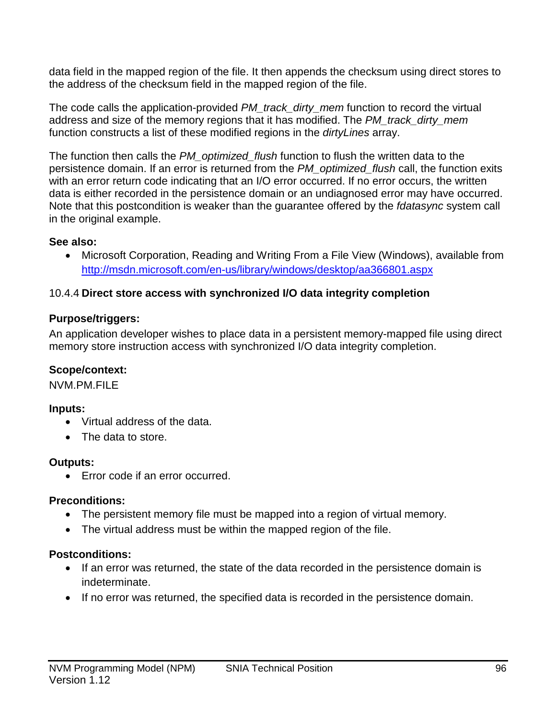data field in the mapped region of the file. It then appends the checksum using direct stores to the address of the checksum field in the mapped region of the file.

The code calls the application-provided *PM\_track\_dirty\_mem* function to record the virtual address and size of the memory regions that it has modified. The *PM\_track\_dirty\_mem* function constructs a list of these modified regions in the *dirtyLines* array.

The function then calls the *PM\_optimized\_flush* function to flush the written data to the persistence domain. If an error is returned from the *PM\_optimized\_flush* call, the function exits with an error return code indicating that an I/O error occurred. If no error occurs, the written data is either recorded in the persistence domain or an undiagnosed error may have occurred. Note that this postcondition is weaker than the guarantee offered by the *fdatasync* system call in the original example.

#### **See also:**

• Microsoft Corporation, Reading and Writing From a File View (Windows), available from http://msdn.microsoft.com/en-us/library/windows/desktop/aa366801.aspx

#### 10.4.4 **Direct store access with synchronized I/O data integrity completion**

#### **Purpose/triggers:**

An application developer wishes to place data in a persistent memory-mapped file using direct memory store instruction access with synchronized I/O data integrity completion.

#### **Scope/context:**

NVM.PM.FILE

#### **Inputs:**

- Virtual address of the data.
- The data to store.

#### **Outputs:**

• Error code if an error occurred.

#### **Preconditions:**

- The persistent memory file must be mapped into a region of virtual memory.
- The virtual address must be within the mapped region of the file.

#### **Postconditions:**

- If an error was returned, the state of the data recorded in the persistence domain is indeterminate.
- If no error was returned, the specified data is recorded in the persistence domain.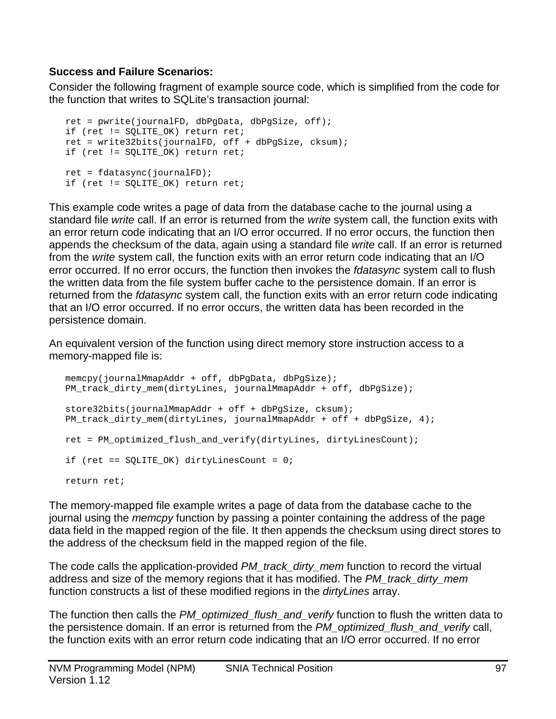#### **Success and Failure Scenarios:**

Consider the following fragment of example source code, which is simplified from the code for the function that writes to SQLite's transaction journal:

```
ret = pwrite(journalFD, dbPgData, dbPgSize, off);
if (ret != SQLITE_OK) return ret;
ret = write32bits(journalFD, off + dbPgSize, cksum);
if (ret != SQLITE OK) return ret;
ret = fdatasync(journalFD);
if (ret != SQLITE_OK) return ret;
```
This example code writes a page of data from the database cache to the journal using a standard file *write* call. If an error is returned from the *write* system call, the function exits with an error return code indicating that an I/O error occurred. If no error occurs, the function then appends the checksum of the data, again using a standard file *write* call. If an error is returned from the *write* system call, the function exits with an error return code indicating that an I/O error occurred. If no error occurs, the function then invokes the *fdatasync* system call to flush the written data from the file system buffer cache to the persistence domain. If an error is returned from the *fdatasync* system call, the function exits with an error return code indicating that an I/O error occurred. If no error occurs, the written data has been recorded in the persistence domain.

An equivalent version of the function using direct memory store instruction access to a memory-mapped file is:

```
memcpy(journalMmapAddr + off, dbPgData, dbPgSize);
PM_track_dirty_mem(dirtyLines, journalMmapAddr + off, dbPgSize);
store32bits(journalMmapAddr + off + dbPgSize, cksum);
PM_track_dirty_mem(dirtyLines, journalMmapAddr + off + dbPgSize, 4);
ret = PM_optimized_flush_and_verify(dirtyLines, dirtyLinesCount);
if (ret == SQLITE_OK) dirtyLinesCount = 0;
return ret;
```
The memory-mapped file example writes a page of data from the database cache to the journal using the *memcpy* function by passing a pointer containing the address of the page data field in the mapped region of the file. It then appends the checksum using direct stores to the address of the checksum field in the mapped region of the file.

The code calls the application-provided *PM\_track\_dirty\_mem* function to record the virtual address and size of the memory regions that it has modified. The *PM\_track\_dirty\_mem* function constructs a list of these modified regions in the *dirtyLines* array.

The function then calls the *PM\_optimized\_flush\_and\_verify* function to flush the written data to the persistence domain. If an error is returned from the *PM\_optimized\_flush\_and\_verify* call, the function exits with an error return code indicating that an I/O error occurred. If no error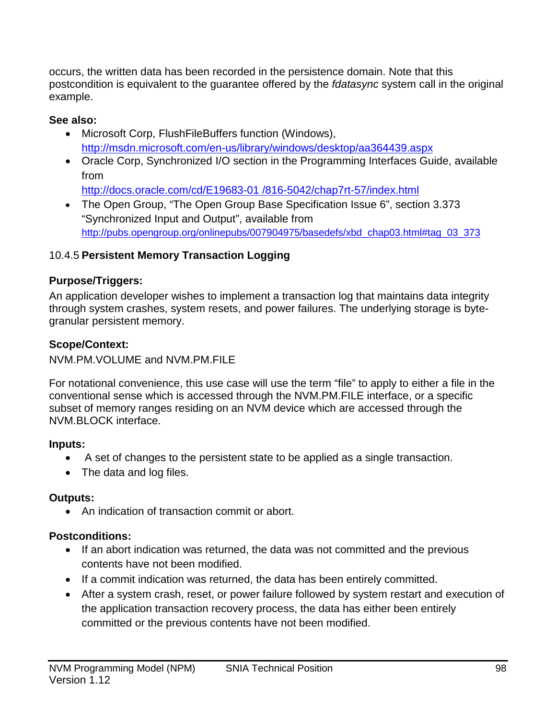occurs, the written data has been recorded in the persistence domain. Note that this postcondition is equivalent to the guarantee offered by the *fdatasync* system call in the original example.

### **See also:**

- Microsoft Corp, FlushFileBuffers function (Windows), <http://msdn.microsoft.com/en-us/library/windows/desktop/aa364439.aspx>
- Oracle Corp, Synchronized I/O section in the Programming Interfaces Guide, available from

[http://docs.oracle.com/cd/E19683-01 /816-5042/chap7rt-57/index.html](http://docs.oracle.com/cd/E19683-01%20/816-5042/chap7rt-57/index.html)

• The Open Group, "The Open Group Base Specification Issue 6", section 3.373 "Synchronized Input and Output", available from [http://pubs.opengroup.org/onlinepubs/007904975/basedefs/xbd\\_chap03.html#tag\\_03\\_373](http://pubs.opengroup.org/onlinepubs/007904975/basedefs/xbd_chap03.html#tag_03_373)

## 10.4.5 **Persistent Memory Transaction Logging**

## **Purpose/Triggers:**

An application developer wishes to implement a transaction log that maintains data integrity through system crashes, system resets, and power failures. The underlying storage is bytegranular persistent memory.

## **Scope/Context:**

NVM.PM.VOLUME and NVM.PM.FILE

For notational convenience, this use case will use the term "file" to apply to either a file in the conventional sense which is accessed through the NVM.PM.FILE interface, or a specific subset of memory ranges residing on an NVM device which are accessed through the NVM.BLOCK interface.

## **Inputs:**

- A set of changes to the persistent state to be applied as a single transaction.
- The data and log files.

## **Outputs:**

• An indication of transaction commit or abort.

## **Postconditions:**

- If an abort indication was returned, the data was not committed and the previous contents have not been modified.
- If a commit indication was returned, the data has been entirely committed.
- After a system crash, reset, or power failure followed by system restart and execution of the application transaction recovery process, the data has either been entirely committed or the previous contents have not been modified.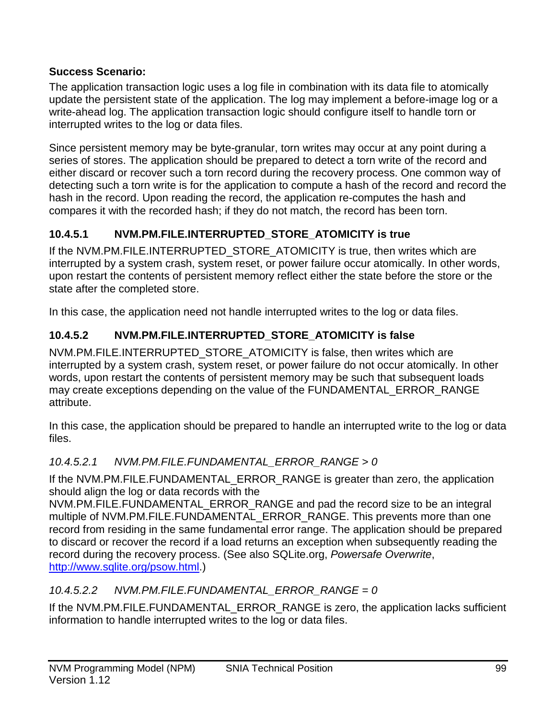### **Success Scenario:**

The application transaction logic uses a log file in combination with its data file to atomically update the persistent state of the application. The log may implement a before-image log or a write-ahead log. The application transaction logic should configure itself to handle torn or interrupted writes to the log or data files.

Since persistent memory may be byte-granular, torn writes may occur at any point during a series of stores. The application should be prepared to detect a torn write of the record and either discard or recover such a torn record during the recovery process. One common way of detecting such a torn write is for the application to compute a hash of the record and record the hash in the record. Upon reading the record, the application re-computes the hash and compares it with the recorded hash; if they do not match, the record has been torn.

## **10.4.5.1 NVM.PM.FILE.INTERRUPTED\_STORE\_ATOMICITY is true**

If the NVM.PM.FILE.INTERRUPTED\_STORE\_ATOMICITY is true, then writes which are interrupted by a system crash, system reset, or power failure occur atomically. In other words, upon restart the contents of persistent memory reflect either the state before the store or the state after the completed store.

In this case, the application need not handle interrupted writes to the log or data files.

## **10.4.5.2 NVM.PM.FILE.INTERRUPTED\_STORE\_ATOMICITY is false**

NVM.PM.FILE.INTERRUPTED\_STORE\_ATOMICITY is false, then writes which are interrupted by a system crash, system reset, or power failure do not occur atomically. In other words, upon restart the contents of persistent memory may be such that subsequent loads may create exceptions depending on the value of the FUNDAMENTAL ERROR\_RANGE attribute.

In this case, the application should be prepared to handle an interrupted write to the log or data files.

## *10.4.5.2.1 NVM.PM.FILE.FUNDAMENTAL\_ERROR\_RANGE > 0*

If the NVM.PM.FILE.FUNDAMENTAL\_ERROR\_RANGE is greater than zero, the application should align the log or data records with the

NVM.PM.FILE.FUNDAMENTAL\_ERROR\_RANGE and pad the record size to be an integral multiple of NVM.PM.FILE.FUNDAMENTAL\_ERROR\_RANGE. This prevents more than one record from residing in the same fundamental error range. The application should be prepared to discard or recover the record if a load returns an exception when subsequently reading the record during the recovery process. (See also SQLite.org, *Powersafe Overwrite*, [http://www.sqlite.org/psow.html.](http://www.sqlite.org/psow.html))

## *10.4.5.2.2 NVM.PM.FILE.FUNDAMENTAL\_ERROR\_RANGE = 0*

If the NVM.PM.FILE.FUNDAMENTAL ERROR RANGE is zero, the application lacks sufficient information to handle interrupted writes to the log or data files.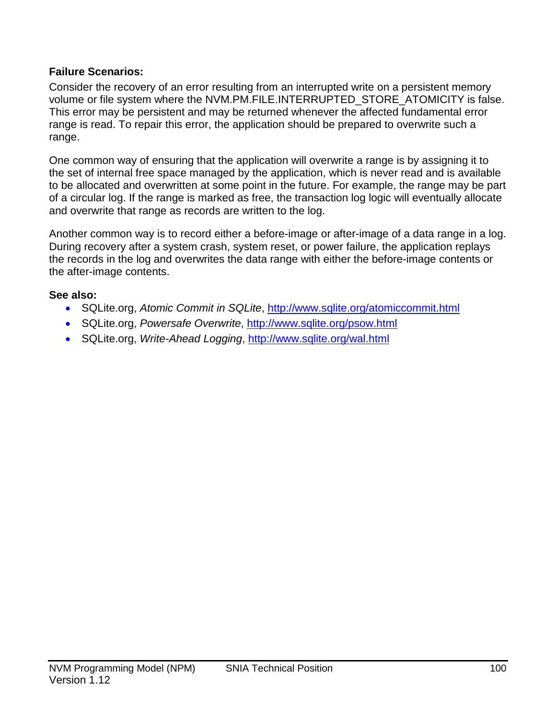#### **Failure Scenarios:**

Consider the recovery of an error resulting from an interrupted write on a persistent memory volume or file system where the NVM.PM.FILE.INTERRUPTED\_STORE\_ATOMICITY is false. This error may be persistent and may be returned whenever the affected fundamental error range is read. To repair this error, the application should be prepared to overwrite such a range.

One common way of ensuring that the application will overwrite a range is by assigning it to the set of internal free space managed by the application, which is never read and is available to be allocated and overwritten at some point in the future. For example, the range may be part of a circular log. If the range is marked as free, the transaction log logic will eventually allocate and overwrite that range as records are written to the log.

Another common way is to record either a before-image or after-image of a data range in a log. During recovery after a system crash, system reset, or power failure, the application replays the records in the log and overwrites the data range with either the before-image contents or the after-image contents.

## **See also:**

- SQLite.org, *Atomic Commit in SQLite*,<http://www.sqlite.org/atomiccommit.html>
- SQLite.org, *Powersafe Overwrite*,<http://www.sqlite.org/psow.html>
- SQLite.org, *Write-Ahead Logging*,<http://www.sqlite.org/wal.html>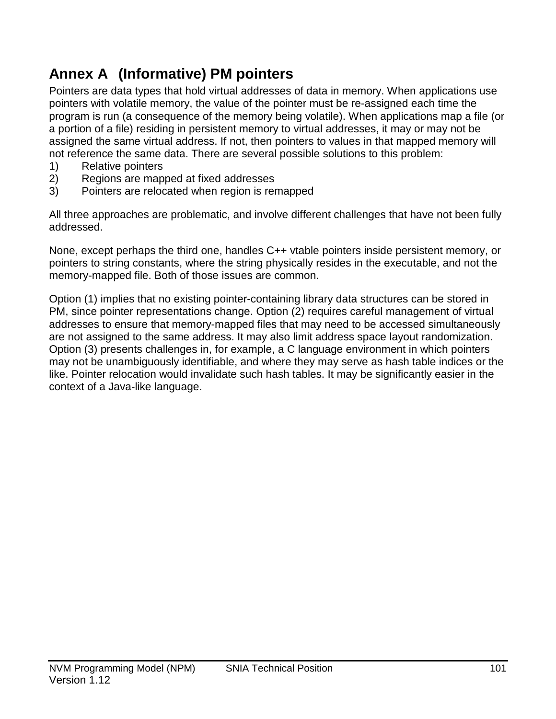# **Annex A (Informative) PM pointers**

Pointers are data types that hold virtual addresses of data in memory. When applications use pointers with volatile memory, the value of the pointer must be re-assigned each time the program is run (a consequence of the memory being volatile). When applications map a file (or a portion of a file) residing in persistent memory to virtual addresses, it may or may not be assigned the same virtual address. If not, then pointers to values in that mapped memory will not reference the same data. There are several possible solutions to this problem:

- 1) Relative pointers
- 2) Regions are mapped at fixed addresses
- 3) Pointers are relocated when region is remapped

All three approaches are problematic, and involve different challenges that have not been fully addressed.

None, except perhaps the third one, handles C++ vtable pointers inside persistent memory, or pointers to string constants, where the string physically resides in the executable, and not the memory-mapped file. Both of those issues are common.

Option (1) implies that no existing pointer-containing library data structures can be stored in PM, since pointer representations change. Option (2) requires careful management of virtual addresses to ensure that memory-mapped files that may need to be accessed simultaneously are not assigned to the same address. It may also limit address space layout randomization. Option (3) presents challenges in, for example, a C language environment in which pointers may not be unambiguously identifiable, and where they may serve as hash table indices or the like. Pointer relocation would invalidate such hash tables. It may be significantly easier in the context of a Java-like language.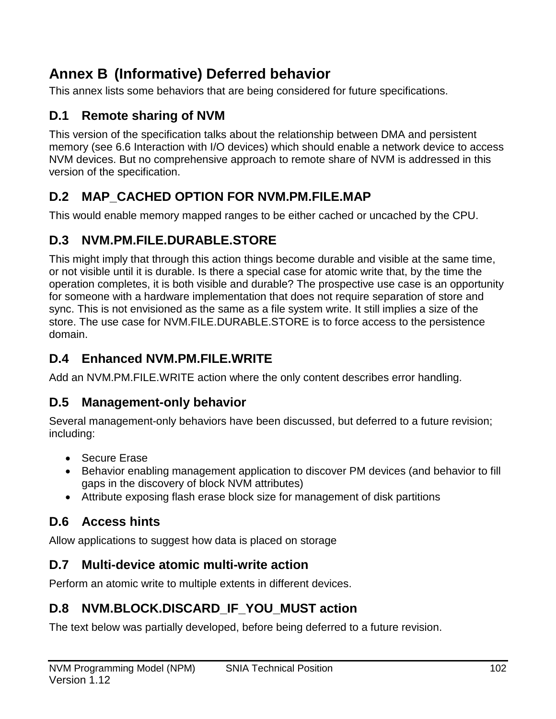# **Annex B (Informative) Deferred behavior**

This annex lists some behaviors that are being considered for future specifications.

# **D.1 Remote sharing of NVM**

This version of the specification talks about the relationship between DMA and persistent memory (see [6.6](#page-22-0) [Interaction with I/O devices\)](#page-22-0) which should enable a network device to access NVM devices. But no comprehensive approach to remote share of NVM is addressed in this version of the specification.

## **D.2 MAP\_CACHED OPTION FOR NVM.PM.FILE.MAP**

This would enable memory mapped ranges to be either cached or uncached by the CPU.

# **D.3 NVM.PM.FILE.DURABLE.STORE**

This might imply that through this action things become durable and visible at the same time, or not visible until it is durable. Is there a special case for atomic write that, by the time the operation completes, it is both visible and durable? The prospective use case is an opportunity for someone with a hardware implementation that does not require separation of store and sync. This is not envisioned as the same as a file system write. It still implies a size of the store. The use case for NVM.FILE.DURABLE.STORE is to force access to the persistence domain.

# **D.4 Enhanced NVM.PM.FILE.WRITE**

Add an NVM.PM.FILE.WRITE action where the only content describes error handling.

## **D.5 Management-only behavior**

Several management-only behaviors have been discussed, but deferred to a future revision; including:

- Secure Erase
- Behavior enabling management application to discover PM devices (and behavior to fill gaps in the discovery of block NVM attributes)
- Attribute exposing flash erase block size for management of disk partitions

# **D.6 Access hints**

Allow applications to suggest how data is placed on storage

# **D.7 Multi-device atomic multi-write action**

Perform an atomic write to multiple extents in different devices.

# **D.8 NVM.BLOCK.DISCARD\_IF\_YOU\_MUST action**

The text below was partially developed, before being deferred to a future revision.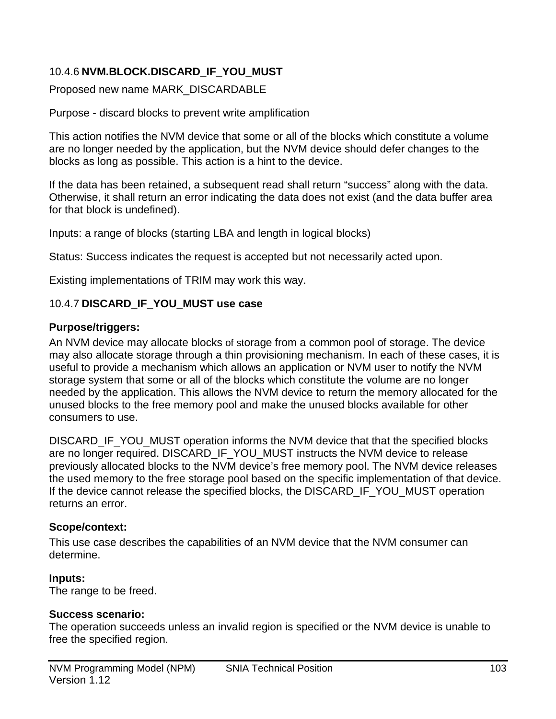#### 10.4.6 **NVM.BLOCK.DISCARD\_IF\_YOU\_MUST**

Proposed new name MARK\_DISCARDABLE

Purpose - discard blocks to prevent write amplification

This action notifies the NVM device that some or all of the blocks which constitute a volume are no longer needed by the application, but the NVM device should defer changes to the blocks as long as possible. This action is a hint to the device.

If the data has been retained, a subsequent read shall return "success" along with the data. Otherwise, it shall return an error indicating the data does not exist (and the data buffer area for that block is undefined).

Inputs: a range of blocks (starting LBA and length in logical blocks)

Status: Success indicates the request is accepted but not necessarily acted upon.

Existing implementations of TRIM may work this way.

#### 10.4.7 **DISCARD\_IF\_YOU\_MUST use case**

#### **Purpose/triggers:**

An NVM device may allocate blocks of storage from a common pool of storage. The device may also allocate storage through a thin provisioning mechanism. In each of these cases, it is useful to provide a mechanism which allows an application or NVM user to notify the NVM storage system that some or all of the blocks which constitute the volume are no longer needed by the application. This allows the NVM device to return the memory allocated for the unused blocks to the free memory pool and make the unused blocks available for other consumers to use.

DISCARD\_IF\_YOU\_MUST operation informs the NVM device that that the specified blocks are no longer required. DISCARD\_IF\_YOU\_MUST instructs the NVM device to release previously allocated blocks to the NVM device's free memory pool. The NVM device releases the used memory to the free storage pool based on the specific implementation of that device. If the device cannot release the specified blocks, the DISCARD\_IF\_YOU\_MUST operation returns an error.

#### **Scope/context:**

This use case describes the capabilities of an NVM device that the NVM consumer can determine.

#### **Inputs:**

The range to be freed.

#### **Success scenario:**

The operation succeeds unless an invalid region is specified or the NVM device is unable to free the specified region.